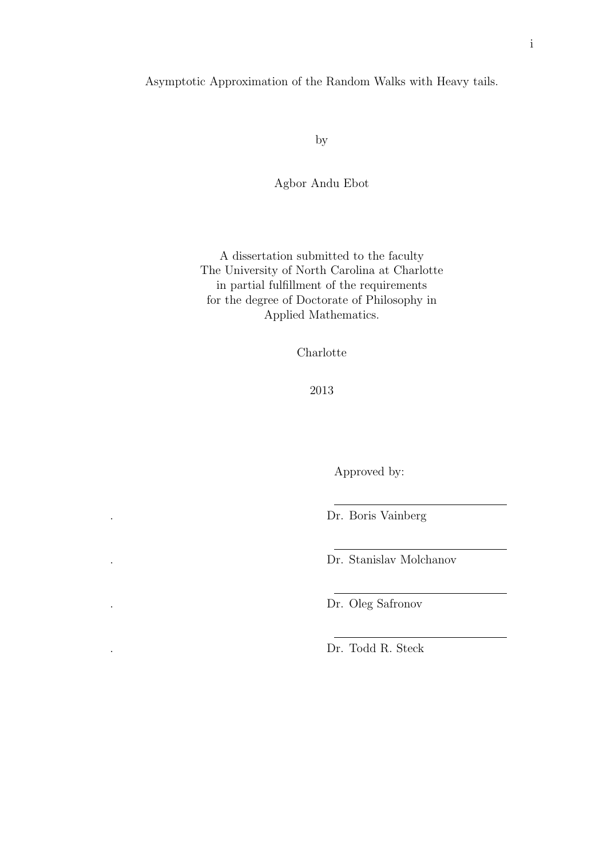#### Asymptotic Approximation of the Random Walks with Heavy tails.

by

Agbor Andu Ebot

A dissertation submitted to the faculty The University of North Carolina at Charlotte in partial fulfillment of the requirements for the degree of Doctorate of Philosophy in Applied Mathematics.

Charlotte

2013

Approved by:

. Dr. Boris Vainberg

. Dr. Stanislav Molchanov

. Dr. Oleg Safronov

. Dr. Todd R. Steck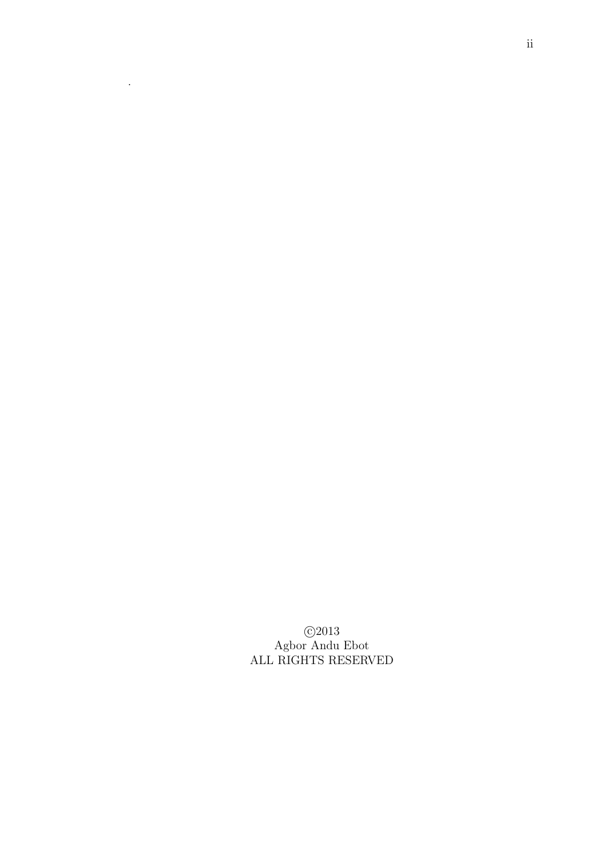c 2013 Agbor Andu Ebot ALL RIGHTS RESERVED

.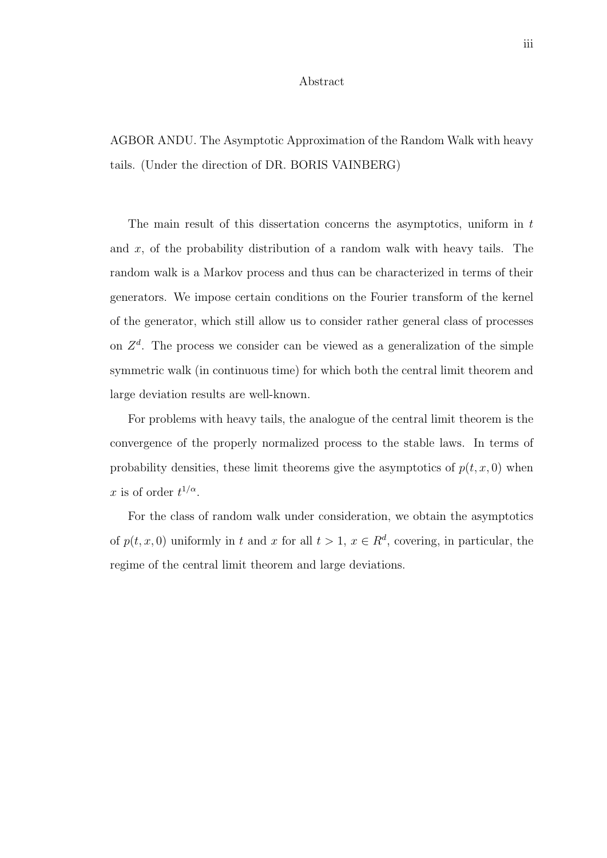#### Abstract

AGBOR ANDU. The Asymptotic Approximation of the Random Walk with heavy tails. (Under the direction of DR. BORIS VAINBERG)

The main result of this dissertation concerns the asymptotics, uniform in  $t$ and x, of the probability distribution of a random walk with heavy tails. The random walk is a Markov process and thus can be characterized in terms of their generators. We impose certain conditions on the Fourier transform of the kernel of the generator, which still allow us to consider rather general class of processes on  $Z<sup>d</sup>$ . The process we consider can be viewed as a generalization of the simple symmetric walk (in continuous time) for which both the central limit theorem and large deviation results are well-known.

For problems with heavy tails, the analogue of the central limit theorem is the convergence of the properly normalized process to the stable laws. In terms of probability densities, these limit theorems give the asymptotics of  $p(t, x, 0)$  when x is of order  $t^{1/\alpha}$ .

For the class of random walk under consideration, we obtain the asymptotics of  $p(t, x, 0)$  uniformly in t and x for all  $t > 1$ ,  $x \in \mathbb{R}^d$ , covering, in particular, the regime of the central limit theorem and large deviations.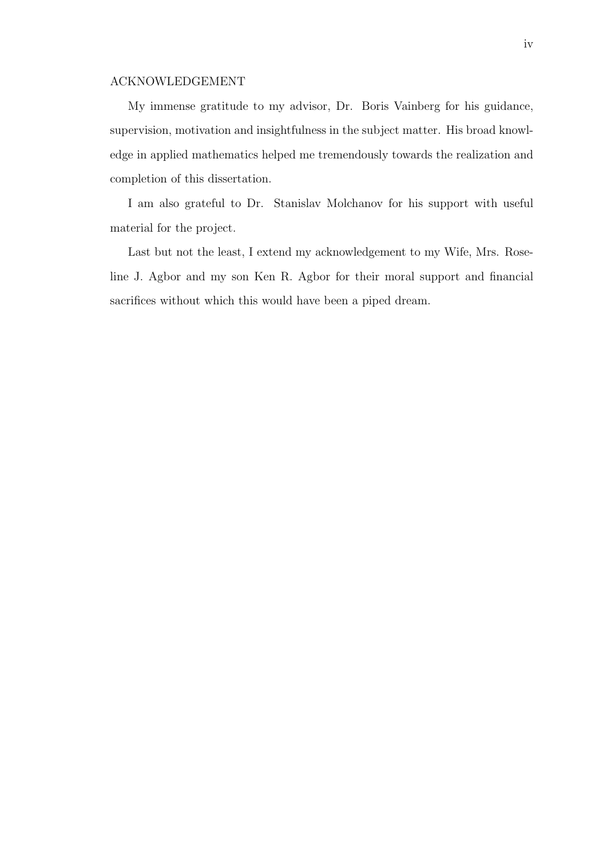#### ACKNOWLEDGEMENT

My immense gratitude to my advisor, Dr. Boris Vainberg for his guidance, supervision, motivation and insightfulness in the subject matter. His broad knowledge in applied mathematics helped me tremendously towards the realization and completion of this dissertation.

I am also grateful to Dr. Stanislav Molchanov for his support with useful material for the project.

Last but not the least, I extend my acknowledgement to my Wife, Mrs. Roseline J. Agbor and my son Ken R. Agbor for their moral support and financial sacrifices without which this would have been a piped dream.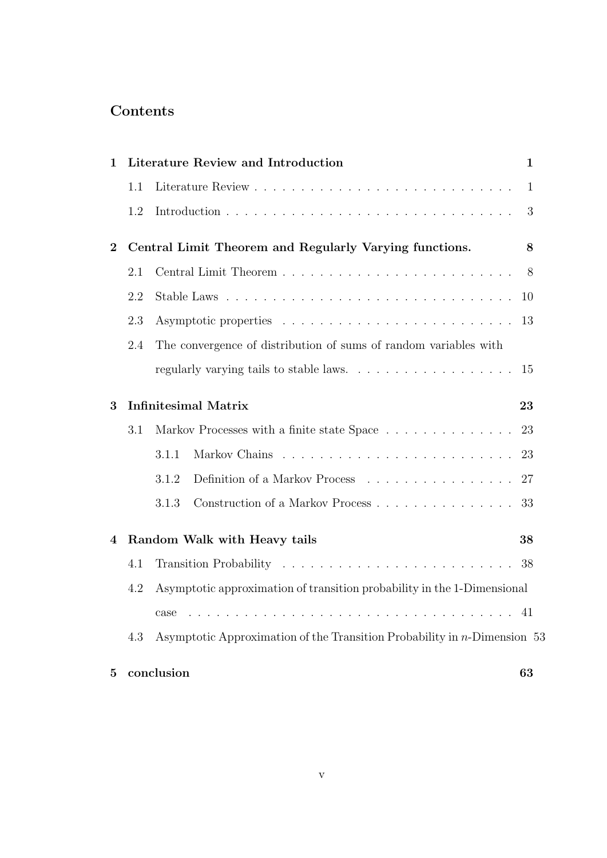## Contents

| 1            |                                    | Literature Review and Introduction                                          | 1            |
|--------------|------------------------------------|-----------------------------------------------------------------------------|--------------|
|              | 1.1                                |                                                                             | $\mathbf{1}$ |
|              | 1.2                                |                                                                             | 3            |
| $\mathbf{2}$ |                                    | Central Limit Theorem and Regularly Varying functions.                      | 8            |
|              | 2.1                                |                                                                             | 8            |
|              | 2.2                                |                                                                             | 10           |
|              | 2.3                                |                                                                             | 13           |
|              | 2.4                                | The convergence of distribution of sums of random variables with            |              |
|              |                                    |                                                                             | 15           |
| 3            |                                    | <b>Infinitesimal Matrix</b>                                                 | 23           |
|              | 3.1                                | Markov Processes with a finite state Space                                  | 23           |
|              |                                    | 3.1.1                                                                       | 23           |
|              |                                    | 3.1.2<br>Definition of a Markov Process                                     | 27           |
|              |                                    | 3.1.3                                                                       | 33           |
| 4            | Random Walk with Heavy tails<br>38 |                                                                             |              |
|              | 4.1                                |                                                                             | -38          |
|              | 4.2                                | Asymptotic approximation of transition probability in the 1-Dimensional     |              |
|              |                                    | case                                                                        |              |
|              | 4.3                                | Asymptotic Approximation of the Transition Probability in $n$ -Dimension 53 |              |
| 5            |                                    | conclusion                                                                  | 63           |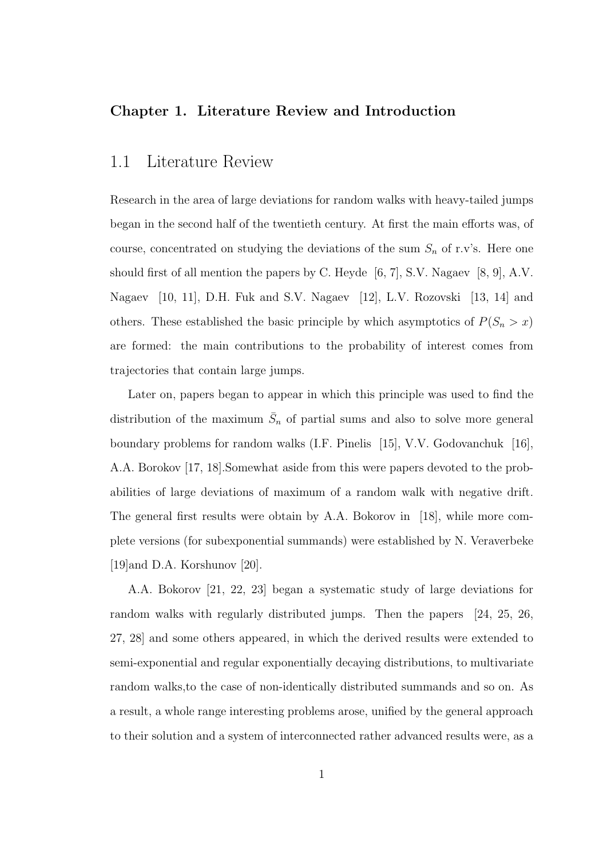#### Chapter 1. Literature Review and Introduction

### 1.1 Literature Review

Research in the area of large deviations for random walks with heavy-tailed jumps began in the second half of the twentieth century. At first the main efforts was, of course, concentrated on studying the deviations of the sum  $S_n$  of r.v's. Here one should first of all mention the papers by C. Heyde [6, 7], S.V. Nagaev [8, 9], A.V. Nagaev [10, 11], D.H. Fuk and S.V. Nagaev [12], L.V. Rozovski [13, 14] and others. These established the basic principle by which asymptotics of  $P(S_n > x)$ are formed: the main contributions to the probability of interest comes from trajectories that contain large jumps.

Later on, papers began to appear in which this principle was used to find the distribution of the maximum  $\bar{S}_n$  of partial sums and also to solve more general boundary problems for random walks (I.F. Pinelis [15], V.V. Godovanchuk [16], A.A. Borokov [17, 18].Somewhat aside from this were papers devoted to the probabilities of large deviations of maximum of a random walk with negative drift. The general first results were obtain by A.A. Bokorov in [18], while more complete versions (for subexponential summands) were established by N. Veraverbeke [19]and D.A. Korshunov [20].

A.A. Bokorov [21, 22, 23] began a systematic study of large deviations for random walks with regularly distributed jumps. Then the papers [24, 25, 26, 27, 28] and some others appeared, in which the derived results were extended to semi-exponential and regular exponentially decaying distributions, to multivariate random walks,to the case of non-identically distributed summands and so on. As a result, a whole range interesting problems arose, unified by the general approach to their solution and a system of interconnected rather advanced results were, as a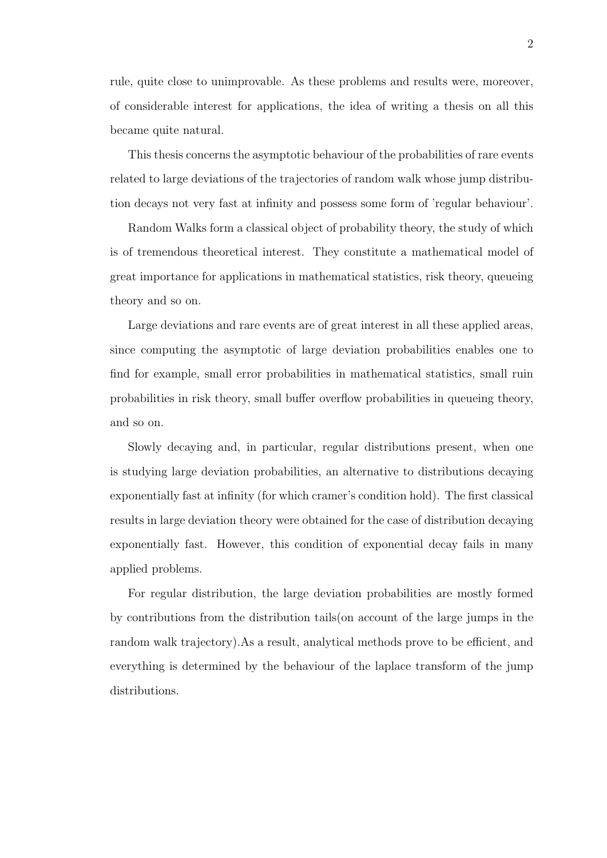rule, quite close to unimprovable. As these problems and results were, moreover, of considerable interest for applications, the idea of writing a thesis on all this became quite natural.

This thesis concerns the asymptotic behaviour of the probabilities of rare events related to large deviations of the trajectories of random walk whose jump distribution decays not very fast at infinity and possess some form of 'regular behaviour'.

Random Walks form a classical object of probability theory, the study of which is of tremendous theoretical interest. They constitute a mathematical model of great importance for applications in mathematical statistics, risk theory, queueing theory and so on.

Large deviations and rare events are of great interest in all these applied areas, since computing the asymptotic of large deviation probabilities enables one to find for example, small error probabilities in mathematical statistics, small ruin probabilities in risk theory, small buffer overflow probabilities in queueing theory, and so on.

Slowly decaying and, in particular, regular distributions present, when one is studying large deviation probabilities, an alternative to distributions decaying exponentially fast at infinity (for which cramer's condition hold). The first classical results in large deviation theory were obtained for the case of distribution decaying exponentially fast. However, this condition of exponential decay fails in many applied problems.

For regular distribution, the large deviation probabilities are mostly formed by contributions from the distribution tails(on account of the large jumps in the random walk trajectory).As a result, analytical methods prove to be efficient, and everything is determined by the behaviour of the laplace transform of the jump distributions.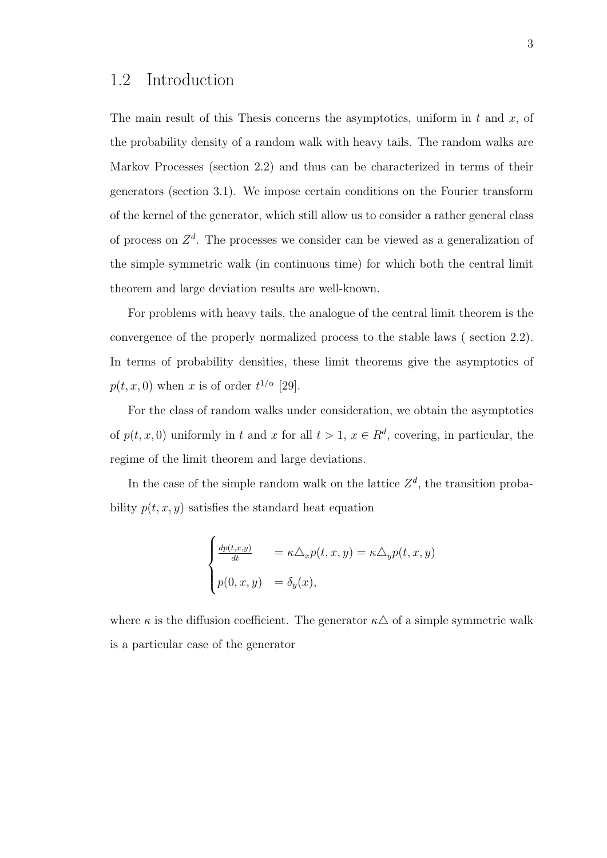The main result of this Thesis concerns the asymptotics, uniform in  $t$  and  $x$ , of the probability density of a random walk with heavy tails. The random walks are Markov Processes (section 2.2) and thus can be characterized in terms of their generators (section 3.1). We impose certain conditions on the Fourier transform of the kernel of the generator, which still allow us to consider a rather general class of process on  $\mathbb{Z}^d$ . The processes we consider can be viewed as a generalization of the simple symmetric walk (in continuous time) for which both the central limit theorem and large deviation results are well-known.

For problems with heavy tails, the analogue of the central limit theorem is the convergence of the properly normalized process to the stable laws ( section 2.2). In terms of probability densities, these limit theorems give the asymptotics of  $p(t, x, 0)$  when x is of order  $t^{1/\alpha}$  [29].

For the class of random walks under consideration, we obtain the asymptotics of  $p(t, x, 0)$  uniformly in t and x for all  $t > 1$ ,  $x \in \mathbb{R}^d$ , covering, in particular, the regime of the limit theorem and large deviations.

In the case of the simple random walk on the lattice  $Z<sup>d</sup>$ , the transition probability  $p(t, x, y)$  satisfies the standard heat equation

$$
\begin{cases} \frac{dp(t,x,y)}{dt} = \kappa \Delta_x p(t,x,y) = \kappa \Delta_y p(t,x,y) \\ p(0,x,y) = \delta_y(x), \end{cases}
$$

where  $\kappa$  is the diffusion coefficient. The generator  $\kappa \Delta$  of a simple symmetric walk is a particular case of the generator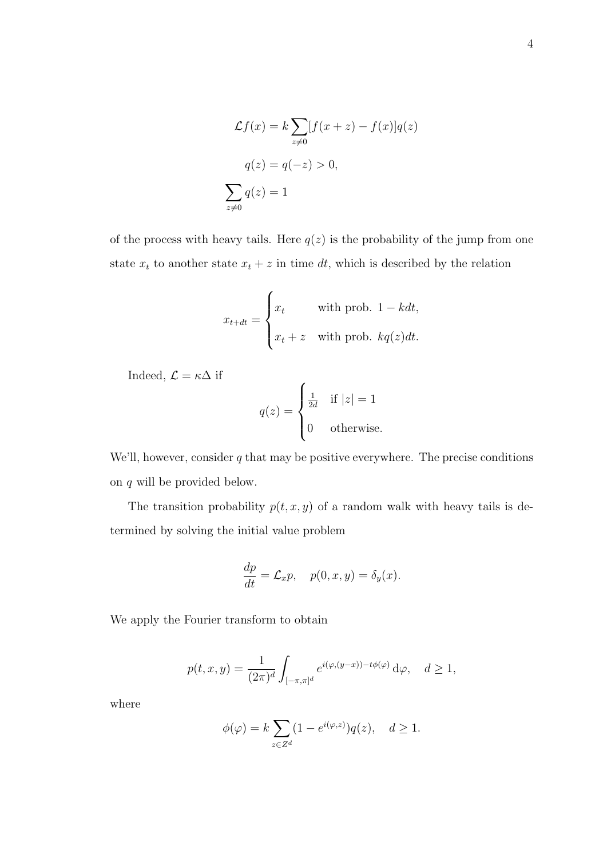$$
\mathcal{L}f(x) = k \sum_{z \neq 0} [f(x+z) - f(x)]q(z)
$$

$$
q(z) = q(-z) > 0,
$$

$$
\sum_{z \neq 0} q(z) = 1
$$

of the process with heavy tails. Here  $q(z)$  is the probability of the jump from one state  $x_t$  to another state  $x_t + z$  in time dt, which is described by the relation

$$
x_{t+dt} = \begin{cases} x_t & \text{with prob. } 1 - kdt, \\ x_t + z & \text{with prob. } kq(z)dt. \end{cases}
$$

Indeed,  $\mathcal{L} = \kappa \Delta$  if

$$
q(z) = \begin{cases} \frac{1}{2d} & \text{if } |z| = 1\\ 0 & \text{otherwise.} \end{cases}
$$

We'll, however, consider  $q$  that may be positive everywhere. The precise conditions on q will be provided below.

The transition probability  $p(t, x, y)$  of a random walk with heavy tails is determined by solving the initial value problem

$$
\frac{dp}{dt} = \mathcal{L}_x p, \quad p(0, x, y) = \delta_y(x).
$$

We apply the Fourier transform to obtain

$$
p(t, x, y) = \frac{1}{(2\pi)^d} \int_{[-\pi, \pi]^d} e^{i(\varphi, (y-x)) - t\phi(\varphi)} d\varphi, \quad d \ge 1,
$$

where

$$
\phi(\varphi) = k \sum_{z \in Z^d} (1 - e^{i(\varphi, z)}) q(z), \quad d \ge 1.
$$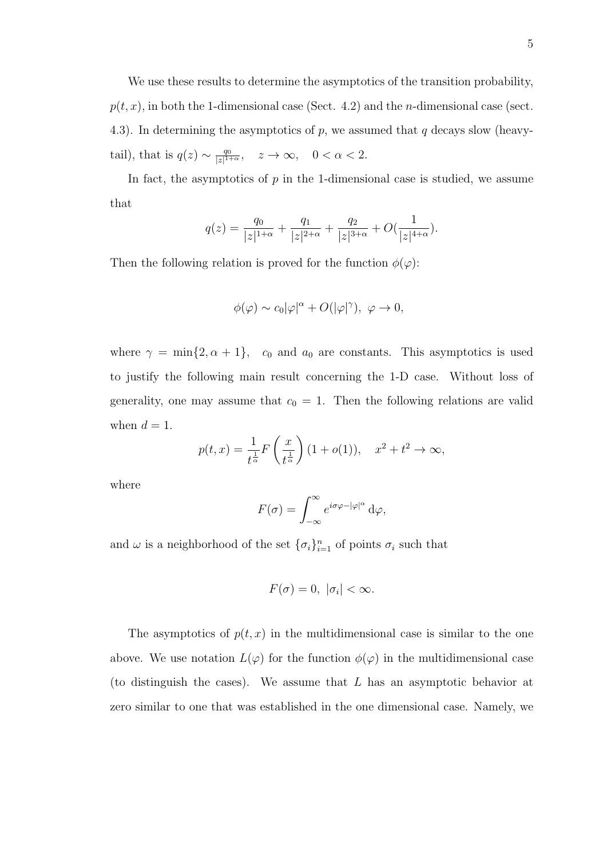We use these results to determine the asymptotics of the transition probability,  $p(t, x)$ , in both the 1-dimensional case (Sect. 4.2) and the *n*-dimensional case (sect. 4.3). In determining the asymptotics of  $p$ , we assumed that  $q$  decays slow (heavytail), that is  $q(z) \sim \frac{q_0}{|z|^{1-z}}$  $\frac{q_0}{|z|^{1+\alpha}}, \quad z \to \infty, \quad 0 < \alpha < 2.$ 

In fact, the asymptotics of  $p$  in the 1-dimensional case is studied, we assume that

$$
q(z) = \frac{q_0}{|z|^{1+\alpha}} + \frac{q_1}{|z|^{2+\alpha}} + \frac{q_2}{|z|^{3+\alpha}} + O(\frac{1}{|z|^{4+\alpha}}).
$$

Then the following relation is proved for the function  $\phi(\varphi)$ :

$$
\phi(\varphi) \sim c_0 |\varphi|^{\alpha} + O(|\varphi|^{\gamma}), \ \varphi \to 0,
$$

where  $\gamma = \min\{2, \alpha + 1\}$ ,  $c_0$  and  $a_0$  are constants. This asymptotics is used to justify the following main result concerning the 1-D case. Without loss of generality, one may assume that  $c_0 = 1$ . Then the following relations are valid when  $d = 1$ .

$$
p(t,x) = \frac{1}{t^{\frac{1}{\alpha}}} F\left(\frac{x}{t^{\frac{1}{\alpha}}}\right) (1 + o(1)), \quad x^2 + t^2 \to \infty,
$$

where

$$
F(\sigma) = \int_{-\infty}^{\infty} e^{i\sigma\varphi - |\varphi|^{\alpha}} d\varphi,
$$

and  $\omega$  is a neighborhood of the set  $\{\sigma_i\}_{i=1}^n$  of points  $\sigma_i$  such that

$$
F(\sigma) = 0, \ |\sigma_i| < \infty.
$$

The asymptotics of  $p(t, x)$  in the multidimensional case is similar to the one above. We use notation  $L(\varphi)$  for the function  $\phi(\varphi)$  in the multidimensional case (to distinguish the cases). We assume that L has an asymptotic behavior at zero similar to one that was established in the one dimensional case. Namely, we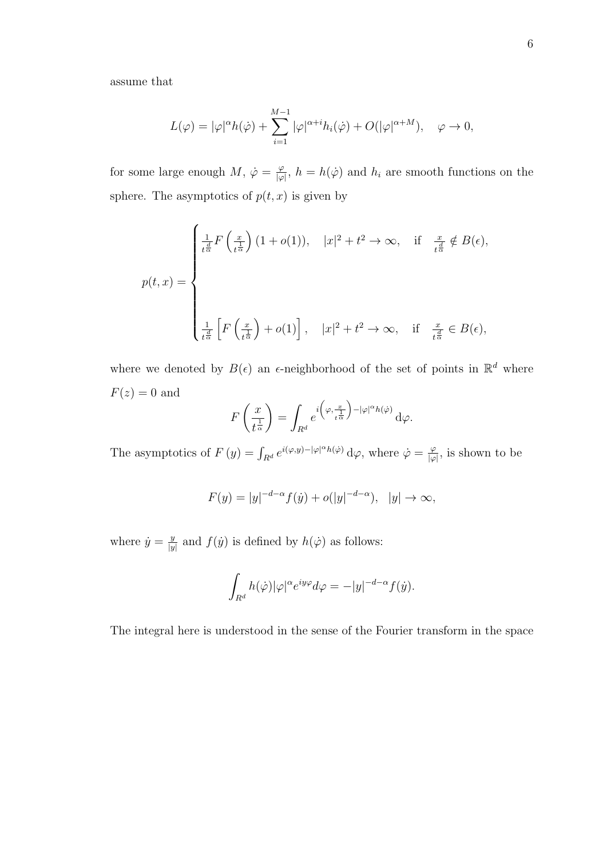assume that

$$
L(\varphi) = |\varphi|^{\alpha} h(\dot{\varphi}) + \sum_{i=1}^{M-1} |\varphi|^{\alpha+i} h_i(\dot{\varphi}) + O(|\varphi|^{\alpha+M}), \quad \varphi \to 0,
$$

for some large enough M,  $\dot{\varphi} = \frac{\varphi}{\hbar \omega}$  $\frac{\varphi}{|\varphi|}$ ,  $h = h(\dot{\varphi})$  and  $h_i$  are smooth functions on the sphere. The asymptotics of  $p(t, x)$  is given by

$$
p(t,x) = \begin{cases} \frac{1}{t^{\frac{d}{\alpha}}} F\left(\frac{x}{t^{\frac{1}{\alpha}}}\right) (1 + o(1)), & |x|^2 + t^2 \to \infty, \text{ if } \frac{x}{t^{\frac{d}{\alpha}}} \notin B(\epsilon), \\\\ \frac{1}{t^{\frac{d}{\alpha}}} \left[ F\left(\frac{x}{t^{\frac{1}{\alpha}}}\right) + o(1) \right], & |x|^2 + t^2 \to \infty, \text{ if } \frac{x}{t^{\frac{d}{\alpha}}} \in B(\epsilon), \end{cases}
$$

where we denoted by  $B(\epsilon)$  an  $\epsilon$ -neighborhood of the set of points in  $\mathbb{R}^d$  where  $F(z) = 0$  and

$$
F\left(\frac{x}{t^{\frac{1}{\alpha}}}\right) = \int_{R^d} e^{i\left(\varphi, \frac{x}{t^{\frac{1}{\alpha}}}\right) - |\varphi|^{\alpha}h(\varphi)} d\varphi.
$$

The asymptotics of  $F(y) = \int_{R^d} e^{i(\varphi, y) - |\varphi|^{\alpha} h(\varphi)} d\varphi$ , where  $\dot{\varphi} = \frac{\varphi}{|\varphi|}$  $\frac{\varphi}{|\varphi|}$ , is shown to be

$$
F(y) = |y|^{-d-\alpha} f(y) + o(|y|^{-d-\alpha}), \ |y| \to \infty,
$$

where  $\dot{y} = \frac{y}{y}$  $\frac{y}{|y|}$  and  $f(\dot{y})$  is defined by  $h(\dot{\varphi})$  as follows:

$$
\int_{R^d} h(\dot{\varphi}) |\varphi|^\alpha e^{iy\varphi} d\varphi = -|y|^{-d-\alpha} f(\dot{y}).
$$

The integral here is understood in the sense of the Fourier transform in the space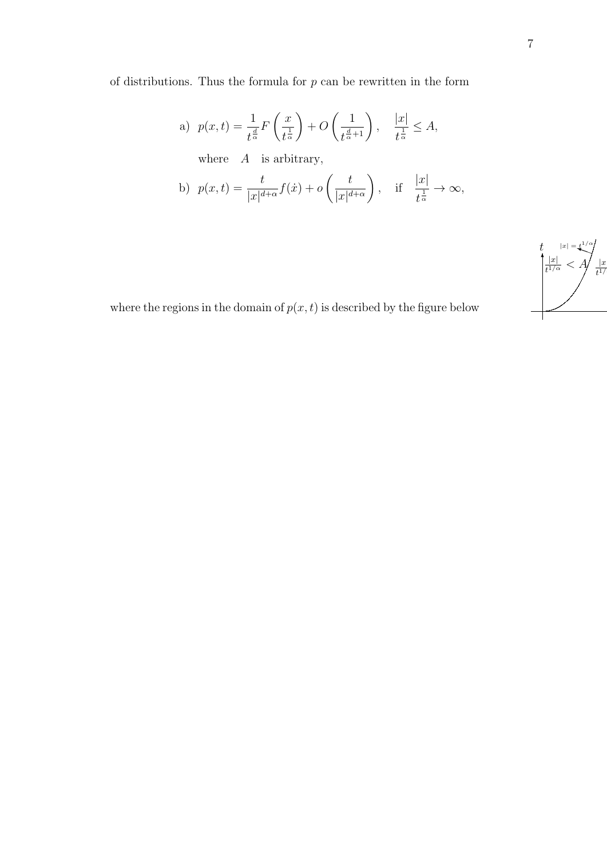of distributions. Thus the formula for  $p$  can be rewritten in the form

a) 
$$
p(x,t) = \frac{1}{t^{\frac{d}{\alpha}}} F\left(\frac{x}{t^{\frac{1}{\alpha}}}\right) + O\left(\frac{1}{t^{\frac{d}{\alpha}+1}}\right), \quad \frac{|x|}{t^{\frac{1}{\alpha}}} \leq A,
$$
  
where  $A$  is arbitrary,

b) 
$$
p(x,t) = \frac{t}{|x|^{d+\alpha}} f(x) + o\left(\frac{t}{|x|^{d+\alpha}}\right)
$$
, if  $\frac{|x|}{t^{\frac{1}{\alpha}}} \to \infty$ ,



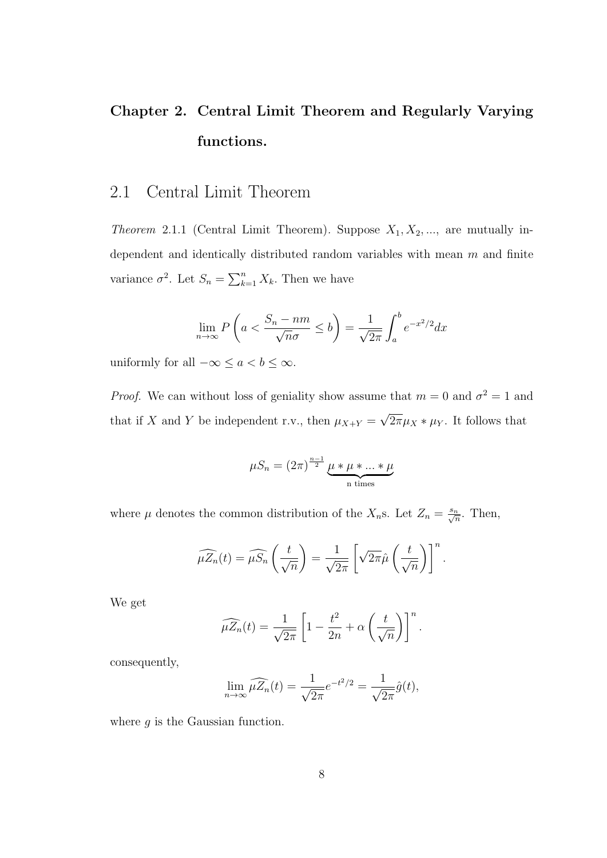## Chapter 2. Central Limit Theorem and Regularly Varying functions.

## 2.1 Central Limit Theorem

*Theorem* 2.1.1 (Central Limit Theorem). Suppose  $X_1, X_2, \ldots$ , are mutually independent and identically distributed random variables with mean  $m$  and finite variance  $\sigma^2$ . Let  $S_n = \sum_{k=1}^n X_k$ . Then we have

$$
\lim_{n \to \infty} P\left(a < \frac{S_n - nm}{\sqrt{n}\sigma} \le b\right) = \frac{1}{\sqrt{2\pi}} \int_a^b e^{-x^2/2} dx
$$

uniformly for all  $-\infty \le a < b \le \infty$ .

*Proof.* We can without loss of geniality show assume that  $m = 0$  and  $\sigma^2 = 1$  and that if X and Y be independent r.v., then  $\mu_{X+Y}$  = √  $2\pi\mu_X * \mu_Y$ . It follows that

$$
\mu S_n = (2\pi)^{\frac{n-1}{2}} \underbrace{\mu * \mu * \dots * \mu}_{n \text{ times}}
$$

where  $\mu$  denotes the common distribution of the  $X_n$ s. Let  $Z_n = \frac{s_n}{\sqrt{n}}$ . Then,

$$
\widehat{\mu Z_n}(t) = \widehat{\mu S_n}\left(\frac{t}{\sqrt{n}}\right) = \frac{1}{\sqrt{2\pi}}\left[\sqrt{2\pi}\hat{\mu}\left(\frac{t}{\sqrt{n}}\right)\right]^n.
$$

We get

$$
\widehat{\mu Z_n}(t) = \frac{1}{\sqrt{2\pi}} \left[ 1 - \frac{t^2}{2n} + \alpha \left( \frac{t}{\sqrt{n}} \right) \right]^n.
$$

consequently,

$$
\lim_{n \to \infty} \widehat{\mu Z_n}(t) = \frac{1}{\sqrt{2\pi}} e^{-t^2/2} = \frac{1}{\sqrt{2\pi}} \hat{g}(t),
$$

where  $q$  is the Gaussian function.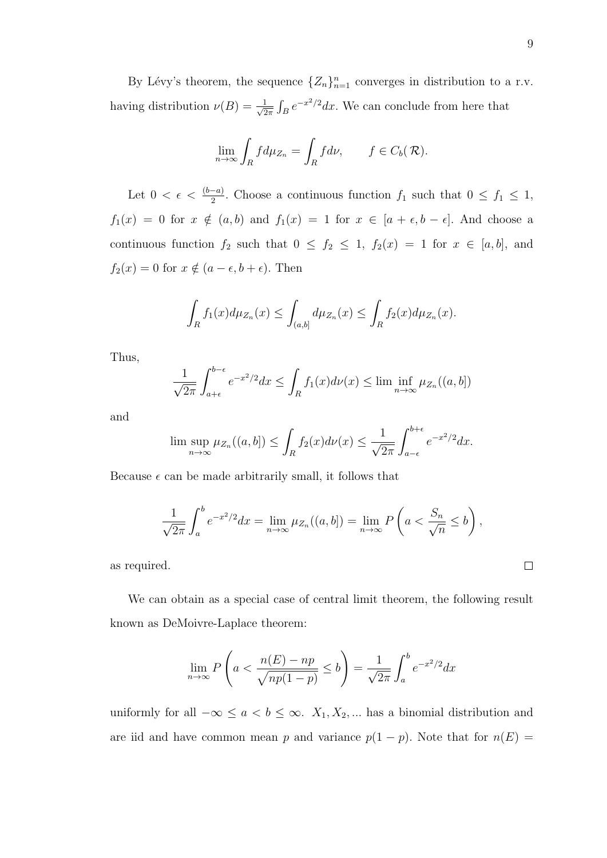By Lévy's theorem, the sequence  ${Z_n}_{n=1}^n$  converges in distribution to a r.v. having distribution  $\nu(B) = \frac{1}{\sqrt{2}}$  $\frac{1}{2\pi} \int_B e^{-x^2/2} dx$ . We can conclude from here that

$$
\lim_{n \to \infty} \int_R f d\mu_{Z_n} = \int_R f d\nu, \qquad f \in C_b(\mathcal{R}).
$$

Let  $0 < \epsilon < \frac{(b-a)}{2}$ . Choose a continuous function  $f_1$  such that  $0 \le f_1 \le 1$ ,  $f_1(x) = 0$  for  $x \notin (a, b)$  and  $f_1(x) = 1$  for  $x \in [a + \epsilon, b - \epsilon]$ . And choose a continuous function  $f_2$  such that  $0 \le f_2 \le 1$ ,  $f_2(x) = 1$  for  $x \in [a, b]$ , and  $f_2(x) = 0$  for  $x \notin (a - \epsilon, b + \epsilon)$ . Then

$$
\int_{R} f_1(x) d\mu_{Z_n}(x) \le \int_{(a,b]} d\mu_{Z_n}(x) \le \int_{R} f_2(x) d\mu_{Z_n}(x).
$$

Thus,

$$
\frac{1}{\sqrt{2\pi}} \int_{a+\epsilon}^{b-\epsilon} e^{-x^2/2} dx \le \int_R f_1(x) d\nu(x) \le \liminf_{n \to \infty} \mu_{Z_n}((a, b])
$$

and

$$
\limsup_{n \to \infty} \mu_{Z_n}((a, b]) \le \int_R f_2(x) d\nu(x) \le \frac{1}{\sqrt{2\pi}} \int_{a-\epsilon}^{b+\epsilon} e^{-x^2/2} dx.
$$

Because  $\epsilon$  can be made arbitrarily small, it follows that

$$
\frac{1}{\sqrt{2\pi}}\int_a^b e^{-x^2/2}dx = \lim_{n\to\infty}\mu_{Z_n}((a,b]) = \lim_{n\to\infty}P\left(a < \frac{S_n}{\sqrt{n}} \le b\right),
$$

as required.

We can obtain as a special case of central limit theorem, the following result known as DeMoivre-Laplace theorem:

$$
\lim_{n \to \infty} P\left(a < \frac{n(E) - np}{\sqrt{np(1-p)}} \le b\right) = \frac{1}{\sqrt{2\pi}} \int_a^b e^{-x^2/2} dx
$$

uniformly for all  $-\infty \le a < b \le \infty$ .  $X_1, X_2, \dots$  has a binomial distribution and are iid and have common mean p and variance  $p(1 - p)$ . Note that for  $n(E) =$ 

 $\Box$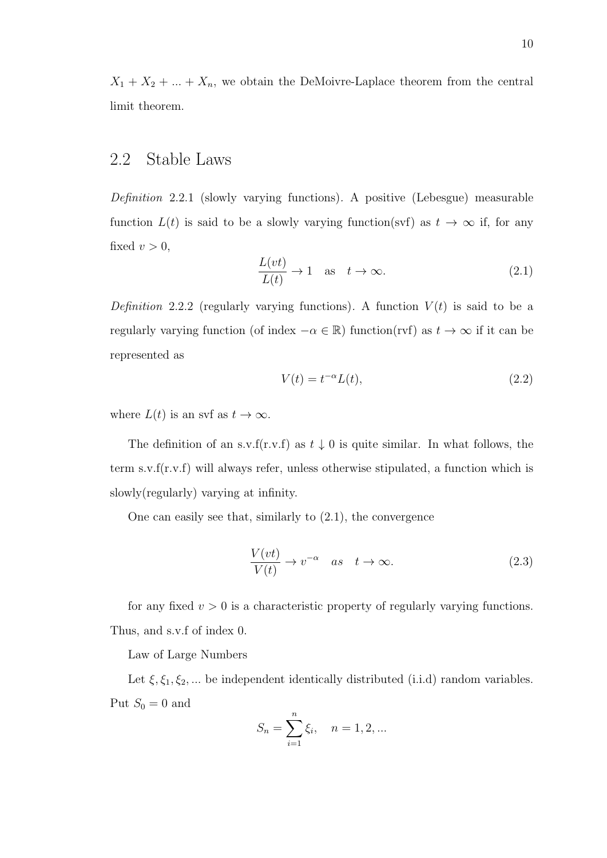$X_1 + X_2 + ... + X_n$ , we obtain the DeMoivre-Laplace theorem from the central limit theorem.

### 2.2 Stable Laws

Definition 2.2.1 (slowly varying functions). A positive (Lebesgue) measurable function  $L(t)$  is said to be a slowly varying function(svf) as  $t \to \infty$  if, for any fixed  $v > 0$ ,

$$
\frac{L(vt)}{L(t)} \to 1 \quad \text{as} \quad t \to \infty. \tag{2.1}
$$

Definition 2.2.2 (regularly varying functions). A function  $V(t)$  is said to be a regularly varying function (of index  $-\alpha \in \mathbb{R}$ ) function(rvf) as  $t \to \infty$  if it can be represented as

$$
V(t) = t^{-\alpha}L(t),\tag{2.2}
$$

where  $L(t)$  is an svf as  $t \to \infty$ .

The definition of an s.v.f(r.v.f) as  $t \downarrow 0$  is quite similar. In what follows, the term s.v.f(r.v.f) will always refer, unless otherwise stipulated, a function which is slowly(regularly) varying at infinity.

One can easily see that, similarly to (2.1), the convergence

$$
\frac{V(vt)}{V(t)} \to v^{-\alpha} \quad as \quad t \to \infty.
$$
 (2.3)

for any fixed  $v > 0$  is a characteristic property of regularly varying functions. Thus, and s.v.f of index 0.

Law of Large Numbers

Let  $\xi, \xi_1, \xi_2, \dots$  be independent identically distributed (i.i.d) random variables. Put  $S_0 = 0$  and

$$
S_n = \sum_{i=1}^n \xi_i, \quad n = 1, 2, ...
$$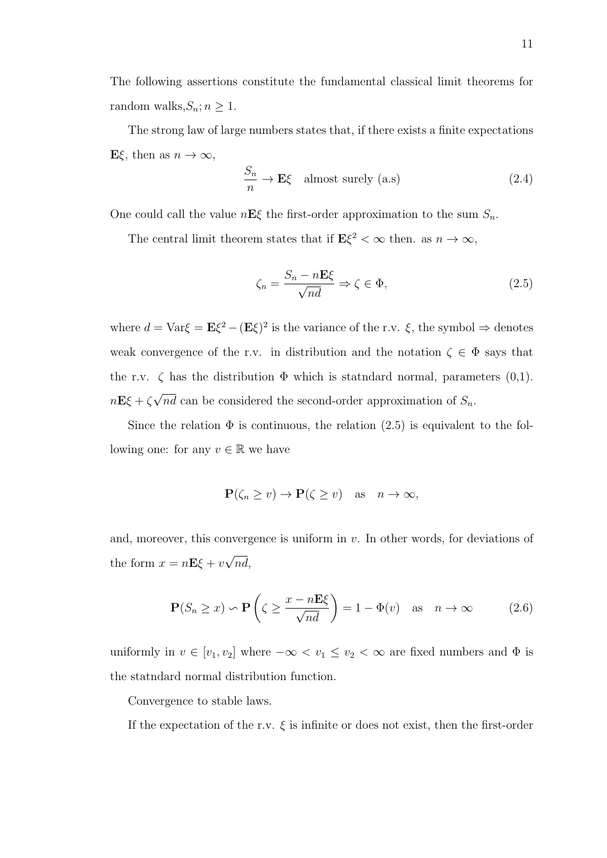The following assertions constitute the fundamental classical limit theorems for random walks,  $S_n$ ;  $n \geq 1$ .

The strong law of large numbers states that, if there exists a finite expectations  $E\xi$ , then as  $n \to \infty$ ,

$$
\frac{S_n}{n} \to \mathbf{E}\xi \quad \text{almost surely (a.s)}\tag{2.4}
$$

One could call the value  $n\mathbf{E}\xi$  the first-order approximation to the sum  $S_n$ .

The central limit theorem states that if  $\mathbf{E}\xi^2 < \infty$  then. as  $n \to \infty$ ,

$$
\zeta_n = \frac{S_n - n\mathbf{E}\xi}{\sqrt{nd}} \Rightarrow \zeta \in \Phi,\tag{2.5}
$$

where  $d = \text{Var}\xi = \mathbf{E}\xi^2 - (\mathbf{E}\xi)^2$  is the variance of the r.v.  $\xi$ , the symbol  $\Rightarrow$  denotes weak convergence of the r.v. in distribution and the notation  $\zeta \in \Phi$  says that the r.v.  $\zeta$  has the distribution  $\Phi$  which is statndard normal, parameters  $(0,1)$ .  $n\mathbf{E}\xi + \zeta$ √ nd can be considered the second-order approximation of  $S_n$ .

Since the relation  $\Phi$  is continuous, the relation (2.5) is equivalent to the following one: for any  $v \in \mathbb{R}$  we have

$$
\mathbf{P}(\zeta_n \ge v) \to \mathbf{P}(\zeta \ge v) \quad \text{as} \quad n \to \infty,
$$

and, moreover, this convergence is uniform in  $v$ . In other words, for deviations of the form  $x = nE\xi + v$ √ nd,

$$
\mathbf{P}(S_n \ge x) \backsim \mathbf{P}\left(\zeta \ge \frac{x - n\mathbf{E}\xi}{\sqrt{nd}}\right) = 1 - \Phi(v) \quad \text{as} \quad n \to \infty \tag{2.6}
$$

uniformly in  $v \in [v_1, v_2]$  where  $-\infty < v_1 \le v_2 < \infty$  are fixed numbers and  $\Phi$  is the statndard normal distribution function.

Convergence to stable laws.

If the expectation of the r.v.  $\xi$  is infinite or does not exist, then the first-order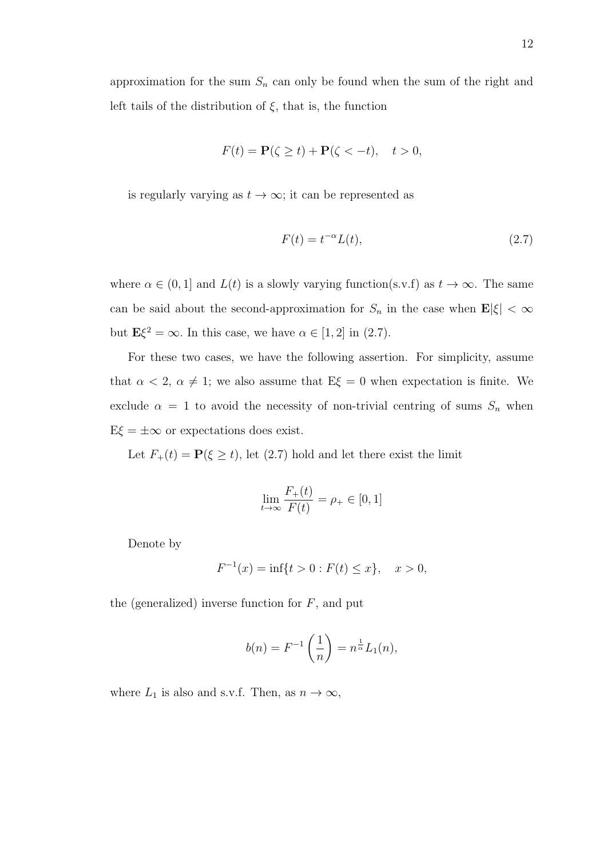$$
F(t) = \mathbf{P}(\zeta \ge t) + \mathbf{P}(\zeta < -t), \quad t > 0,
$$

is regularly varying as  $t \to \infty$ ; it can be represented as

$$
F(t) = t^{-\alpha} L(t),\tag{2.7}
$$

where  $\alpha \in (0,1]$  and  $L(t)$  is a slowly varying function(s.v.f) as  $t \to \infty$ . The same can be said about the second-approximation for  $S_n$  in the case when  $\mathbf{E}|\xi| < \infty$ but  $\mathbf{E}\xi^2 = \infty$ . In this case, we have  $\alpha \in [1, 2]$  in (2.7).

For these two cases, we have the following assertion. For simplicity, assume that  $\alpha < 2$ ,  $\alpha \neq 1$ ; we also assume that  $E\xi = 0$  when expectation is finite. We exclude  $\alpha = 1$  to avoid the necessity of non-trivial centring of sums  $S_n$  when  $E\xi = \pm \infty$  or expectations does exist.

Let  $F_+(t) = \mathbf{P}(\xi \ge t)$ , let (2.7) hold and let there exist the limit

$$
\lim_{t \to \infty} \frac{F_+(t)}{F(t)} = \rho_+ \in [0, 1]
$$

Denote by

$$
F^{-1}(x) = \inf\{t > 0 : F(t) \le x\}, \quad x > 0,
$$

the (generalized) inverse function for  $F$ , and put

$$
b(n) = F^{-1}\left(\frac{1}{n}\right) = n^{\frac{1}{\alpha}}L_1(n),
$$

where  $L_1$  is also and s.v.f. Then, as  $n \to \infty$ ,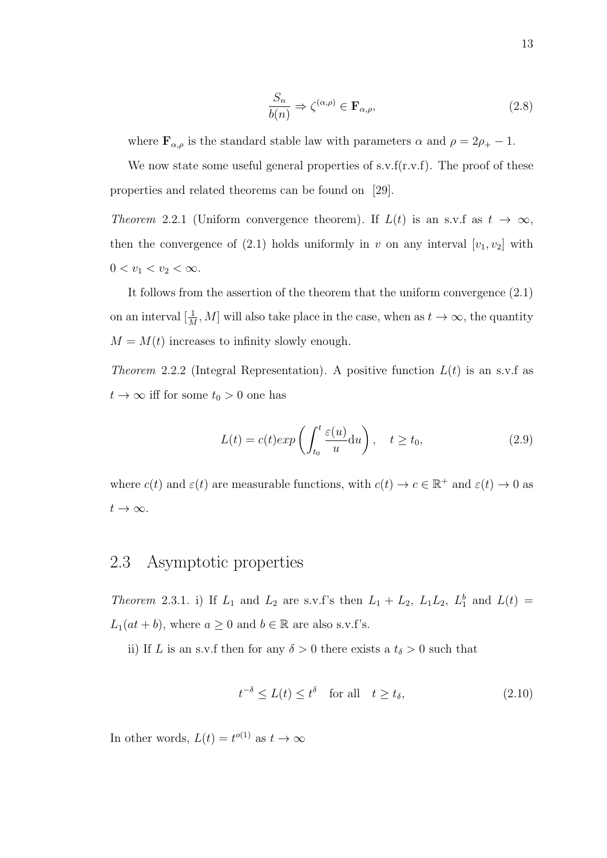$$
\frac{S_n}{b(n)} \Rightarrow \zeta^{(\alpha,\rho)} \in \mathbf{F}_{\alpha,\rho},\tag{2.8}
$$

where  $\mathbf{F}_{\alpha,\rho}$  is the standard stable law with parameters  $\alpha$  and  $\rho = 2\rho_+ - 1$ .

We now state some useful general properties of s.v.f(r.v.f). The proof of these properties and related theorems can be found on [29].

Theorem 2.2.1 (Uniform convergence theorem). If  $L(t)$  is an s.v.f as  $t \to \infty$ , then the convergence of (2.1) holds uniformly in v on any interval  $[v_1, v_2]$  with  $0 < v_1 < v_2 < \infty$ .

It follows from the assertion of the theorem that the uniform convergence (2.1) on an interval  $[\frac{1}{M}, M]$  will also take place in the case, when as  $t \to \infty$ , the quantity  $M = M(t)$  increases to infinity slowly enough.

Theorem 2.2.2 (Integral Representation). A positive function  $L(t)$  is an s.v.f as  $t \to \infty$  iff for some  $t_0 > 0$  one has

$$
L(t) = c(t) exp\left(\int_{t_0}^t \frac{\varepsilon(u)}{u} du\right), \quad t \ge t_0,
$$
\n(2.9)

where  $c(t)$  and  $\varepsilon(t)$  are measurable functions, with  $c(t) \to c \in \mathbb{R}^+$  and  $\varepsilon(t) \to 0$  as  $t\rightarrow\infty.$ 

### 2.3 Asymptotic properties

Theorem 2.3.1. i) If  $L_1$  and  $L_2$  are s.v.f's then  $L_1 + L_2$ ,  $L_1L_2$ ,  $L_1^b$  and  $L(t) =$  $L_1(at + b)$ , where  $a \ge 0$  and  $b \in \mathbb{R}$  are also s.v.f's.

ii) If L is an s.v.f then for any  $\delta > 0$  there exists a  $t_{\delta} > 0$  such that

$$
t^{-\delta} \le L(t) \le t^{\delta} \quad \text{for all} \quad t \ge t_{\delta},\tag{2.10}
$$

In other words,  $L(t) = t^{o(1)}$  as  $t \to \infty$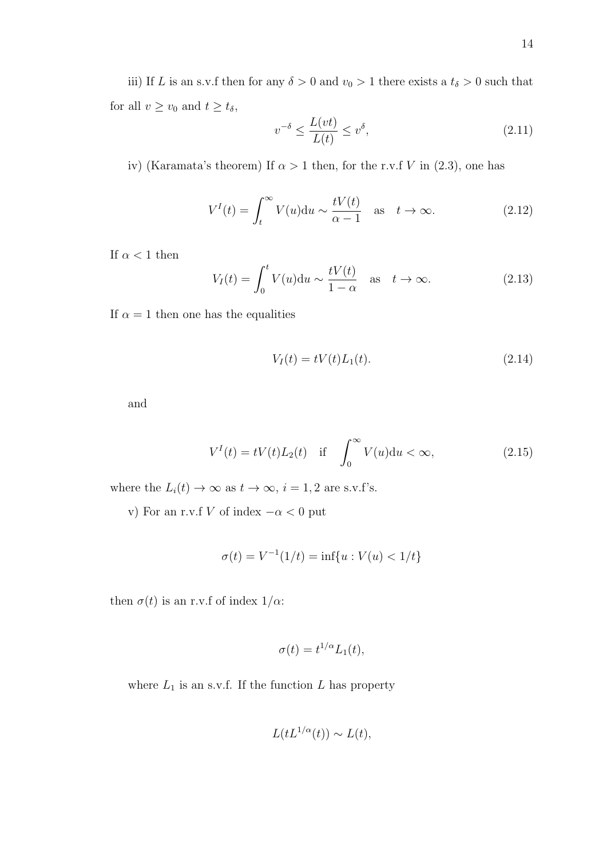iii) If L is an s.v.f then for any  $\delta > 0$  and  $v_0 > 1$  there exists a  $t_\delta > 0$  such that for all  $v \ge v_0$  and  $t \ge t_\delta$ ,

$$
v^{-\delta} \le \frac{L(vt)}{L(t)} \le v^{\delta},\tag{2.11}
$$

iv) (Karamata's theorem) If  $\alpha > 1$  then, for the r.v.f V in (2.3), one has

$$
V^{I}(t) = \int_{t}^{\infty} V(u) \, \mathrm{d}u \sim \frac{tV(t)}{\alpha - 1} \quad \text{as} \quad t \to \infty. \tag{2.12}
$$

If  $\alpha$  < 1 then

$$
V_I(t) = \int_0^t V(u) \mathrm{d}u \sim \frac{tV(t)}{1-\alpha} \quad \text{as} \quad t \to \infty. \tag{2.13}
$$

If  $\alpha = 1$  then one has the equalities

$$
V_I(t) = tV(t)L_1(t).
$$
\n(2.14)

and

$$
V^{I}(t) = tV(t)L_{2}(t) \quad \text{if} \quad \int_{0}^{\infty} V(u) \, \mathrm{d}u < \infty,\tag{2.15}
$$

where the  $L_i(t) \to \infty$  as  $t \to \infty$ ,  $i = 1, 2$  are s.v.f's.

v) For an r.v.f V of index  $-\alpha < 0$  put

$$
\sigma(t) = V^{-1}(1/t) = \inf\{u : V(u) < 1/t\}
$$

then  $\sigma(t)$  is an r.v.f of index  $1/\alpha$ :

$$
\sigma(t) = t^{1/\alpha} L_1(t),
$$

where  $L_1$  is an s.v.f. If the function L has property

$$
L(tL^{1/\alpha}(t)) \sim L(t),
$$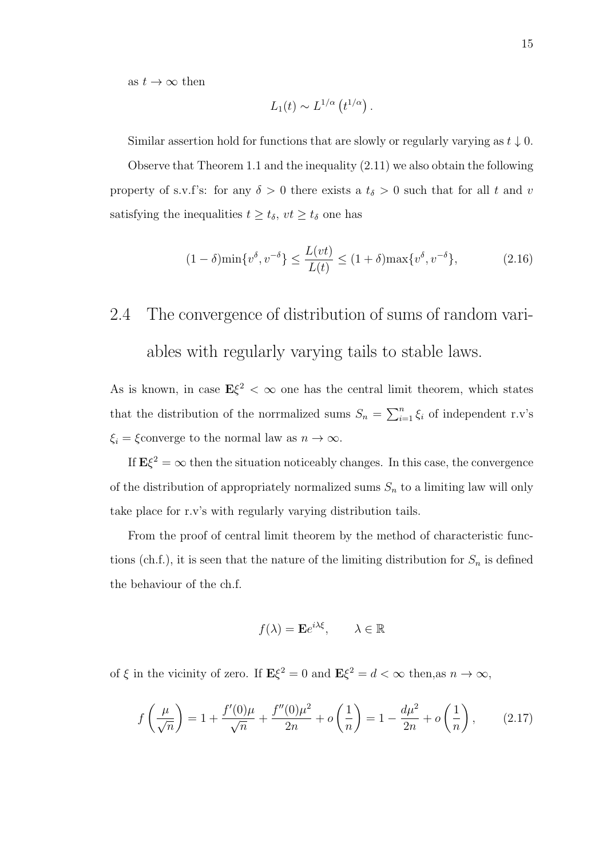as  $t \to \infty$  then

$$
L_1(t) \sim L^{1/\alpha} (t^{1/\alpha}).
$$

Similar assertion hold for functions that are slowly or regularly varying as  $t \downarrow 0$ .

Observe that Theorem 1.1 and the inequality (2.11) we also obtain the following property of s.v.f's: for any  $\delta > 0$  there exists a  $t_{\delta} > 0$  such that for all t and v satisfying the inequalities  $t \ge t_\delta$ ,  $vt \ge t_\delta$  one has

$$
(1 - \delta)\min\{v^{\delta}, v^{-\delta}\} \le \frac{L(vt)}{L(t)} \le (1 + \delta)\max\{v^{\delta}, v^{-\delta}\},\tag{2.16}
$$

# 2.4 The convergence of distribution of sums of random variables with regularly varying tails to stable laws.

As is known, in case  $E\xi^2 < \infty$  one has the central limit theorem, which states that the distribution of the norrmalized sums  $S_n = \sum_{i=1}^n \xi_i$  of independent r.v's  $\xi_i = \xi$ converge to the normal law as  $n \to \infty$ .

If  $E\xi^2 = \infty$  then the situation noticeably changes. In this case, the convergence of the distribution of appropriately normalized sums  $S_n$  to a limiting law will only take place for r.v's with regularly varying distribution tails.

From the proof of central limit theorem by the method of characteristic functions (ch.f.), it is seen that the nature of the limiting distribution for  $S_n$  is defined the behaviour of the ch.f.

$$
f(\lambda) = \mathbf{E}e^{i\lambda\xi}, \qquad \lambda \in \mathbb{R}
$$

of  $\xi$  in the vicinity of zero. If  $\mathbf{E}\xi^2 = 0$  and  $\mathbf{E}\xi^2 = d < \infty$  then, as  $n \to \infty$ ,

$$
f\left(\frac{\mu}{\sqrt{n}}\right) = 1 + \frac{f'(0)\mu}{\sqrt{n}} + \frac{f''(0)\mu^2}{2n} + o\left(\frac{1}{n}\right) = 1 - \frac{d\mu^2}{2n} + o\left(\frac{1}{n}\right),\tag{2.17}
$$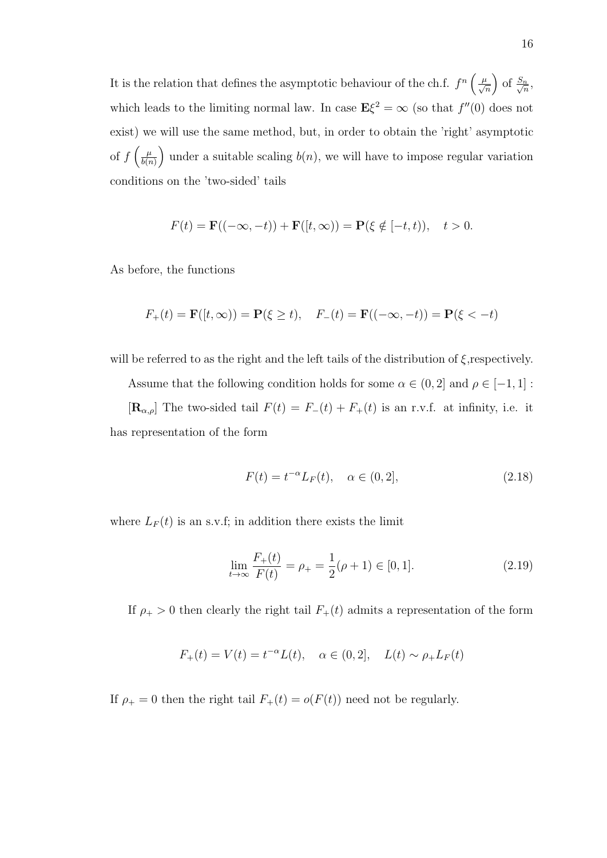It is the relation that defines the asymptotic behaviour of the ch.f.  $f^n\left(\frac{\mu}{\sqrt{n}}\right)$  of  $\frac{S_n}{\sqrt{n}}$  $\frac{n}{n}$ which leads to the limiting normal law. In case  $E\xi^2 = \infty$  (so that  $f''(0)$  does not exist) we will use the same method, but, in order to obtain the 'right' asymptotic of  $f\left(\frac{\mu}{h(x)}\right)$  $\left(\frac{\mu}{b(n)}\right)$  under a suitable scaling  $b(n)$ , we will have to impose regular variation conditions on the 'two-sided' tails

$$
F(t) = \mathbf{F}((-\infty, -t)) + \mathbf{F}([t, \infty)) = \mathbf{P}(\xi \notin [-t, t)), \quad t > 0.
$$

As before, the functions

$$
F_+(t) = \mathbf{F}([t, \infty)) = \mathbf{P}(\xi \ge t), \quad F_-(t) = \mathbf{F}((-\infty, -t)) = \mathbf{P}(\xi < -t)
$$

will be referred to as the right and the left tails of the distribution of  $\xi$ , respectively.

Assume that the following condition holds for some  $\alpha \in (0,2]$  and  $\rho \in [-1,1]$ :

 $[\mathbf{R}_{\alpha,\rho}]$  The two-sided tail  $F(t) = F_-(t) + F_+(t)$  is an r.v.f. at infinity, i.e. it has representation of the form

$$
F(t) = t^{-\alpha} L_F(t), \quad \alpha \in (0, 2], \tag{2.18}
$$

where  $L_F(t)$  is an s.v.f; in addition there exists the limit

$$
\lim_{t \to \infty} \frac{F_+(t)}{F(t)} = \rho_+ = \frac{1}{2}(\rho + 1) \in [0, 1]. \tag{2.19}
$$

If  $\rho_{+} > 0$  then clearly the right tail  $F_{+}(t)$  admits a representation of the form

$$
F_+(t) = V(t) = t^{-\alpha}L(t), \quad \alpha \in (0, 2], \quad L(t) \sim \rho_+ L_F(t)
$$

If  $\rho_+ = 0$  then the right tail  $F_+(t) = o(F(t))$  need not be regularly.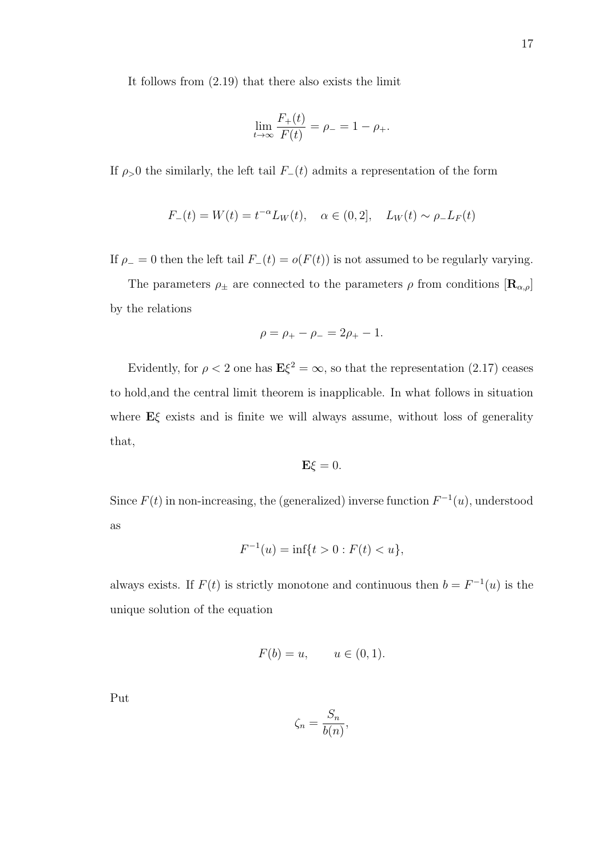It follows from (2.19) that there also exists the limit

$$
\lim_{t \to \infty} \frac{F_+(t)}{F(t)} = \rho_- = 1 - \rho_+.
$$

If  $\rho > 0$  the similarly, the left tail  $F_-(t)$  admits a representation of the form

$$
F_{-}(t) = W(t) = t^{-\alpha} L_W(t), \quad \alpha \in (0, 2], \quad L_W(t) \sim \rho_{-} L_F(t)
$$

If  $\rho_$  = 0 then the left tail  $F_-(t) = o(F(t))$  is not assumed to be regularly varying.

The parameters  $\rho_{\pm}$  are connected to the parameters  $\rho$  from conditions  $[\mathbf{R}_{\alpha,\rho}]$ by the relations

$$
\rho = \rho_+ - \rho_- = 2\rho_+ - 1.
$$

Evidently, for  $\rho < 2$  one has  $E\xi^2 = \infty$ , so that the representation (2.17) ceases to hold,and the central limit theorem is inapplicable. In what follows in situation where  $E\xi$  exists and is finite we will always assume, without loss of generality that,

$$
\mathbf{E}\xi=0.
$$

Since  $F(t)$  in non-increasing, the (generalized) inverse function  $F^{-1}(u)$ , understood as

$$
F^{-1}(u) = \inf\{t > 0 : F(t) < u\},\
$$

always exists. If  $F(t)$  is strictly monotone and continuous then  $b = F^{-1}(u)$  is the unique solution of the equation

$$
F(b) = u, \qquad u \in (0, 1).
$$

Put

$$
\zeta_n = \frac{S_n}{b(n)},
$$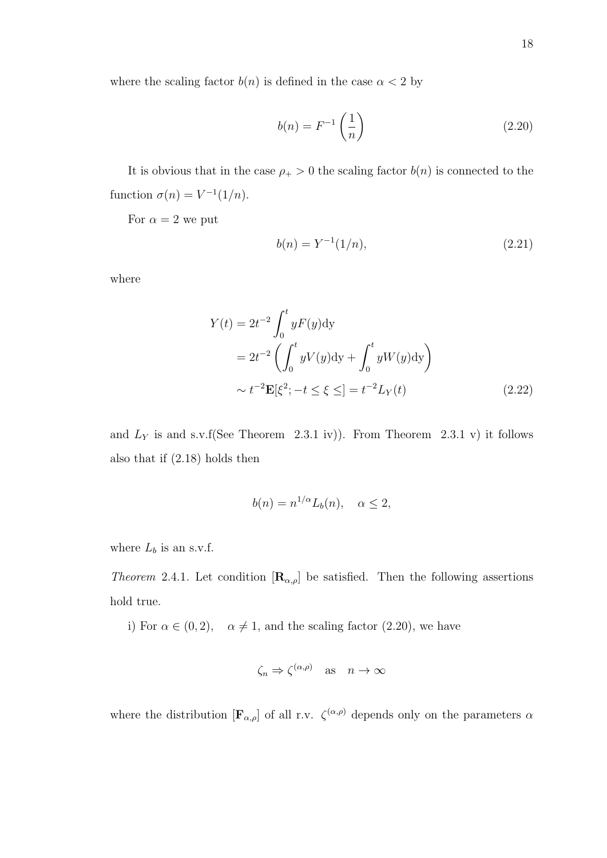where the scaling factor  $b(n)$  is defined in the case  $\alpha < 2$  by

$$
b(n) = F^{-1}\left(\frac{1}{n}\right) \tag{2.20}
$$

It is obvious that in the case  $\rho_{+} > 0$  the scaling factor  $b(n)$  is connected to the function  $\sigma(n) = V^{-1}(1/n)$ .

For  $\alpha = 2$  we put

$$
b(n) = Y^{-1}(1/n),
$$
\n(2.21)

where

$$
Y(t) = 2t^{-2} \int_0^t yF(y)dy
$$
  
=  $2t^{-2} \left( \int_0^t yV(y)dy + \int_0^t yW(y)dy \right)$   
 $\sim t^{-2} \mathbf{E}[\xi^2; -t \le \xi \le ] = t^{-2}L_Y(t)$  (2.22)

and  $L_Y$  is and s.v.f(See Theorem 2.3.1 iv)). From Theorem 2.3.1 v) it follows also that if (2.18) holds then

$$
b(n) = n^{1/\alpha} L_b(n), \quad \alpha \le 2,
$$

where  $L_b$  is an s.v.f.

*Theorem* 2.4.1. Let condition  $[\mathbf{R}_{\alpha,\rho}]$  be satisfied. Then the following assertions hold true.

i) For  $\alpha \in (0, 2)$ ,  $\alpha \neq 1$ , and the scaling factor (2.20), we have

$$
\zeta_n \Rightarrow \zeta^{(\alpha,\rho)} \quad \text{as} \quad n \to \infty
$$

where the distribution  $[\mathbf{F}_{\alpha,\rho}]$  of all r.v.  $\zeta^{(\alpha,\rho)}$  depends only on the parameters  $\alpha$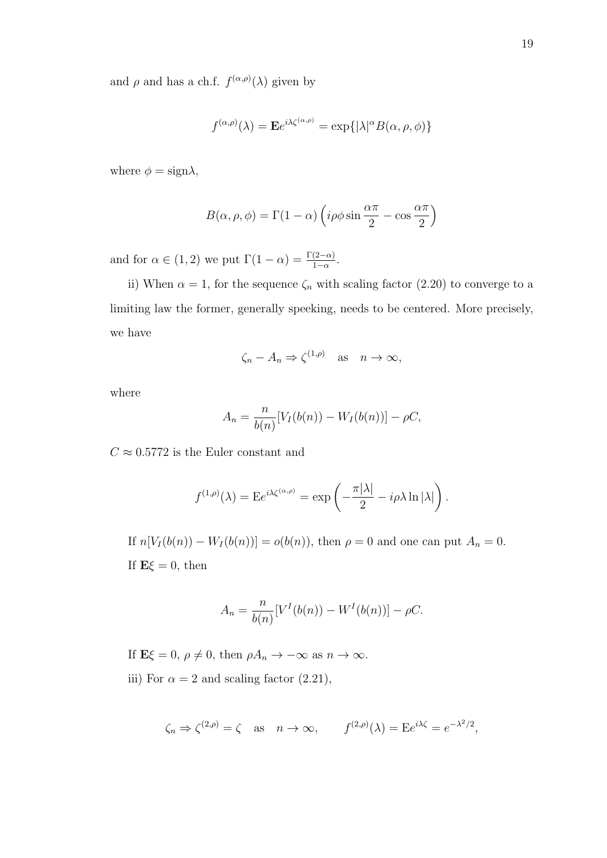and  $\rho$  and has a ch.f.  $f^{(\alpha,\rho)}(\lambda)$  given by

$$
f^{(\alpha,\rho)}(\lambda) = \mathbf{E}e^{i\lambda\zeta^{(\alpha,\rho)}} = \exp\{|\lambda|^{\alpha}B(\alpha,\rho,\phi)\}\
$$

where  $\phi = \text{sign}\lambda$ ,

$$
B(\alpha, \rho, \phi) = \Gamma(1 - \alpha) \left( i \rho \phi \sin \frac{\alpha \pi}{2} - \cos \frac{\alpha \pi}{2} \right)
$$

and for  $\alpha \in (1,2)$  we put  $\Gamma(1-\alpha) = \frac{\Gamma(2-\alpha)}{1-\alpha}$ .

ii) When  $\alpha = 1$ , for the sequence  $\zeta_n$  with scaling factor (2.20) to converge to a limiting law the former, generally speeking, needs to be centered. More precisely, we have

$$
\zeta_n - A_n \Rightarrow \zeta^{(1,\rho)} \quad \text{as} \quad n \to \infty,
$$

where

$$
A_n = \frac{n}{b(n)}[V_I(b(n)) - W_I(b(n))] - \rho C,
$$

 $C\approx 0.5772$  is the Euler constant and

$$
f^{(1,\rho)}(\lambda) = \mathbb{E}e^{i\lambda\zeta^{(\alpha,\rho)}} = \exp\left(-\frac{\pi|\lambda|}{2} - i\rho\lambda\ln|\lambda|\right).
$$

If  $n[V_I(b(n)) - W_I(b(n))] = o(b(n))$ , then  $\rho = 0$  and one can put  $A_n = 0$ . If  $E\xi = 0$ , then

$$
A_n = \frac{n}{b(n)}[V^I(b(n)) - W^I(b(n))] - \rho C.
$$

If  $\mathbf{E}\xi = 0, \, \rho \neq 0$ , then  $\rho A_n \to -\infty$  as  $n \to \infty$ . iii) For  $\alpha = 2$  and scaling factor (2.21),

$$
\zeta_n \Rightarrow \zeta^{(2,\rho)} = \zeta \text{ as } n \to \infty,
$$
  $f^{(2,\rho)}(\lambda) = Ee^{i\lambda \zeta} = e^{-\lambda^2/2},$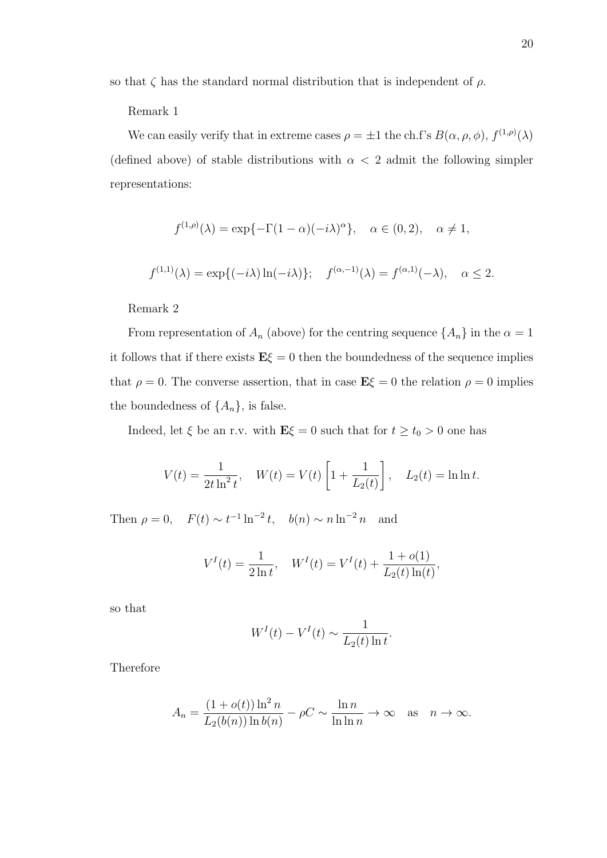so that  $\zeta$  has the standard normal distribution that is independent of  $\rho$ .

#### Remark 1

We can easily verify that in extreme cases  $\rho = \pm 1$  the ch.f's  $B(\alpha, \rho, \phi), f^{(1,\rho)}(\lambda)$ (defined above) of stable distributions with  $\alpha$  < 2 admit the following simpler representations:

$$
f^{(1,\rho)}(\lambda) = \exp\{-\Gamma(1-\alpha)(-i\lambda)^{\alpha}\}, \quad \alpha \in (0,2), \quad \alpha \neq 1,
$$
  

$$
f^{(1,1)}(\lambda) = \exp\{(-i\lambda)\ln(-i\lambda)\}; \quad f^{(\alpha,-1)}(\lambda) = f^{(\alpha,1)}(-\lambda), \quad \alpha \leq 2.
$$

Remark 2

From representation of  $A_n$  (above) for the centring sequence  $\{A_n\}$  in the  $\alpha = 1$ it follows that if there exists  $E\xi = 0$  then the boundedness of the sequence implies that  $\rho = 0$ . The converse assertion, that in case  $\mathbf{E}\xi = 0$  the relation  $\rho = 0$  implies the boundedness of  $\{A_n\}$ , is false.

Indeed, let  $\xi$  be an r.v. with  $\mathbf{E}\xi = 0$  such that for  $t \ge t_0 > 0$  one has

$$
V(t) = \frac{1}{2t \ln^2 t}, \quad W(t) = V(t) \left[ 1 + \frac{1}{L_2(t)} \right], \quad L_2(t) = \ln \ln t.
$$

Then  $\rho = 0$ ,  $F(t) \sim t^{-1} \ln^{-2} t$ ,  $b(n) \sim n \ln^{-2} n$  and

$$
V^{I}(t) = \frac{1}{2 \ln t}, \quad W^{I}(t) = V^{I}(t) + \frac{1 + o(1)}{L_{2}(t) \ln(t)},
$$

so that

$$
W^{I}(t) - V^{I}(t) \sim \frac{1}{L_2(t)\ln t}.
$$

Therefore

$$
A_n = \frac{(1 + o(t)) \ln^2 n}{L_2(b(n)) \ln b(n)} - \rho C \sim \frac{\ln n}{\ln \ln n} \to \infty \quad \text{as} \quad n \to \infty.
$$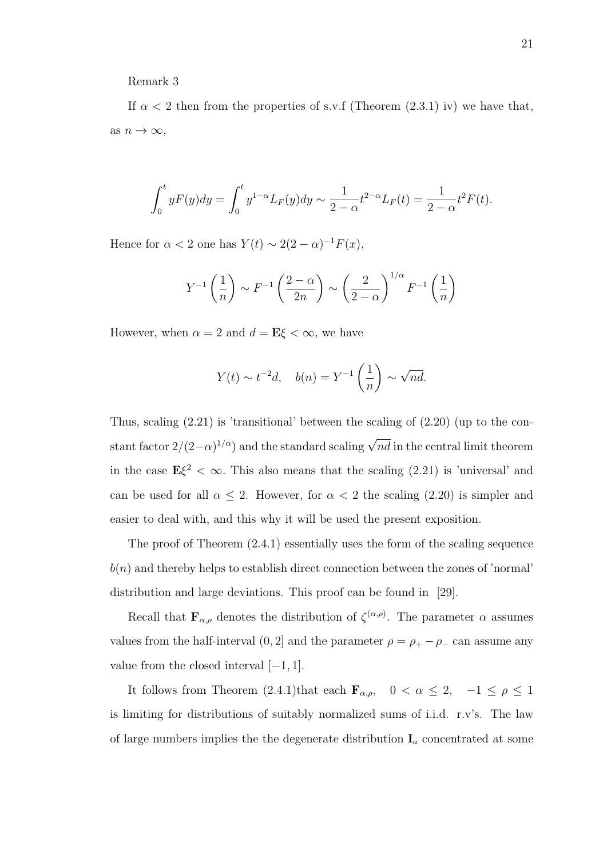Remark 3

If  $\alpha$  < 2 then from the properties of s.v.f (Theorem (2.3.1) iv) we have that, as  $n \to \infty$ ,

$$
\int_0^t y F(y) dy = \int_0^t y^{1-\alpha} L_F(y) dy \sim \frac{1}{2-\alpha} t^{2-\alpha} L_F(t) = \frac{1}{2-\alpha} t^2 F(t).
$$

Hence for  $\alpha < 2$  one has  $Y(t) \sim 2(2-\alpha)^{-1}F(x)$ ,

$$
Y^{-1}\left(\frac{1}{n}\right) \sim F^{-1}\left(\frac{2-\alpha}{2n}\right) \sim \left(\frac{2}{2-\alpha}\right)^{1/\alpha} F^{-1}\left(\frac{1}{n}\right)
$$

However, when  $\alpha = 2$  and  $d = \mathbf{E}\xi < \infty$ , we have

$$
Y(t) \sim t^{-2}d, \quad b(n) = Y^{-1}\left(\frac{1}{n}\right) \sim \sqrt{nd}.
$$

Thus, scaling  $(2.21)$  is 'transitional' between the scaling of  $(2.20)$  (up to the constant factor  $2/(2-\alpha)^{1/\alpha}$ ) and the standard scaling  $\sqrt{nd}$  in the central limit theorem in the case  $E\xi^2 < \infty$ . This also means that the scaling (2.21) is 'universal' and can be used for all  $\alpha \leq 2$ . However, for  $\alpha < 2$  the scaling (2.20) is simpler and easier to deal with, and this why it will be used the present exposition.

The proof of Theorem (2.4.1) essentially uses the form of the scaling sequence  $b(n)$  and thereby helps to establish direct connection between the zones of 'normal' distribution and large deviations. This proof can be found in [29].

Recall that  $\mathbf{F}_{\alpha,\rho}$  denotes the distribution of  $\zeta^{(\alpha,\rho)}$ . The parameter  $\alpha$  assumes values from the half-interval  $(0, 2]$  and the parameter  $\rho = \rho_+ - \rho_-$  can assume any value from the closed interval  $[-1, 1]$ .

It follows from Theorem (2.4.1)that each  $\mathbf{F}_{\alpha,\rho}$ ,  $0 < \alpha \leq 2$ ,  $-1 \leq \rho \leq 1$ is limiting for distributions of suitably normalized sums of i.i.d. r.v's. The law of large numbers implies the the degenerate distribution  $I_a$  concentrated at some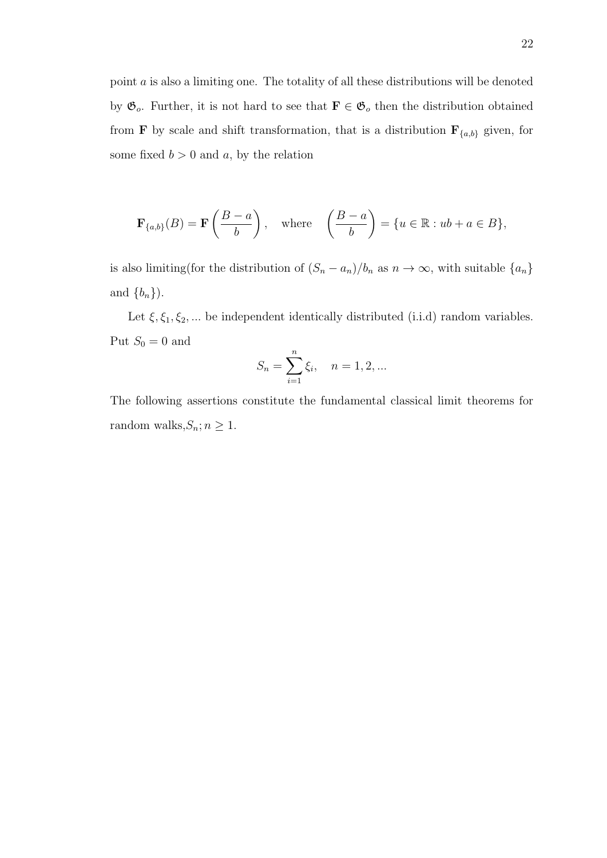point a is also a limiting one. The totality of all these distributions will be denoted by  $\mathfrak{G}_o$ . Further, it is not hard to see that  $\mathbf{F} \in \mathfrak{G}_o$  then the distribution obtained from **F** by scale and shift transformation, that is a distribution  $\mathbf{F}_{\{a,b\}}$  given, for some fixed  $b > 0$  and a, by the relation

$$
\mathbf{F}_{\{a,b\}}(B) = \mathbf{F}\left(\frac{B-a}{b}\right), \quad \text{where} \quad \left(\frac{B-a}{b}\right) = \{u \in \mathbb{R} : ub + a \in B\},\
$$

is also limiting(for the distribution of  $(S_n - a_n)/b_n$  as  $n \to \infty$ , with suitable  $\{a_n\}$ and  ${b_n}$ ).

Let  $\xi, \xi_1, \xi_2, \dots$  be independent identically distributed (i.i.d) random variables. Put  $S_0 = 0$  and

$$
S_n = \sum_{i=1}^n \xi_i, \quad n = 1, 2, \dots
$$

The following assertions constitute the fundamental classical limit theorems for random walks, $S_n; n \geq 1$ .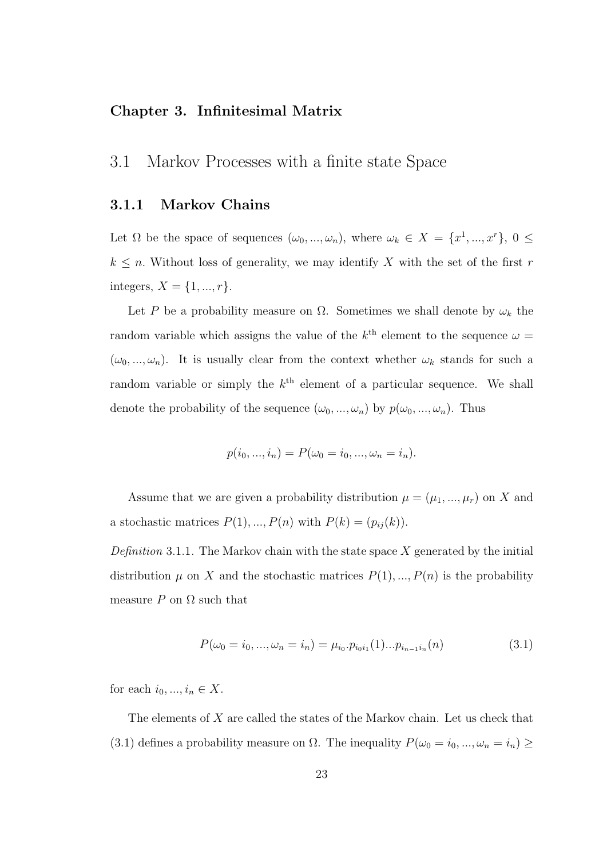#### Chapter 3. Infinitesimal Matrix

## 3.1 Markov Processes with a finite state Space

#### 3.1.1 Markov Chains

Let  $\Omega$  be the space of sequences  $(\omega_0, ..., \omega_n)$ , where  $\omega_k \in X = \{x^1, ..., x^r\}, 0 \leq$  $k \leq n$ . Without loss of generality, we may identify X with the set of the first r integers,  $X = \{1, ..., r\}.$ 

Let P be a probability measure on  $\Omega$ . Sometimes we shall denote by  $\omega_k$  the random variable which assigns the value of the  $k^{\text{th}}$  element to the sequence  $\omega =$  $(\omega_0, ..., \omega_n)$ . It is usually clear from the context whether  $\omega_k$  stands for such a random variable or simply the  $k^{\text{th}}$  element of a particular sequence. We shall denote the probability of the sequence  $(\omega_0, ..., \omega_n)$  by  $p(\omega_0, ..., \omega_n)$ . Thus

$$
p(i_0, ..., i_n) = P(\omega_0 = i_0, ..., \omega_n = i_n).
$$

Assume that we are given a probability distribution  $\mu = (\mu_1, ..., \mu_r)$  on X and a stochastic matrices  $P(1), ..., P(n)$  with  $P(k) = (p_{ij}(k)).$ 

Definition 3.1.1. The Markov chain with the state space  $X$  generated by the initial distribution  $\mu$  on X and the stochastic matrices  $P(1), ..., P(n)$  is the probability measure P on  $\Omega$  such that

$$
P(\omega_0 = i_0, ..., \omega_n = i_n) = \mu_{i_0} \cdot p_{i_0 i_1}(1) \cdot \ldots \cdot p_{i_{n-1} i_n}(n) \tag{3.1}
$$

for each  $i_0, ..., i_n \in X$ .

The elements of X are called the states of the Markov chain. Let us check that (3.1) defines a probability measure on  $\Omega$ . The inequality  $P(\omega_0 = i_0, ..., \omega_n = i_n) \geq$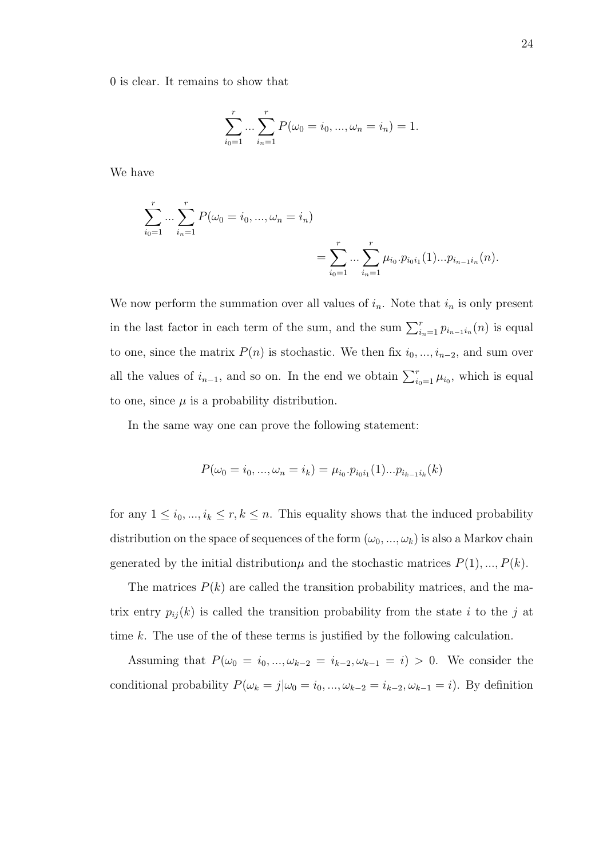0 is clear. It remains to show that

$$
\sum_{i_0=1}^r \dots \sum_{i_n=1}^r P(\omega_0 = i_0, ..., \omega_n = i_n) = 1.
$$

We have

$$
\sum_{i_0=1}^r \dots \sum_{i_n=1}^r P(\omega_0 = i_0, ..., \omega_n = i_n)
$$
  
= 
$$
\sum_{i_0=1}^r \dots \sum_{i_n=1}^r \mu_{i_0} \cdot p_{i_0 i_1}(1) \dots p_{i_{n-1} i_n}(n).
$$

We now perform the summation over all values of  $i_n$ . Note that  $i_n$  is only present in the last factor in each term of the sum, and the sum  $\sum_{i=1}^{r} p_{i_{n-1}i_n}(n)$  is equal to one, since the matrix  $P(n)$  is stochastic. We then fix  $i_0, ..., i_{n-2}$ , and sum over all the values of  $i_{n-1}$ , and so on. In the end we obtain  $\sum_{i=1}^{r} \mu_{i_0}$ , which is equal to one, since  $\mu$  is a probability distribution.

In the same way one can prove the following statement:

$$
P(\omega_0 = i_0, ..., \omega_n = i_k) = \mu_{i_0} \cdot p_{i_0 i_1}(1) ... p_{i_{k-1} i_k}(k)
$$

for any  $1 \leq i_0, ..., i_k \leq r, k \leq n$ . This equality shows that the induced probability distribution on the space of sequences of the form  $(\omega_0, ..., \omega_k)$  is also a Markov chain generated by the initial distribution  $\mu$  and the stochastic matrices  $P(1), ..., P(k)$ .

The matrices  $P(k)$  are called the transition probability matrices, and the matrix entry  $p_{ij}(k)$  is called the transition probability from the state i to the j at time k. The use of the of these terms is justified by the following calculation.

Assuming that  $P(\omega_0 = i_0, ..., \omega_{k-2} = i_{k-2}, \omega_{k-1} = i) > 0$ . We consider the conditional probability  $P(\omega_k = j | \omega_0 = i_0, ..., \omega_{k-2} = i_{k-2}, \omega_{k-1} = i)$ . By definition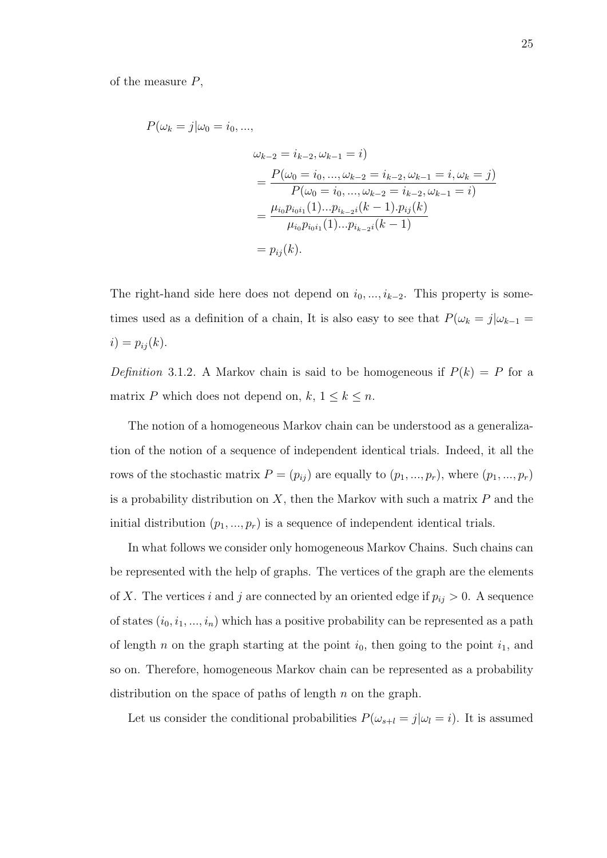of the measure  $P$ ,

$$
P(\omega_k = j | \omega_0 = i_0, ...,
$$
  
\n
$$
\omega_{k-2} = i_{k-2}, \omega_{k-1} = i)
$$
  
\n
$$
= \frac{P(\omega_0 = i_0, ..., \omega_{k-2} = i_{k-2}, \omega_{k-1} = i, \omega_k = j)}{P(\omega_0 = i_0, ..., \omega_{k-2} = i_{k-2}, \omega_{k-1} = i)}
$$
  
\n
$$
= \frac{\mu_{i_0} p_{i_0 i_1}(1) ... p_{i_{k-2} i}(k-1) p_{i_j}(k)}{\mu_{i_0} p_{i_0 i_1}(1) ... p_{i_{k-2} i}(k-1)}
$$
  
\n
$$
= p_{ij}(k).
$$

The right-hand side here does not depend on  $i_0, ..., i_{k-2}$ . This property is sometimes used as a definition of a chain, It is also easy to see that  $P(\omega_k = j | \omega_{k-1} =$  $i) = p_{ij}(k).$ 

Definition 3.1.2. A Markov chain is said to be homogeneous if  $P(k) = P$  for a matrix P which does not depend on,  $k, 1 \leq k \leq n$ .

The notion of a homogeneous Markov chain can be understood as a generalization of the notion of a sequence of independent identical trials. Indeed, it all the rows of the stochastic matrix  $P = (p_{ij})$  are equally to  $(p_1, ..., p_r)$ , where  $(p_1, ..., p_r)$ is a probability distribution on  $X$ , then the Markov with such a matrix  $P$  and the initial distribution  $(p_1, ..., p_r)$  is a sequence of independent identical trials.

In what follows we consider only homogeneous Markov Chains. Such chains can be represented with the help of graphs. The vertices of the graph are the elements of X. The vertices i and j are connected by an oriented edge if  $p_{ij} > 0$ . A sequence of states  $(i_0, i_1, ..., i_n)$  which has a positive probability can be represented as a path of length n on the graph starting at the point  $i_0$ , then going to the point  $i_1$ , and so on. Therefore, homogeneous Markov chain can be represented as a probability distribution on the space of paths of length  $n$  on the graph.

Let us consider the conditional probabilities  $P(\omega_{s+l} = j | \omega_l = i)$ . It is assumed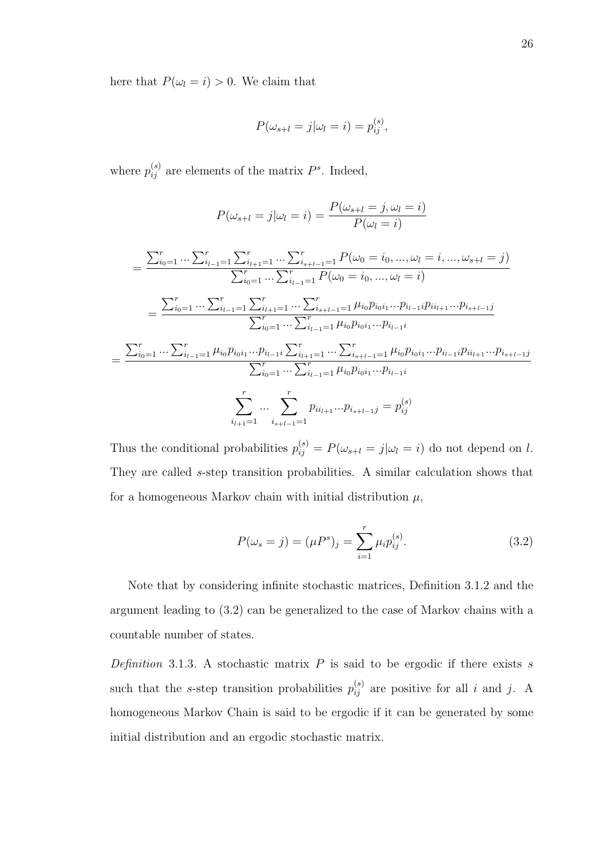here that  $P(\omega_l = i) > 0$ . We claim that

$$
P(\omega_{s+l}=j|\omega_l=i)=p_{ij}^{(s)},
$$

where  $p_{ij}^{(s)}$  are elements of the matrix  $P^s$ . Indeed,

$$
P(\omega_{s+l} = j | \omega_l = i) = \frac{P(\omega_{s+l} = j, \omega_l = i)}{P(\omega_l = i)}
$$
  

$$
= \frac{\sum_{i_0=1}^r \dots \sum_{i_{l-1}=1}^r \sum_{i_{l+1}=1}^r \dots \sum_{i_{s+l-1}=1}^r P(\omega_0 = i_0, ..., \omega_l = i, ..., \omega_{s+l} = j)}{\sum_{i_0=1}^r \dots \sum_{i_{l-1}=1}^r P(\omega_0 = i_0, ..., \omega_l = i)}
$$
  

$$
= \frac{\sum_{i_0=1}^r \dots \sum_{i_{l-1}=1}^r \sum_{i_{l+1}=1}^r \dots \sum_{i_{s+l-1}=1}^r \mu_{i_0} p_{i_0 i_1} \dots p_{i_{l-1} i} p_{i_{l+1} \dots} p_{i_{s+l-1} j}}{\sum_{i_0=1}^r \dots \sum_{i_{l-1}=1}^r \mu_{i_0} p_{i_0 i_1} \dots p_{i_{l-1} i}}
$$
  

$$
= \frac{\sum_{i_0=1}^r \dots \sum_{i_{l-1}=1}^r \mu_{i_0} p_{i_0 i_1} \dots p_{i_{l-1} i} \sum_{i_{l+1}=1}^r \dots \sum_{i_{s+l-1}=1}^r \mu_{i_0} p_{i_0 i_1} \dots p_{i_{l-1} i} p_{i_{l+1} \dots} p_{i_{s+l-1} j}}{\sum_{i_0=1}^r \dots \sum_{i_{l-1}=1}^r \mu_{i_0} p_{i_0 i_1} \dots p_{i_{l-1} i}}
$$
  

$$
\sum_{i_{l+1}=1}^r \dots \sum_{i_{s+l-1}=1}^r p_{i i_{l+1} \dots} p_{i_{s+l-1} j} = p_{i j}^{(s)}
$$

Thus the conditional probabilities  $p_{ij}^{(s)} = P(\omega_{s+l} = j | \omega_l = i)$  do not depend on l. They are called s-step transition probabilities. A similar calculation shows that for a homogeneous Markov chain with initial distribution  $\mu$ ,

$$
P(\omega_s = j) = (\mu P^s)_j = \sum_{i=1}^r \mu_i p_{ij}^{(s)}.
$$
\n(3.2)

Note that by considering infinite stochastic matrices, Definition 3.1.2 and the argument leading to (3.2) can be generalized to the case of Markov chains with a countable number of states.

Definition 3.1.3. A stochastic matrix  $P$  is said to be ergodic if there exists  $s$ such that the s-step transition probabilities  $p_{ij}^{(s)}$  are positive for all i and j. A homogeneous Markov Chain is said to be ergodic if it can be generated by some initial distribution and an ergodic stochastic matrix.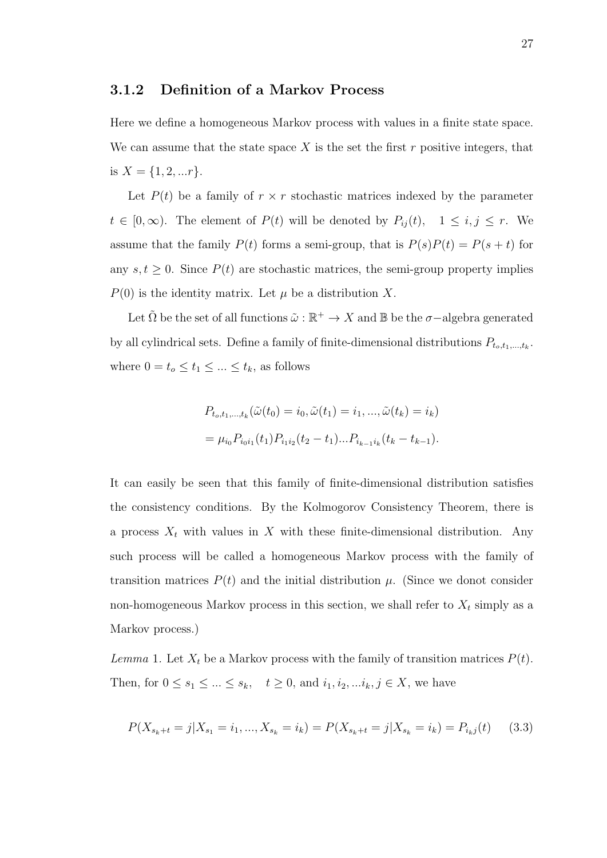#### 3.1.2 Definition of a Markov Process

Here we define a homogeneous Markov process with values in a finite state space. We can assume that the state space  $X$  is the set the first  $r$  positive integers, that is  $X = \{1, 2, ...r\}.$ 

Let  $P(t)$  be a family of  $r \times r$  stochastic matrices indexed by the parameter  $t \in [0,\infty)$ . The element of  $P(t)$  will be denoted by  $P_{ij}(t)$ ,  $1 \le i, j \le r$ . We assume that the family  $P(t)$  forms a semi-group, that is  $P(s)P(t) = P(s + t)$  for any  $s, t \geq 0$ . Since  $P(t)$  are stochastic matrices, the semi-group property implies  $P(0)$  is the identity matrix. Let  $\mu$  be a distribution X.

Let  $\tilde{\Omega}$  be the set of all functions  $\tilde{\omega}: \mathbb{R}^+ \to X$  and  $\mathbb{B}$  be the  $\sigma$ -algebra generated by all cylindrical sets. Define a family of finite-dimensional distributions  $P_{t_o,t_1,\dots,t_k}$ . where  $0 = t_o \le t_1 \le \dots \le t_k$ , as follows

$$
P_{t_o, t_1, \dots, t_k}(\tilde{\omega}(t_0) = i_0, \tilde{\omega}(t_1) = i_1, \dots, \tilde{\omega}(t_k) = i_k)
$$
  
=  $\mu_{i_0} P_{i_0 i_1}(t_1) P_{i_1 i_2}(t_2 - t_1) \dots P_{i_{k-1} i_k}(t_k - t_{k-1}).$ 

It can easily be seen that this family of finite-dimensional distribution satisfies the consistency conditions. By the Kolmogorov Consistency Theorem, there is a process  $X_t$  with values in X with these finite-dimensional distribution. Any such process will be called a homogeneous Markov process with the family of transition matrices  $P(t)$  and the initial distribution  $\mu$ . (Since we donot consider non-homogeneous Markov process in this section, we shall refer to  $X_t$  simply as a Markov process.)

Lemma 1. Let  $X_t$  be a Markov process with the family of transition matrices  $P(t)$ . Then, for  $0 \le s_1 \le ... \le s_k$ ,  $t \ge 0$ , and  $i_1, i_2, ... i_k, j \in X$ , we have

$$
P(X_{s_k+t} = j | X_{s_1} = i_1, ..., X_{s_k} = i_k) = P(X_{s_k+t} = j | X_{s_k} = i_k) = P_{i_kj}(t) \tag{3.3}
$$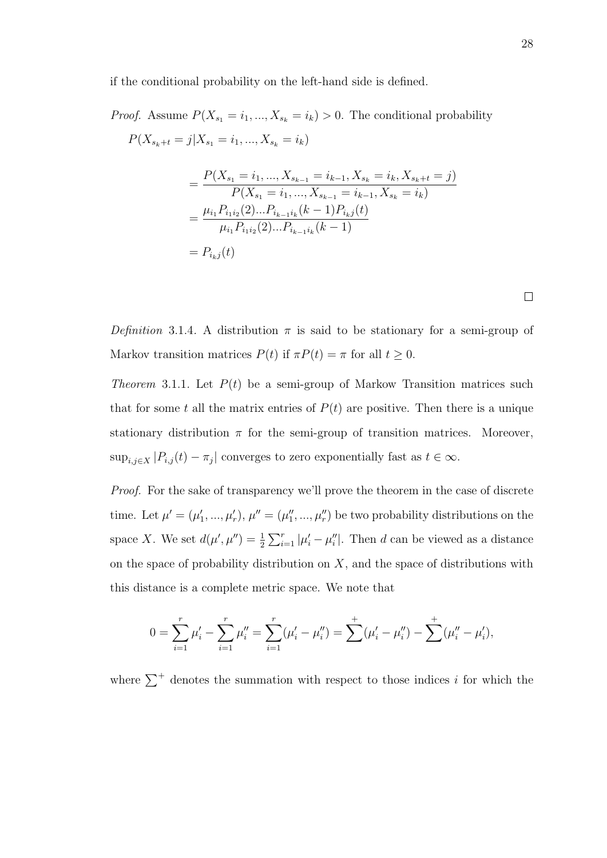if the conditional probability on the left-hand side is defined.

*Proof.* Assume  $P(X_{s_1} = i_1, ..., X_{s_k} = i_k) > 0$ . The conditional probability  $P(X_{s_k+t} = j | X_{s_1} = i_1, ..., X_{s_k} = i_k)$  $=\frac{P(X_{s_1}=i_1,...,X_{s_{k-1}}=i_{k-1},X_{s_k}=i_k,X_{s_k+t}=j)}{P(X_{s_1}=i_1,...,X_{s_{k-1}}=i_k, X_{s_k+t}=j)}$  $P(X_{s_1} = i_1, ..., X_{s_{k-1}} = i_{k-1}, X_{s_k} = i_k)$  $=\frac{\mu_{i_1}P_{i_1i_2}(2)...P_{i_{k-1}i_k}(k-1)P_{i_kj}(t)}{P_{i_1}(2)...P_{i_{k-1}i_k}(k-1)}$  $\mu_{i_1} P_{i_1 i_2}(2)...P_{i_{k-1} i_k}(k-1)$ 

$$
= P_{i_k j}(t)
$$

 $\Box$ 

Definition 3.1.4. A distribution  $\pi$  is said to be stationary for a semi-group of Markov transition matrices  $P(t)$  if  $\pi P(t) = \pi$  for all  $t \ge 0$ .

*Theorem* 3.1.1. Let  $P(t)$  be a semi-group of Markow Transition matrices such that for some t all the matrix entries of  $P(t)$  are positive. Then there is a unique stationary distribution  $\pi$  for the semi-group of transition matrices. Moreover,  $\sup_{i,j\in X}|P_{i,j}(t)-\pi_j|$  converges to zero exponentially fast as  $t\in\infty$ .

Proof. For the sake of transparency we'll prove the theorem in the case of discrete time. Let  $\mu' = (\mu'_1, ..., \mu'_r), \mu'' = (\mu''_1, ..., \mu''_r)$  be two probability distributions on the space X. We set  $d(\mu', \mu'') = \frac{1}{2} \sum_{i=1}^r |\mu'_i - \mu''_i|$ . Then d can be viewed as a distance on the space of probability distribution on  $X$ , and the space of distributions with this distance is a complete metric space. We note that

$$
0 = \sum_{i=1}^r \mu'_i - \sum_{i=1}^r \mu''_i = \sum_{i=1}^r (\mu'_i - \mu''_i) = \sum_{i=1}^r (\mu'_i - \mu''_i) - \sum_{i=1}^r (\mu''_i - \mu'_i),
$$

where  $\sum^+$  denotes the summation with respect to those indices i for which the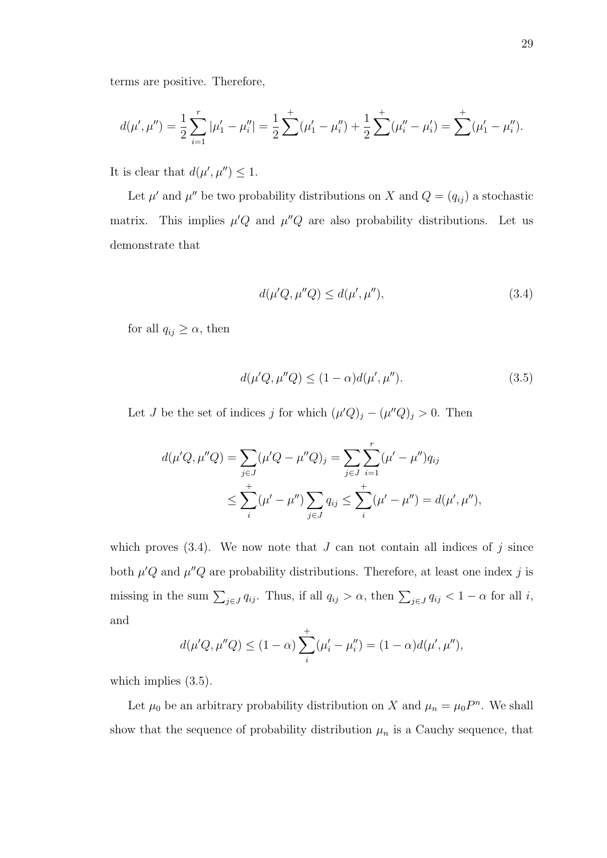$$
d(\mu', \mu'') = \frac{1}{2} \sum_{i=1}^r |\mu'_1 - \mu''_i| = \frac{1}{2} \sum_{i=1}^r (\mu'_1 - \mu''_i) + \frac{1}{2} \sum_{i=1}^r (\mu''_i - \mu'_i) = \sum_{i=1}^r (\mu'_1 - \mu''_i).
$$

It is clear that  $d(\mu', \mu'') \leq 1$ .

Let  $\mu'$  and  $\mu''$  be two probability distributions on X and  $Q = (q_{ij})$  a stochastic matrix. This implies  $\mu'Q$  and  $\mu''Q$  are also probability distributions. Let us demonstrate that

$$
d(\mu'Q, \mu''Q) \le d(\mu', \mu''),\tag{3.4}
$$

for all  $q_{ij} \geq \alpha$ , then

$$
d(\mu'Q, \mu''Q) \le (1 - \alpha)d(\mu', \mu'').
$$
\n(3.5)

Let *J* be the set of indices *j* for which  $(\mu'Q)_j - (\mu''Q)_j > 0$ . Then

$$
d(\mu'Q, \mu''Q) = \sum_{j \in J} (\mu'Q - \mu''Q)_j = \sum_{j \in J} \sum_{i=1}^r (\mu' - \mu'')q_{ij}
$$
  

$$
\leq \sum_{i}^+ (\mu' - \mu'') \sum_{j \in J} q_{ij} \leq \sum_{i}^+ (\mu' - \mu'') = d(\mu', \mu''),
$$

which proves  $(3.4)$ . We now note that J can not contain all indices of j since both  $\mu'Q$  and  $\mu''Q$  are probability distributions. Therefore, at least one index j is missing in the sum  $\sum_{j\in J} q_{ij}$ . Thus, if all  $q_{ij} > \alpha$ , then  $\sum_{j\in J} q_{ij} < 1 - \alpha$  for all i, and

$$
d(\mu'Q, \mu''Q) \le (1 - \alpha) \sum_{i}^{+} (\mu'_{i} - \mu''_{i}) = (1 - \alpha)d(\mu', \mu''),
$$

which implies  $(3.5)$ .

Let  $\mu_0$  be an arbitrary probability distribution on X and  $\mu_n = \mu_0 P^n$ . We shall show that the sequence of probability distribution  $\mu_n$  is a Cauchy sequence, that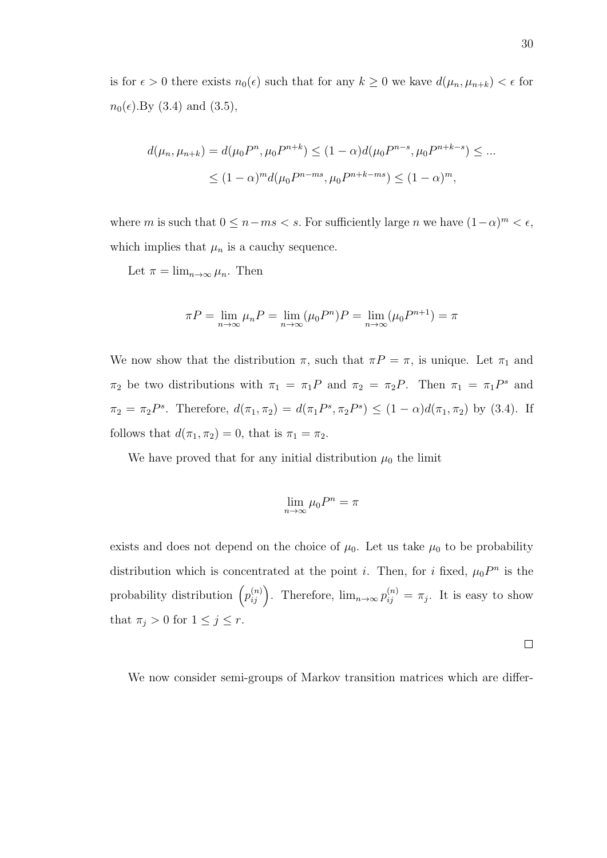is for  $\epsilon > 0$  there exists  $n_0(\epsilon)$  such that for any  $k \geq 0$  we kave  $d(\mu_n, \mu_{n+k}) < \epsilon$  for  $n_0(\epsilon)$ . By (3.4) and (3.5),

$$
d(\mu_n, \mu_{n+k}) = d(\mu_0 P^n, \mu_0 P^{n+k}) \le (1 - \alpha) d(\mu_0 P^{n-s}, \mu_0 P^{n+k-s}) \le \dots
$$
  

$$
\le (1 - \alpha)^m d(\mu_0 P^{n-ms}, \mu_0 P^{n+k-ms}) \le (1 - \alpha)^m,
$$

where m is such that  $0 \leq n - ms < s$ . For sufficiently large n we have  $(1 - \alpha)^m < \epsilon$ , which implies that  $\mu_n$  is a cauchy sequence.

Let  $\pi = \lim_{n \to \infty} \mu_n$ . Then

$$
\pi P = \lim_{n \to \infty} \mu_n P = \lim_{n \to \infty} (\mu_0 P^n) P = \lim_{n \to \infty} (\mu_0 P^{n+1}) = \pi
$$

We now show that the distribution  $\pi$ , such that  $\pi P = \pi$ , is unique. Let  $\pi_1$  and  $\pi_2$  be two distributions with  $\pi_1 = \pi_1 P$  and  $\pi_2 = \pi_2 P$ . Then  $\pi_1 = \pi_1 P^s$  and  $\pi_2 = \pi_2 P^s$ . Therefore,  $d(\pi_1, \pi_2) = d(\pi_1 P^s, \pi_2 P^s) \le (1 - \alpha) d(\pi_1, \pi_2)$  by (3.4). If follows that  $d(\pi_1, \pi_2) = 0$ , that is  $\pi_1 = \pi_2$ .

We have proved that for any initial distribution  $\mu_0$  the limit

$$
\lim_{n \to \infty} \mu_0 P^n = \pi
$$

exists and does not depend on the choice of  $\mu_0$ . Let us take  $\mu_0$  to be probability distribution which is concentrated at the point *i*. Then, for *i* fixed,  $\mu_0 P^n$  is the probability distribution  $(p_{ij}^{(n)})$ . Therefore,  $\lim_{n\to\infty} p_{ij}^{(n)} = \pi_j$ . It is easy to show that  $\pi_j > 0$  for  $1 \leq j \leq r$ .

 $\Box$ 

We now consider semi-groups of Markov transition matrices which are differ-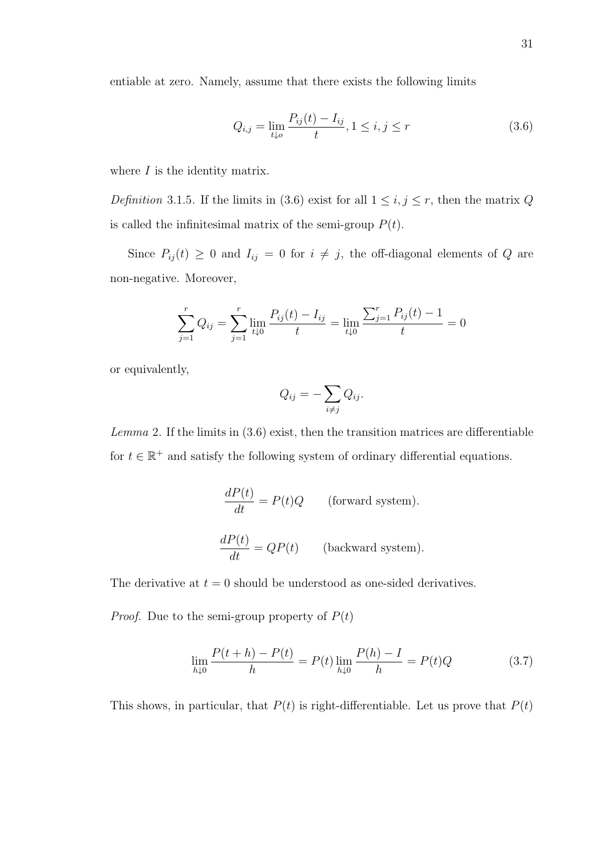entiable at zero. Namely, assume that there exists the following limits

$$
Q_{i,j} = \lim_{t \downarrow 0} \frac{P_{ij}(t) - I_{ij}}{t}, 1 \le i, j \le r
$$
\n(3.6)

where  $I$  is the identity matrix.

Definition 3.1.5. If the limits in (3.6) exist for all  $1 \le i, j \le r$ , then the matrix Q is called the infinitesimal matrix of the semi-group  $P(t)$ .

Since  $P_{ij}(t) \geq 0$  and  $I_{ij} = 0$  for  $i \neq j$ , the off-diagonal elements of Q are non-negative. Moreover,

$$
\sum_{j=1}^{r} Q_{ij} = \sum_{j=1}^{r} \lim_{t \downarrow 0} \frac{P_{ij}(t) - I_{ij}}{t} = \lim_{t \downarrow 0} \frac{\sum_{j=1}^{r} P_{ij}(t) - 1}{t} = 0
$$

or equivalently,

$$
Q_{ij} = -\sum_{i \neq j} Q_{ij}.
$$

Lemma 2. If the limits in  $(3.6)$  exist, then the transition matrices are differentiable for  $t \in \mathbb{R}^+$  and satisfy the following system of ordinary differential equations.

$$
\frac{dP(t)}{dt} = P(t)Q
$$
 (forward system).  
\n
$$
\frac{dP(t)}{dt} = QP(t)
$$
 (backward system).

The derivative at  $t = 0$  should be understood as one-sided derivatives.

*Proof.* Due to the semi-group property of  $P(t)$ 

$$
\lim_{h \downarrow 0} \frac{P(t+h) - P(t)}{h} = P(t) \lim_{h \downarrow 0} \frac{P(h) - I}{h} = P(t)Q \tag{3.7}
$$

This shows, in particular, that  $P(t)$  is right-differentiable. Let us prove that  $P(t)$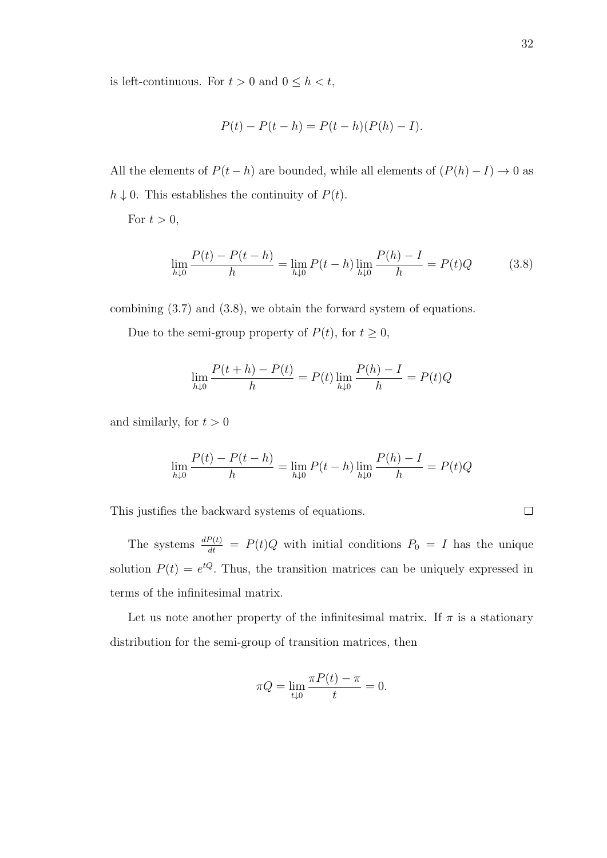is left-continuous. For  $t > 0$  and  $0 \leq h < t$ ,

$$
P(t) - P(t - h) = P(t - h)(P(h) - I).
$$

All the elements of  $P(t - h)$  are bounded, while all elements of  $(P(h) - I) \rightarrow 0$  as  $h \downarrow 0$ . This establishes the continuity of  $P(t)$ .

For  $t > 0$ ,

$$
\lim_{h \downarrow 0} \frac{P(t) - P(t - h)}{h} = \lim_{h \downarrow 0} P(t - h) \lim_{h \downarrow 0} \frac{P(h) - I}{h} = P(t)Q \tag{3.8}
$$

combining (3.7) and (3.8), we obtain the forward system of equations.

Due to the semi-group property of  $P(t)$ , for  $t \geq 0$ ,

$$
\lim_{h \downarrow 0} \frac{P(t+h) - P(t)}{h} = P(t) \lim_{h \downarrow 0} \frac{P(h) - I}{h} = P(t)Q
$$

and similarly, for  $t > 0$ 

$$
\lim_{h \downarrow 0} \frac{P(t) - P(t - h)}{h} = \lim_{h \downarrow 0} P(t - h) \lim_{h \downarrow 0} \frac{P(h) - I}{h} = P(t)Q
$$

This justifies the backward systems of equations.

The systems  $\frac{dP(t)}{dt} = P(t)Q$  with initial conditions  $P_0 = I$  has the unique solution  $P(t) = e^{tQ}$ . Thus, the transition matrices can be uniquely expressed in terms of the infinitesimal matrix.

Let us note another property of the infinitesimal matrix. If  $\pi$  is a stationary distribution for the semi-group of transition matrices, then

$$
\pi Q = \lim_{t \downarrow 0} \frac{\pi P(t) - \pi}{t} = 0.
$$

 $\Box$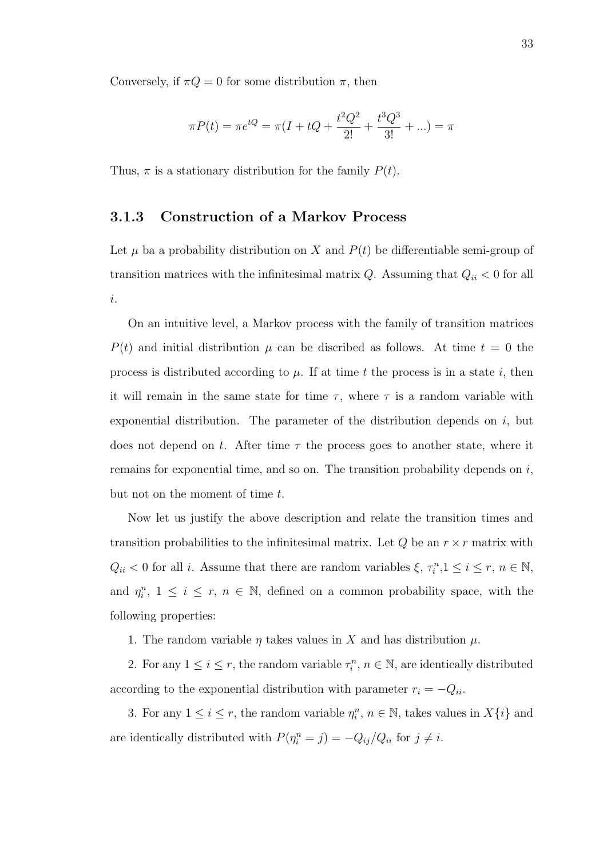Conversely, if  $\pi Q = 0$  for some distribution  $\pi$ , then

$$
\pi P(t) = \pi e^{tQ} = \pi (I + tQ + \frac{t^2 Q^2}{2!} + \frac{t^3 Q^3}{3!} + \ldots) = \pi
$$

Thus,  $\pi$  is a stationary distribution for the family  $P(t)$ .

#### 3.1.3 Construction of a Markov Process

Let  $\mu$  ba a probability distribution on X and  $P(t)$  be differentiable semi-group of transition matrices with the infinitesimal matrix  $Q$ . Assuming that  $Q_{ii} < 0$  for all i.

On an intuitive level, a Markov process with the family of transition matrices  $P(t)$  and initial distribution  $\mu$  can be discribed as follows. At time  $t = 0$  the process is distributed according to  $\mu$ . If at time t the process is in a state i, then it will remain in the same state for time  $\tau$ , where  $\tau$  is a random variable with exponential distribution. The parameter of the distribution depends on  $i$ , but does not depend on t. After time  $\tau$  the process goes to another state, where it remains for exponential time, and so on. The transition probability depends on  $i$ , but not on the moment of time t.

Now let us justify the above description and relate the transition times and transition probabilities to the infinitesimal matrix. Let  $Q$  be an  $r \times r$  matrix with  $Q_{ii} < 0$  for all *i*. Assume that there are random variables  $\xi, \tau_i^n, 1 \le i \le r, n \in \mathbb{N}$ , and  $\eta_i^n$ ,  $1 \leq i \leq r$ ,  $n \in \mathbb{N}$ , defined on a common probability space, with the following properties:

1. The random variable  $\eta$  takes values in X and has distribution  $\mu$ .

2. For any  $1 \leq i \leq r$ , the random variable  $\tau_i^n$ ,  $n \in \mathbb{N}$ , are identically distributed according to the exponential distribution with parameter  $r_i = -Q_{ii}$ .

3. For any  $1 \leq i \leq r$ , the random variable  $\eta_i^n$ ,  $n \in \mathbb{N}$ , takes values in  $X\{i\}$  and are identically distributed with  $P(\eta_i^n = j) = -Q_{ij}/Q_{ii}$  for  $j \neq i$ .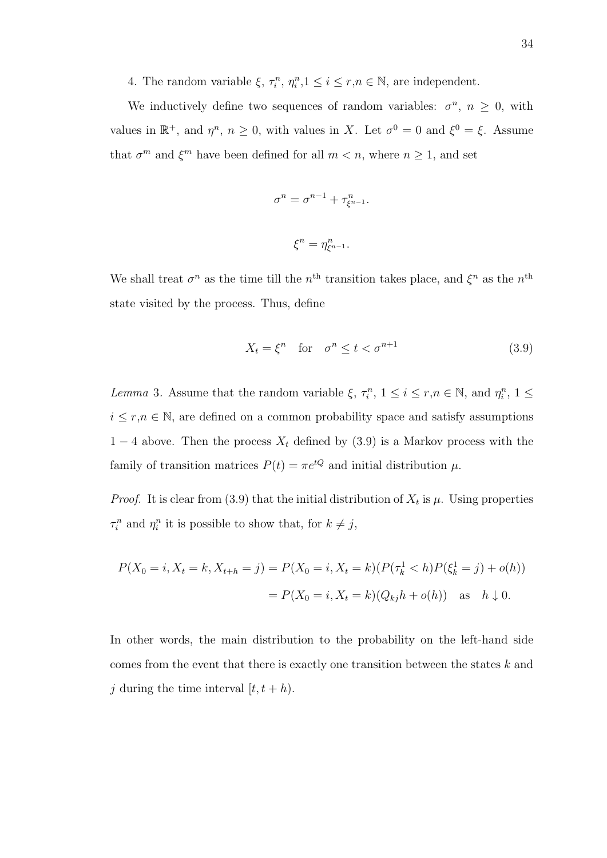4. The random variable  $\xi$ ,  $\tau_i^n$ ,  $\eta_i^n$ ,  $1 \leq i \leq r, n \in \mathbb{N}$ , are independent.

We inductively define two sequences of random variables:  $\sigma^n$ ,  $n \geq 0$ , with values in  $\mathbb{R}^+$ , and  $\eta^n$ ,  $n \geq 0$ , with values in X. Let  $\sigma^0 = 0$  and  $\xi^0 = \xi$ . Assume that  $\sigma^m$  and  $\xi^m$  have been defined for all  $m < n$ , where  $n \geq 1$ , and set

$$
\sigma^n = \sigma^{n-1} + \tau_{\xi^{n-1}}^n.
$$
  

$$
\xi^n = \eta_{\xi^{n-1}}^n.
$$

We shall treat  $\sigma^n$  as the time till the  $n^{\text{th}}$  transition takes place, and  $\xi^n$  as the  $n^{\text{th}}$ state visited by the process. Thus, define

$$
X_t = \xi^n \quad \text{for} \quad \sigma^n \le t < \sigma^{n+1} \tag{3.9}
$$

Lemma 3. Assume that the random variable  $\xi, \tau_i^n, 1 \le i \le r, n \in \mathbb{N}$ , and  $\eta_i^n, 1 \le$  $i \leq r, n \in \mathbb{N}$ , are defined on a common probability space and satisfy assumptions 1 − 4 above. Then the process  $X_t$  defined by (3.9) is a Markov process with the family of transition matrices  $P(t) = \pi e^{tQ}$  and initial distribution  $\mu$ .

*Proof.* It is clear from (3.9) that the initial distribution of  $X_t$  is  $\mu$ . Using properties  $\tau_i^n$  and  $\eta_i^n$  it is possible to show that, for  $k \neq j$ ,

$$
P(X_0 = i, X_t = k, X_{t+h} = j) = P(X_0 = i, X_t = k)(P(\tau_k^1 < h)P(\xi_k^1 = j) + o(h))
$$
\n
$$
= P(X_0 = i, X_t = k)(Q_{kj}h + o(h)) \quad \text{as} \quad h \downarrow 0.
$$

In other words, the main distribution to the probability on the left-hand side comes from the event that there is exactly one transition between the states k and j during the time interval  $[t, t+h)$ .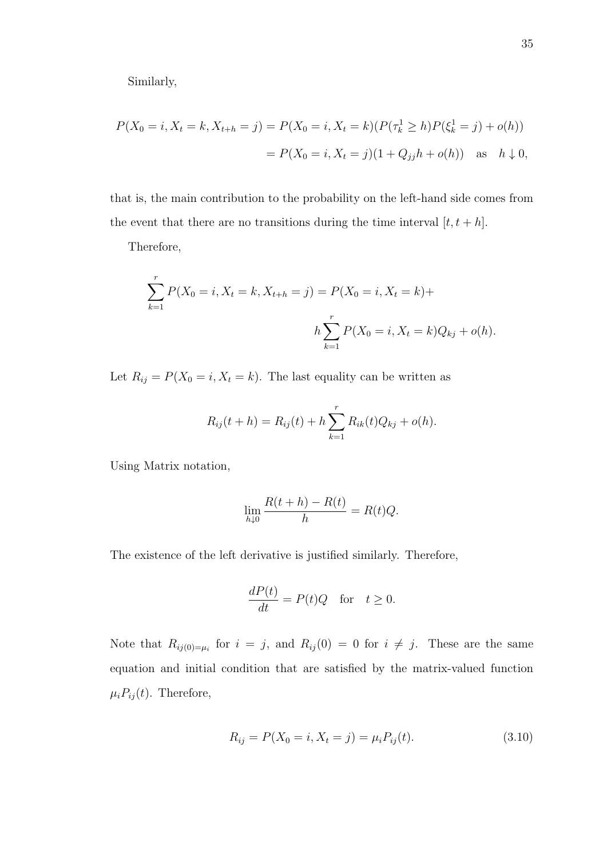Similarly,

$$
P(X_0 = i, X_t = k, X_{t+h} = j) = P(X_0 = i, X_t = k)(P(\tau_k^1 \ge h)P(\xi_k^1 = j) + o(h))
$$
  
=  $P(X_0 = i, X_t = j)(1 + Q_{jj}h + o(h))$  as  $h \downarrow 0$ ,

that is, the main contribution to the probability on the left-hand side comes from the event that there are no transitions during the time interval  $[t, t + h]$ .

Therefore,

$$
\sum_{k=1}^{r} P(X_0 = i, X_t = k, X_{t+h} = j) = P(X_0 = i, X_t = k) +
$$
  

$$
h \sum_{k=1}^{r} P(X_0 = i, X_t = k) Q_{kj} + o(h).
$$

Let  $R_{ij} = P(X_0 = i, X_t = k)$ . The last equality can be written as

$$
R_{ij}(t+h) = R_{ij}(t) + h \sum_{k=1}^{r} R_{ik}(t)Q_{kj} + o(h).
$$

Using Matrix notation,

$$
\lim_{h \downarrow 0} \frac{R(t+h) - R(t)}{h} = R(t)Q.
$$

The existence of the left derivative is justified similarly. Therefore,

$$
\frac{dP(t)}{dt} = P(t)Q \quad \text{for} \quad t \ge 0.
$$

Note that  $R_{ij(0)=\mu_i}$  for  $i=j$ , and  $R_{ij}(0)=0$  for  $i \neq j$ . These are the same equation and initial condition that are satisfied by the matrix-valued function  $\mu_i P_{ij}(t)$ . Therefore,

$$
R_{ij} = P(X_0 = i, X_t = j) = \mu_i P_{ij}(t). \tag{3.10}
$$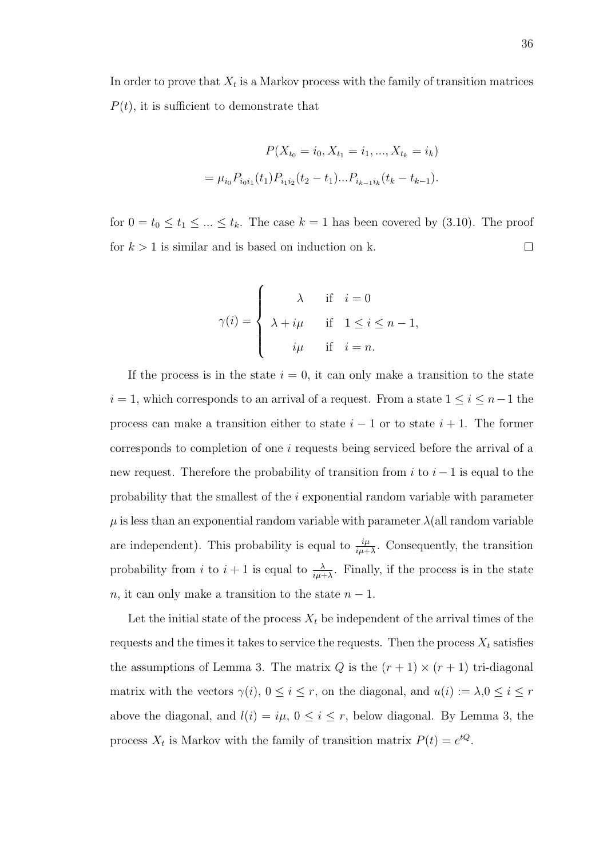In order to prove that  $X_t$  is a Markov process with the family of transition matrices  $P(t)$ , it is sufficient to demonstrate that

$$
P(X_{t_0} = i_0, X_{t_1} = i_1, ..., X_{t_k} = i_k)
$$

$$
= \mu_{i_0} P_{i_0 i_1}(t_1) P_{i_1 i_2}(t_2 - t_1) ... P_{i_{k-1} i_k}(t_k - t_{k-1}).
$$

for  $0 = t_0 \le t_1 \le ... \le t_k$ . The case  $k = 1$  has been covered by (3.10). The proof for  $k > 1$  is similar and is based on induction on k.  $\Box$ 

$$
\gamma(i) = \begin{cases} \lambda & \text{if } i = 0 \\ \lambda + i\mu & \text{if } 1 \leq i \leq n-1, \\ i\mu & \text{if } i = n. \end{cases}
$$

If the process is in the state  $i = 0$ , it can only make a transition to the state  $i=1,$  which corresponds to an arrival of a request. From a state  $1\leq i\leq n-1$  the process can make a transition either to state  $i - 1$  or to state  $i + 1$ . The former corresponds to completion of one i requests being serviced before the arrival of a new request. Therefore the probability of transition from  $i$  to  $i - 1$  is equal to the probability that the smallest of the i exponential random variable with parameter  $\mu$  is less than an exponential random variable with parameter  $\lambda$ (all random variable are independent). This probability is equal to  $\frac{i\mu}{i\mu+\lambda}$ . Consequently, the transition probability from i to  $i + 1$  is equal to  $\frac{\lambda}{i\mu + \lambda}$ . Finally, if the process is in the state n, it can only make a transition to the state  $n-1$ .

Let the initial state of the process  $X_t$  be independent of the arrival times of the requests and the times it takes to service the requests. Then the process  $X_t$  satisfies the assumptions of Lemma 3. The matrix  $Q$  is the  $(r + 1) \times (r + 1)$  tri-diagonal matrix with the vectors  $\gamma(i)$ ,  $0 \le i \le r$ , on the diagonal, and  $u(i) := \lambda, 0 \le i \le r$ above the diagonal, and  $l(i) = i\mu$ ,  $0 \le i \le r$ , below diagonal. By Lemma 3, the process  $X_t$  is Markov with the family of transition matrix  $P(t) = e^{tQ}$ .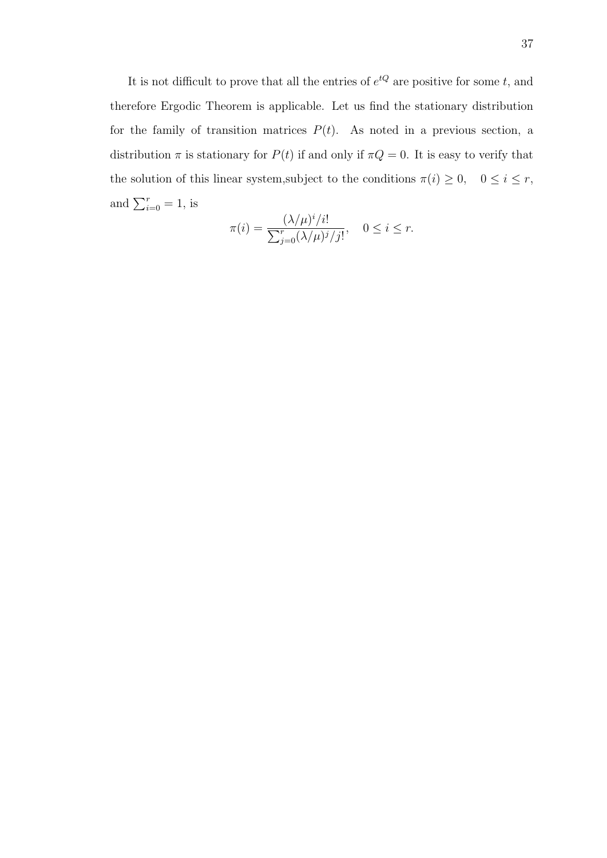It is not difficult to prove that all the entries of  $e^{tQ}$  are positive for some t, and therefore Ergodic Theorem is applicable. Let us find the stationary distribution for the family of transition matrices  $P(t)$ . As noted in a previous section, a distribution  $\pi$  is stationary for  $P(t)$  if and only if  $\pi Q = 0$ . It is easy to verify that the solution of this linear system,subject to the conditions  $\pi(i) \geq 0$ ,  $0 \leq i \leq r$ , and  $\sum_{i=0}^{r} = 1$ , is

$$
\pi(i) = \frac{(\lambda/\mu)^i/i!}{\sum_{j=0}^r (\lambda/\mu)^j/j!}, \quad 0 \le i \le r.
$$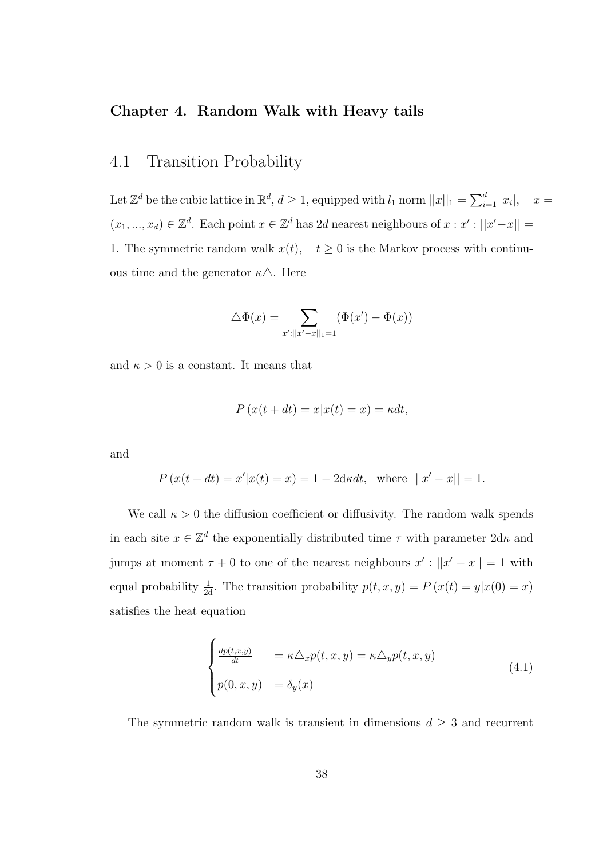#### Chapter 4. Random Walk with Heavy tails

## 4.1 Transition Probability

Let  $\mathbb{Z}^d$  be the cubic lattice in  $\mathbb{R}^d$ ,  $d \geq 1$ , equipped with  $l_1$  norm  $||x||_1 = \sum_{i=1}^d |x_i|$ ,  $x =$  $(x_1, ..., x_d) \in \mathbb{Z}^d$ . Each point  $x \in \mathbb{Z}^d$  has 2d nearest neighbours of  $x : x' : ||x' - x|| =$ 1. The symmetric random walk  $x(t)$ ,  $t \ge 0$  is the Markov process with continuous time and the generator  $\kappa \Delta$ . Here

$$
\triangle \Phi(x) = \sum_{x':||x'-x||_1=1} (\Phi(x') - \Phi(x))
$$

and  $\kappa > 0$  is a constant. It means that

 $P(x(t+dt) = x|x(t) = x) = \kappa dt$ ,

and

$$
P(x(t+dt) = x'|x(t) = x) = 1 - 2dxdt, \text{ where } ||x' - x|| = 1.
$$

We call  $\kappa > 0$  the diffusion coefficient or diffusivity. The random walk spends in each site  $x \in \mathbb{Z}^d$  the exponentially distributed time  $\tau$  with parameter  $2d\kappa$  and jumps at moment  $\tau + 0$  to one of the nearest neighbours  $x' : ||x' - x|| = 1$  with equal probability  $\frac{1}{2d}$ . The transition probability  $p(t, x, y) = P(x(t) = y|x(0) = x)$ satisfies the heat equation

$$
\begin{cases}\n\frac{dp(t,x,y)}{dt} &= \kappa \Delta_x p(t,x,y) = \kappa \Delta_y p(t,x,y) \\
p(0,x,y) &= \delta_y(x)\n\end{cases} \tag{4.1}
$$

The symmetric random walk is transient in dimensions  $d \geq 3$  and recurrent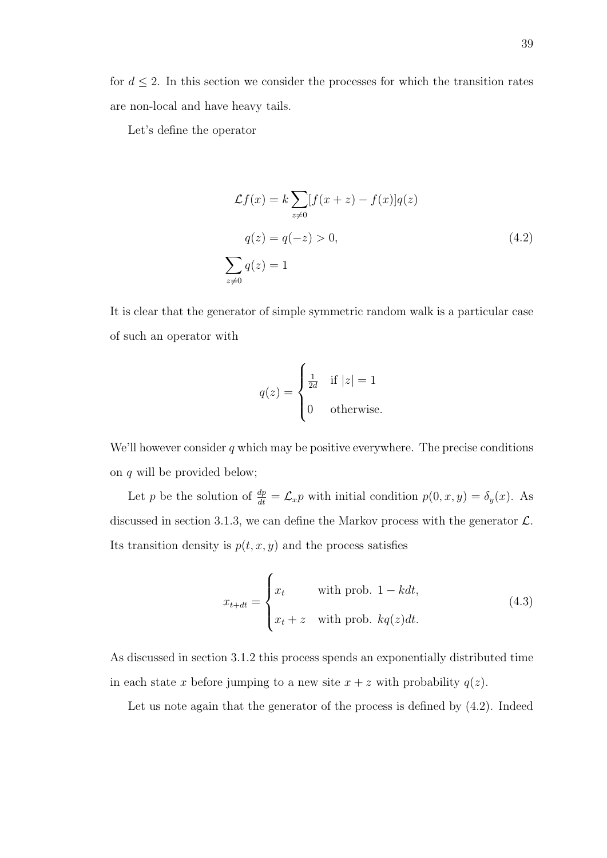for  $d \leq 2$ . In this section we consider the processes for which the transition rates are non-local and have heavy tails.

Let's define the operator

$$
\mathcal{L}f(x) = k \sum_{z \neq 0} [f(x+z) - f(x)]q(z)
$$

$$
q(z) = q(-z) > 0,
$$
(4.2)
$$
\sum_{z \neq 0} q(z) = 1
$$

It is clear that the generator of simple symmetric random walk is a particular case of such an operator with

$$
q(z) = \begin{cases} \frac{1}{2d} & \text{if } |z| = 1\\ 0 & \text{otherwise.} \end{cases}
$$

We'll however consider  $q$  which may be positive everywhere. The precise conditions on q will be provided below;

Let p be the solution of  $\frac{dp}{dt} = \mathcal{L}_x p$  with initial condition  $p(0, x, y) = \delta_y(x)$ . As discussed in section 3.1.3, we can define the Markov process with the generator  $\mathcal{L}$ . Its transition density is  $p(t, x, y)$  and the process satisfies

$$
x_{t+dt} = \begin{cases} x_t & \text{with prob. } 1 - kdt, \\ x_t + z & \text{with prob. } kq(z)dt. \end{cases}
$$
 (4.3)

As discussed in section 3.1.2 this process spends an exponentially distributed time in each state x before jumping to a new site  $x + z$  with probability  $q(z)$ .

Let us note again that the generator of the process is defined by (4.2). Indeed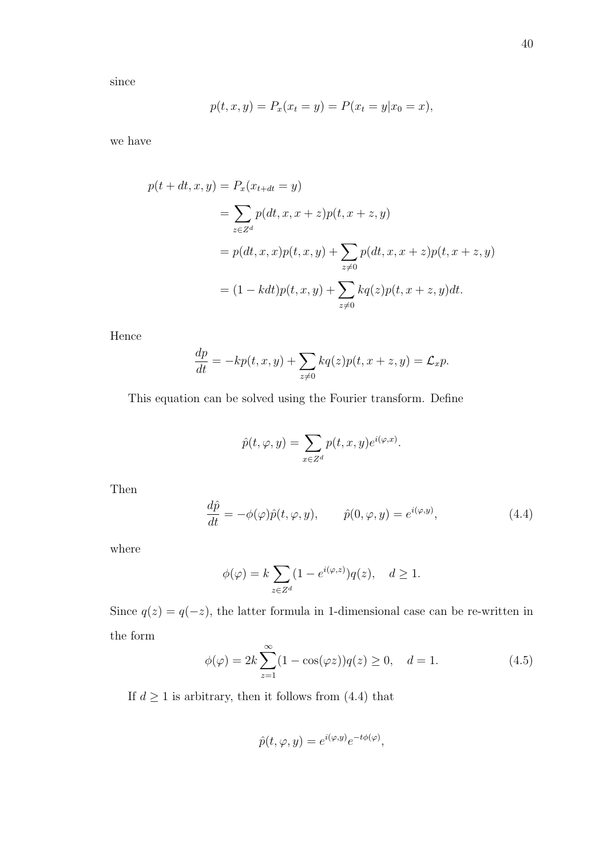since

$$
p(t, x, y) = P_x(x_t = y) = P(x_t = y | x_0 = x),
$$

we have

$$
p(t + dt, x, y) = P_x(x_{t+dt} = y)
$$
  
=  $\sum_{z \in Z^d} p(dt, x, x + z)p(t, x + z, y)$   
=  $p(dt, x, x)p(t, x, y) + \sum_{z \neq 0} p(dt, x, x + z)p(t, x + z, y)$   
=  $(1 - kdt)p(t, x, y) + \sum_{z \neq 0} kq(z)p(t, x + z, y)dt.$ 

Hence

$$
\frac{dp}{dt} = -kp(t, x, y) + \sum_{z \neq 0} kq(z)p(t, x+z, y) = \mathcal{L}_x p.
$$

This equation can be solved using the Fourier transform. Define

$$
\hat{p}(t, \varphi, y) = \sum_{x \in Z^d} p(t, x, y) e^{i(\varphi, x)}.
$$

Then

$$
\frac{d\hat{p}}{dt} = -\phi(\varphi)\hat{p}(t, \varphi, y), \qquad \hat{p}(0, \varphi, y) = e^{i(\varphi, y)}, \qquad (4.4)
$$

where

$$
\phi(\varphi) = k \sum_{z \in Z^d} (1 - e^{i(\varphi, z)}) q(z), \quad d \ge 1.
$$

Since  $q(z) = q(-z)$ , the latter formula in 1-dimensional case can be re-written in the form

$$
\phi(\varphi) = 2k \sum_{z=1}^{\infty} (1 - \cos(\varphi z)) q(z) \ge 0, \quad d = 1.
$$
 (4.5)

If  $d\geq 1$  is arbitrary, then it follows from (4.4) that

$$
\hat{p}(t, \varphi, y) = e^{i(\varphi, y)} e^{-t\phi(\varphi)},
$$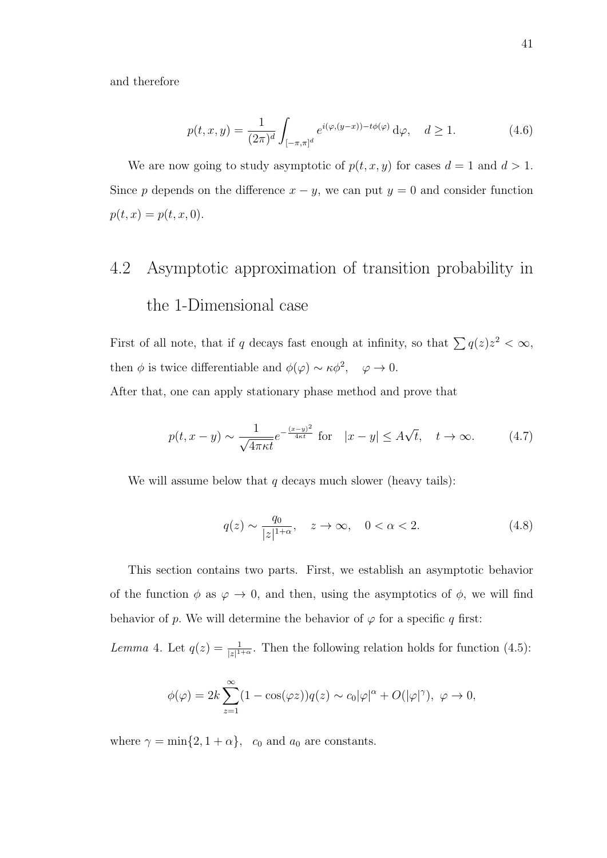and therefore

$$
p(t, x, y) = \frac{1}{(2\pi)^d} \int_{[-\pi, \pi]^d} e^{i(\varphi, (y-x)) - t\phi(\varphi)} d\varphi, \quad d \ge 1.
$$
 (4.6)

We are now going to study asymptotic of  $p(t, x, y)$  for cases  $d = 1$  and  $d > 1$ . Since p depends on the difference  $x - y$ , we can put  $y = 0$  and consider function  $p(t, x) = p(t, x, 0).$ 

## 4.2 Asymptotic approximation of transition probability in the 1-Dimensional case

First of all note, that if q decays fast enough at infinity, so that  $\sum q(z)z^2 < \infty$ , then  $\phi$  is twice differentiable and  $\phi(\varphi) \sim \kappa \phi^2$ ,  $\varphi \to 0$ .

After that, one can apply stationary phase method and prove that

$$
p(t, x - y) \sim \frac{1}{\sqrt{4\pi\kappa t}} e^{-\frac{(x - y)^2}{4\kappa t}} \text{ for } |x - y| \le A\sqrt{t}, \quad t \to \infty. \tag{4.7}
$$

We will assume below that  $q$  decays much slower (heavy tails):

$$
q(z) \sim \frac{q_0}{|z|^{1+\alpha}}, \quad z \to \infty, \quad 0 < \alpha < 2. \tag{4.8}
$$

This section contains two parts. First, we establish an asymptotic behavior of the function  $\phi$  as  $\varphi \to 0$ , and then, using the asymptotics of  $\phi$ , we will find behavior of p. We will determine the behavior of  $\varphi$  for a specific q first:

Lemma 4. Let  $q(z) = \frac{1}{|z|^{1+\alpha}}$ . Then the following relation holds for function (4.5):

$$
\phi(\varphi) = 2k \sum_{z=1}^{\infty} (1 - \cos(\varphi z)) q(z) \sim c_0 |\varphi|^{\alpha} + O(|\varphi|^{\gamma}), \ \varphi \to 0,
$$

where  $\gamma = \min\{2, 1 + \alpha\}$ ,  $c_0$  and  $a_0$  are constants.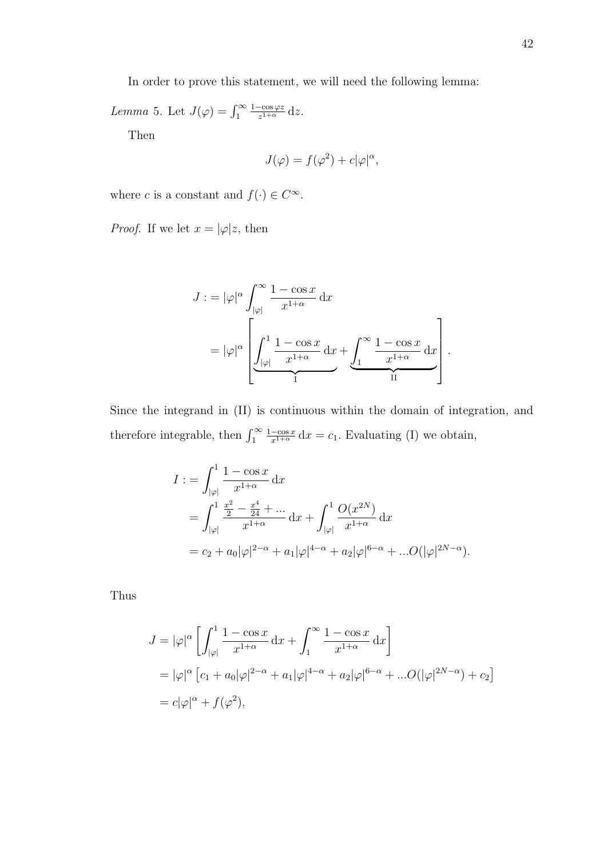In order to prove this statement, we will need the following lemma:

Lemma 5. Let  $J(\varphi) = \int_1^\infty$  $1-\cos \varphi z$  $\frac{-\cos \varphi z}{z^{1+\alpha}}$  dz.

Then

$$
J(\varphi) = f(\varphi^2) + c|\varphi|^{\alpha},
$$

where c is a constant and  $f(\cdot) \in C^{\infty}$ .

*Proof.* If we let  $x = |\varphi|z$ , then

$$
J := |\varphi|^{\alpha} \int_{|\varphi|}^{\infty} \frac{1 - \cos x}{x^{1+\alpha}} dx
$$
  
=  $|\varphi|^{\alpha} \left[ \underbrace{\int_{|\varphi|}^{1} \frac{1 - \cos x}{x^{1+\alpha}} dx}_{I} + \underbrace{\int_{1}^{\infty} \frac{1 - \cos x}{x^{1+\alpha}} dx}_{II} \right].$ 

Since the integrand in (II) is continuous within the domain of integration, and therefore integrable, then  $\int_1^\infty$  $\frac{1-\cos x}{x^{1+\alpha}} dx = c_1$ . Evaluating (I) we obtain,

$$
I := \int_{|\varphi|}^{1} \frac{1 - \cos x}{x^{1 + \alpha}} dx
$$
  
= 
$$
\int_{|\varphi|}^{1} \frac{\frac{x^2}{2} - \frac{x^4}{24} + \dots}{x^{1 + \alpha}} dx + \int_{|\varphi|}^{1} \frac{O(x^{2N})}{x^{1 + \alpha}} dx
$$
  
=  $c_2 + a_0 |\varphi|^{2 - \alpha} + a_1 |\varphi|^{4 - \alpha} + a_2 |\varphi|^{6 - \alpha} + \dots O(|\varphi|^{2N - \alpha}).$ 

Thus

$$
J = |\varphi|^{\alpha} \left[ \int_{|\varphi|}^{1} \frac{1 - \cos x}{x^{1+\alpha}} dx + \int_{1}^{\infty} \frac{1 - \cos x}{x^{1+\alpha}} dx \right]
$$
  
=  $|\varphi|^{\alpha} \left[ c_1 + a_0 |\varphi|^{2-\alpha} + a_1 |\varphi|^{4-\alpha} + a_2 |\varphi|^{6-\alpha} + ... O(|\varphi|^{2N-\alpha}) + c_2 \right]$   
=  $c |\varphi|^{\alpha} + f(\varphi^2),$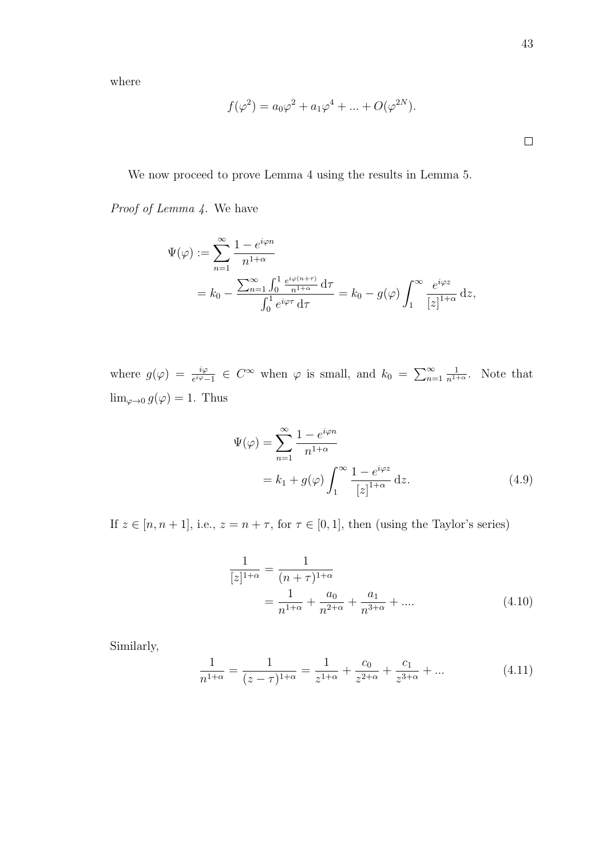where

$$
f(\varphi^2) = a_0 \varphi^2 + a_1 \varphi^4 + \dots + O(\varphi^{2N}).
$$

 $\Box$ 

We now proceed to prove Lemma 4 using the results in Lemma 5.

Proof of Lemma 4. We have

$$
\Psi(\varphi) := \sum_{n=1}^{\infty} \frac{1 - e^{i\varphi n}}{n^{1+\alpha}}
$$
  
=  $k_0 - \frac{\sum_{n=1}^{\infty} \int_0^1 \frac{e^{i\varphi(n+\tau)}}{n^{1+\alpha}} d\tau}{\int_0^1 e^{i\varphi \tau} d\tau} = k_0 - g(\varphi) \int_1^{\infty} \frac{e^{i\varphi z}}{[z]^{1+\alpha}} dz,$ 

where  $g(\varphi) = \frac{i\varphi}{e^{i\varphi}-1} \in C^{\infty}$  when  $\varphi$  is small, and  $k_0 = \sum_{n=1}^{\infty}$  $\frac{1}{n^{1+\alpha}}$ . Note that  $\lim_{\varphi\to 0} g(\varphi) = 1$ . Thus

$$
\Psi(\varphi) = \sum_{n=1}^{\infty} \frac{1 - e^{i\varphi n}}{n^{1+\alpha}}
$$
  
=  $k_1 + g(\varphi) \int_1^{\infty} \frac{1 - e^{i\varphi z}}{[z]^{1+\alpha}} dz.$  (4.9)

If  $z \in [n, n + 1]$ , i.e.,  $z = n + \tau$ , for  $\tau \in [0, 1]$ , then (using the Taylor's series)

$$
\frac{1}{[z]^{1+\alpha}} = \frac{1}{(n+\tau)^{1+\alpha}}
$$

$$
= \frac{1}{n^{1+\alpha}} + \frac{a_0}{n^{2+\alpha}} + \frac{a_1}{n^{3+\alpha}} + \dots
$$
(4.10)

Similarly,

$$
\frac{1}{n^{1+\alpha}} = \frac{1}{(z-\tau)^{1+\alpha}} = \frac{1}{z^{1+\alpha}} + \frac{c_0}{z^{2+\alpha}} + \frac{c_1}{z^{3+\alpha}} + \dots
$$
(4.11)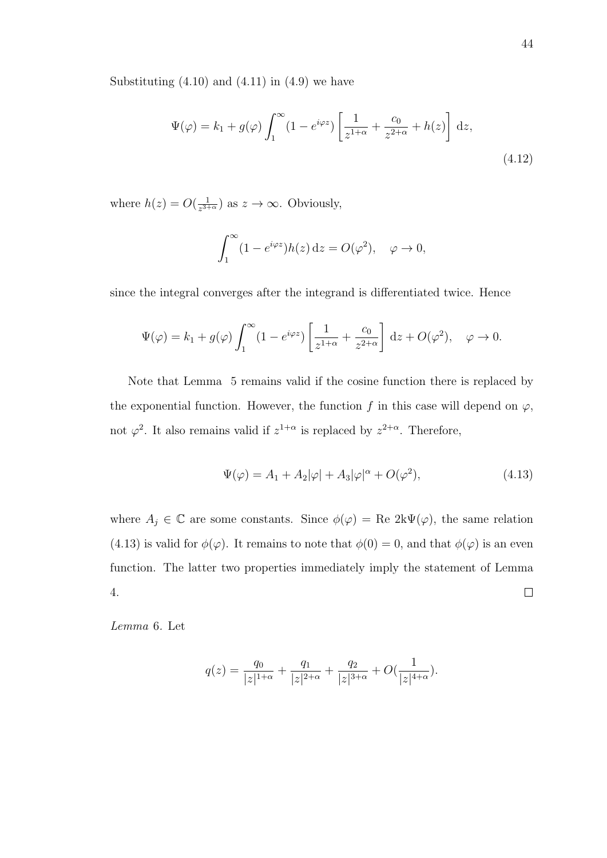Substituting  $(4.10)$  and  $(4.11)$  in  $(4.9)$  we have

$$
\Psi(\varphi) = k_1 + g(\varphi) \int_1^{\infty} (1 - e^{i\varphi z}) \left[ \frac{1}{z^{1+\alpha}} + \frac{c_0}{z^{2+\alpha}} + h(z) \right] dz,
$$
\n(4.12)

where  $h(z) = O(\frac{1}{z^{3+1}})$  $\frac{1}{z^{3+\alpha}}$  as  $z \to \infty$ . Obviously,

$$
\int_1^{\infty} (1 - e^{i\varphi z}) h(z) dz = O(\varphi^2), \quad \varphi \to 0,
$$

since the integral converges after the integrand is differentiated twice. Hence

$$
\Psi(\varphi) = k_1 + g(\varphi) \int_1^{\infty} (1 - e^{i\varphi z}) \left[ \frac{1}{z^{1+\alpha}} + \frac{c_0}{z^{2+\alpha}} \right] dz + O(\varphi^2), \quad \varphi \to 0.
$$

Note that Lemma 5 remains valid if the cosine function there is replaced by the exponential function. However, the function f in this case will depend on  $\varphi$ , not  $\varphi^2$ . It also remains valid if  $z^{1+\alpha}$  is replaced by  $z^{2+\alpha}$ . Therefore,

$$
\Psi(\varphi) = A_1 + A_2|\varphi| + A_3|\varphi|^\alpha + O(\varphi^2),\tag{4.13}
$$

where  $A_j \in \mathbb{C}$  are some constants. Since  $\phi(\varphi) = \text{Re } 2k\Psi(\varphi)$ , the same relation (4.13) is valid for  $\phi(\varphi)$ . It remains to note that  $\phi(0) = 0$ , and that  $\phi(\varphi)$  is an even function. The latter two properties immediately imply the statement of Lemma 4.  $\Box$ 

Lemma 6. Let

$$
q(z) = \frac{q_0}{|z|^{1+\alpha}} + \frac{q_1}{|z|^{2+\alpha}} + \frac{q_2}{|z|^{3+\alpha}} + O(\frac{1}{|z|^{4+\alpha}}).
$$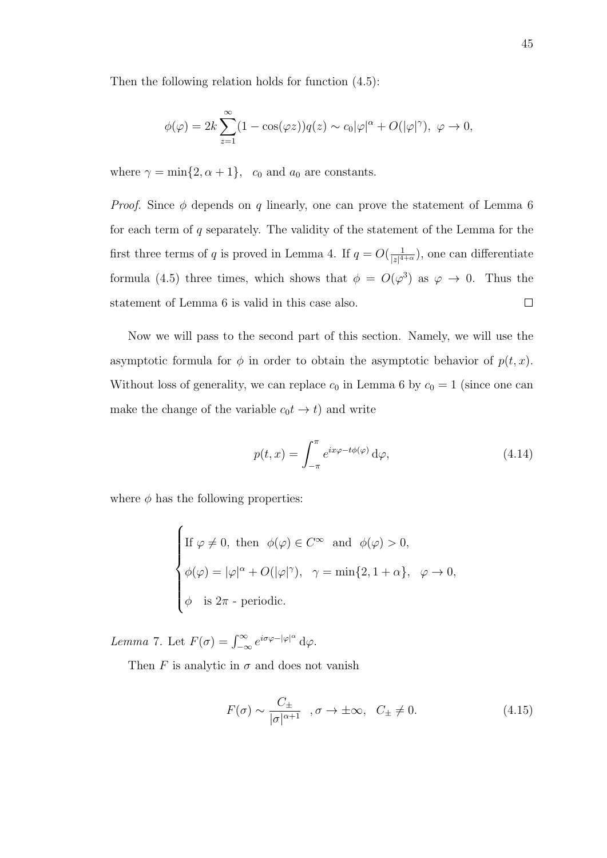Then the following relation holds for function (4.5):

$$
\phi(\varphi) = 2k \sum_{z=1}^{\infty} (1 - \cos(\varphi z)) q(z) \sim c_0 |\varphi|^{\alpha} + O(|\varphi|^{\gamma}), \ \varphi \to 0,
$$

where  $\gamma = \min\{2, \alpha + 1\}$ ,  $c_0$  and  $a_0$  are constants.

*Proof.* Since  $\phi$  depends on q linearly, one can prove the statement of Lemma 6 for each term of q separately. The validity of the statement of the Lemma for the first three terms of q is proved in Lemma 4. If  $q = O(\frac{1}{|z|^4})$  $\frac{1}{|z|^{4+\alpha}}$ , one can differentiate formula (4.5) three times, which shows that  $\phi = O(\varphi^3)$  as  $\varphi \to 0$ . Thus the statement of Lemma 6 is valid in this case also.  $\Box$ 

Now we will pass to the second part of this section. Namely, we will use the asymptotic formula for  $\phi$  in order to obtain the asymptotic behavior of  $p(t, x)$ . Without loss of generality, we can replace  $c_0$  in Lemma 6 by  $c_0 = 1$  (since one can make the change of the variable  $c_0t \rightarrow t$ ) and write

$$
p(t,x) = \int_{-\pi}^{\pi} e^{ix\varphi - t\phi(\varphi)} d\varphi,
$$
\n(4.14)

where  $\phi$  has the following properties:

If 
$$
\varphi \neq 0
$$
, then  $\phi(\varphi) \in C^{\infty}$  and  $\phi(\varphi) > 0$ ,  
\n
$$
\phi(\varphi) = |\varphi|^{\alpha} + O(|\varphi|^{\gamma}), \quad \gamma = \min\{2, 1 + \alpha\}, \quad \varphi \to 0,
$$
\n
$$
\phi \text{ is } 2\pi \text{ - periodic.}
$$

Lemma 7. Let  $F(\sigma) = \int_{-\infty}^{\infty} e^{i\sigma\varphi - |\varphi|^{\alpha}} d\varphi$ .

Then F is analytic in  $\sigma$  and does not vanish

$$
F(\sigma) \sim \frac{C_{\pm}}{|\sigma|^{\alpha+1}} \quad , \sigma \to \pm \infty, \quad C_{\pm} \neq 0. \tag{4.15}
$$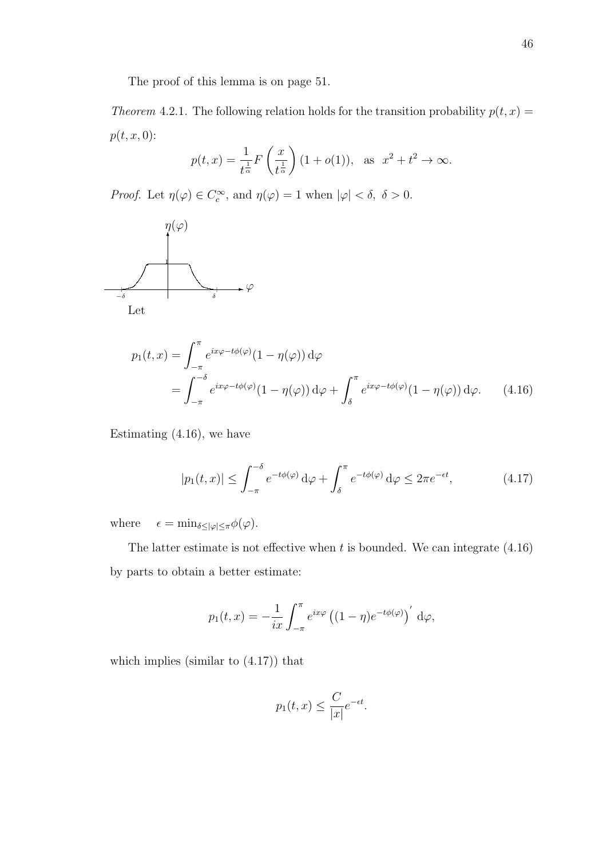The proof of this lemma is on page 51.

Theorem 4.2.1. The following relation holds for the transition probability  $p(t, x) =$  $p(t, x, 0)$ :

$$
p(t,x) = \frac{1}{t^{\frac{1}{\alpha}}} F\left(\frac{x}{t^{\frac{1}{\alpha}}}\right) (1 + o(1)), \text{ as } x^2 + t^2 \to \infty.
$$

Proof. Let  $\eta(\varphi) \in C_c^{\infty}$ , and  $\eta(\varphi) = 1$  when  $|\varphi| < \delta, \ \delta > 0$ .



$$
p_1(t,x) = \int_{-\pi}^{\pi} e^{ix\varphi - t\phi(\varphi)} (1 - \eta(\varphi)) d\varphi
$$
  
= 
$$
\int_{-\pi}^{-\delta} e^{ix\varphi - t\phi(\varphi)} (1 - \eta(\varphi)) d\varphi + \int_{\delta}^{\pi} e^{ix\varphi - t\phi(\varphi)} (1 - \eta(\varphi)) d\varphi.
$$
 (4.16)

Estimating (4.16), we have

$$
|p_1(t,x)| \le \int_{-\pi}^{-\delta} e^{-t\phi(\varphi)} d\varphi + \int_{\delta}^{\pi} e^{-t\phi(\varphi)} d\varphi \le 2\pi e^{-\epsilon t}, \tag{4.17}
$$

where  $\epsilon = \min_{\delta \leq |\varphi| \leq \pi} \phi(\varphi)$ .

The latter estimate is not effective when  $t$  is bounded. We can integrate  $(4.16)$ by parts to obtain a better estimate:

$$
p_1(t,x) = -\frac{1}{ix} \int_{-\pi}^{\pi} e^{ix\varphi} \left( (1-\eta)e^{-t\phi(\varphi)} \right)' d\varphi,
$$

which implies (similar to (4.17)) that

$$
p_1(t,x) \le \frac{C}{|x|}e^{-\epsilon t}.
$$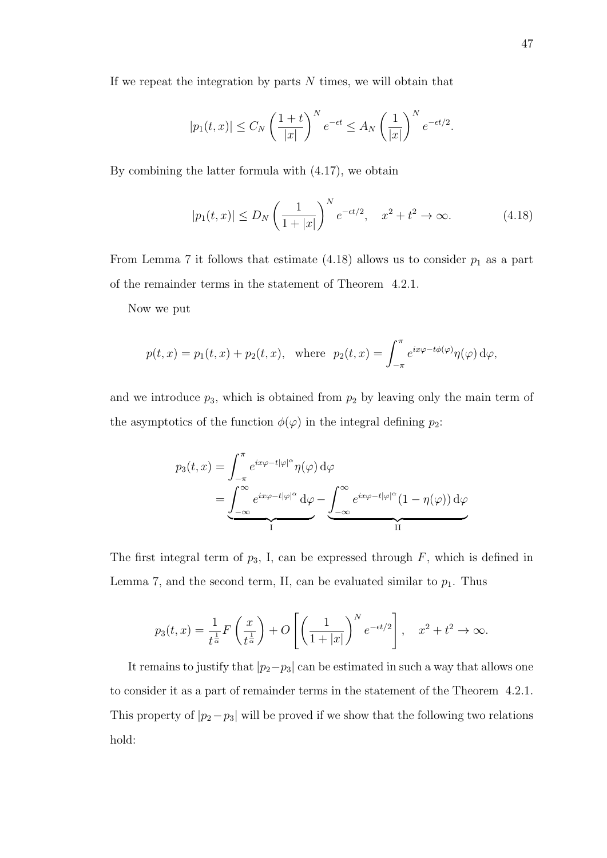If we repeat the integration by parts  $N$  times, we will obtain that

$$
|p_1(t,x)| \le C_N \left(\frac{1+t}{|x|}\right)^N e^{-\epsilon t} \le A_N \left(\frac{1}{|x|}\right)^N e^{-\epsilon t/2}.
$$

By combining the latter formula with (4.17), we obtain

$$
|p_1(t,x)| \le D_N \left(\frac{1}{1+|x|}\right)^N e^{-\epsilon t/2}, \quad x^2 + t^2 \to \infty.
$$
 (4.18)

From Lemma 7 it follows that estimate  $(4.18)$  allows us to consider  $p_1$  as a part of the remainder terms in the statement of Theorem 4.2.1.

Now we put

$$
p(t, x) = p_1(t, x) + p_2(t, x)
$$
, where  $p_2(t, x) = \int_{-\pi}^{\pi} e^{ix\varphi - t\phi(\varphi)} \eta(\varphi) d\varphi$ ,

and we introduce  $p_3$ , which is obtained from  $p_2$  by leaving only the main term of the asymptotics of the function  $\phi(\varphi)$  in the integral defining  $p_2$ :

$$
p_3(t,x) = \int_{-\pi}^{\pi} e^{ix\varphi - t|\varphi|^\alpha} \eta(\varphi) d\varphi
$$
  
= 
$$
\underbrace{\int_{-\infty}^{\infty} e^{ix\varphi - t|\varphi|^\alpha} d\varphi}_{I} - \underbrace{\int_{-\infty}^{\infty} e^{ix\varphi - t|\varphi|^\alpha} (1 - \eta(\varphi)) d\varphi}_{II}
$$

The first integral term of  $p_3$ , I, can be expressed through  $F$ , which is defined in Lemma 7, and the second term, II, can be evaluated similar to  $p_1$ . Thus

$$
p_3(t,x) = \frac{1}{t^{\frac{1}{\alpha}}} F\left(\frac{x}{t^{\frac{1}{\alpha}}}\right) + O\left[\left(\frac{1}{1+|x|}\right)^N e^{-\epsilon t/2}\right], \quad x^2 + t^2 \to \infty.
$$

It remains to justify that  $|p_2-p_3|$  can be estimated in such a way that allows one to consider it as a part of remainder terms in the statement of the Theorem 4.2.1. This property of  $|p_2-p_3|$  will be proved if we show that the following two relations hold: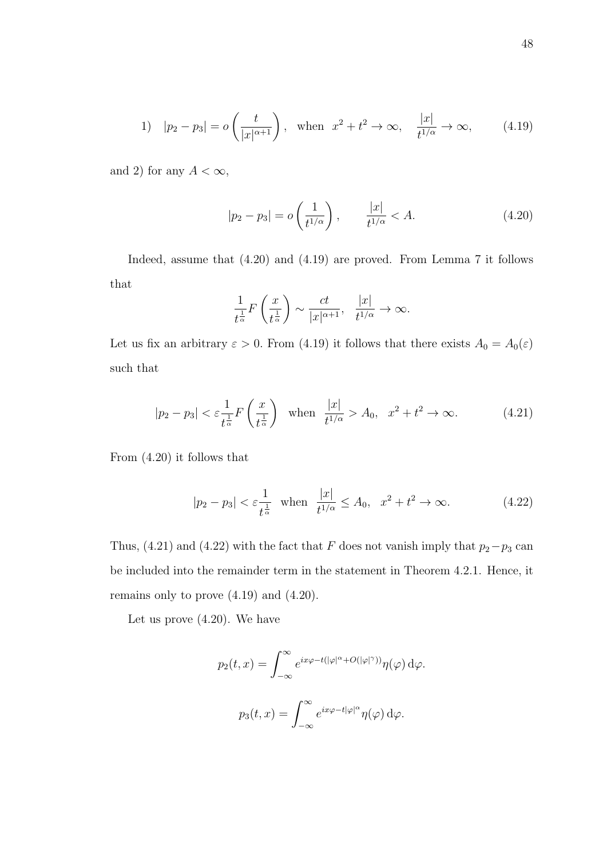1) 
$$
|p_2 - p_3| = o\left(\frac{t}{|x|^{\alpha+1}}\right)
$$
, when  $x^2 + t^2 \to \infty$ ,  $\frac{|x|}{t^{1/\alpha}} \to \infty$ , (4.19)

and 2) for any  $A < \infty$ ,

$$
|p_2 - p_3| = o\left(\frac{1}{t^{1/\alpha}}\right), \qquad \frac{|x|}{t^{1/\alpha}} < A. \tag{4.20}
$$

Indeed, assume that (4.20) and (4.19) are proved. From Lemma 7 it follows that

$$
\frac{1}{t^{\frac{1}{\alpha}}}F\left(\frac{x}{t^{\frac{1}{\alpha}}}\right) \sim \frac{ct}{|x|^{\alpha+1}}, \quad \frac{|x|}{t^{1/\alpha}} \to \infty.
$$

Let us fix an arbitrary  $\varepsilon > 0$ . From (4.19) it follows that there exists  $A_0 = A_0(\varepsilon)$ such that

$$
|p_2 - p_3| < \varepsilon \frac{1}{t^{\frac{1}{\alpha}}} F\left(\frac{x}{t^{\frac{1}{\alpha}}}\right) \quad \text{when} \quad \frac{|x|}{t^{1/\alpha}} > A_0, \quad x^2 + t^2 \to \infty. \tag{4.21}
$$

From (4.20) it follows that

$$
|p_2 - p_3| < \varepsilon \frac{1}{t^{\frac{1}{\alpha}}}
$$
 when  $\frac{|x|}{t^{1/\alpha}} \le A_0$ ,  $x^2 + t^2 \to \infty$ . (4.22)

Thus, (4.21) and (4.22) with the fact that F does not vanish imply that  $p_2-p_3$  can be included into the remainder term in the statement in Theorem 4.2.1. Hence, it remains only to prove (4.19) and (4.20).

Let us prove (4.20). We have

$$
p_2(t,x) = \int_{-\infty}^{\infty} e^{ix\varphi - t(|\varphi|^\alpha + O(|\varphi|^\gamma))} \eta(\varphi) d\varphi.
$$

$$
p_3(t,x) = \int_{-\infty}^{\infty} e^{ix\varphi - t|\varphi|^\alpha} \eta(\varphi) d\varphi.
$$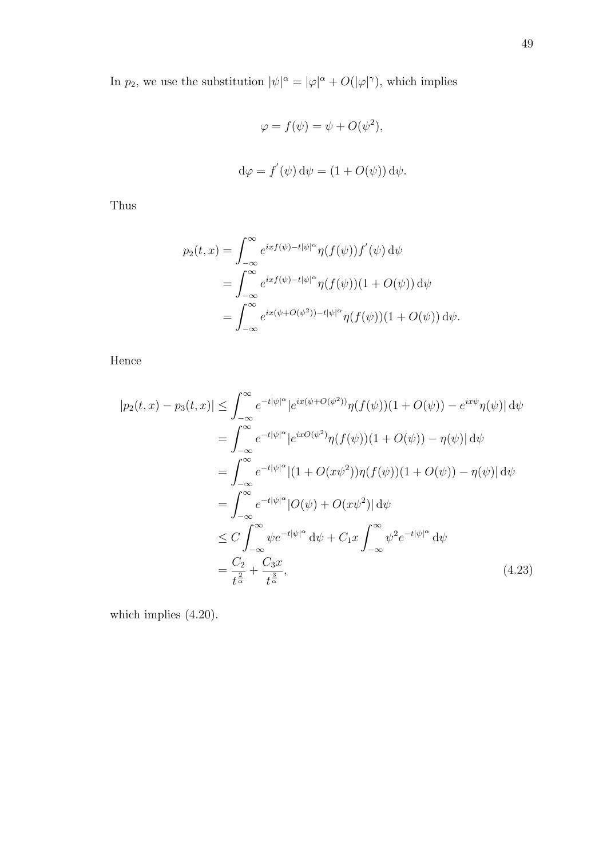In  $p_2$ , we use the substitution  $|\psi|^{\alpha} = |\varphi|^{\alpha} + O(|\varphi|^{\gamma})$ , which implies

$$
\varphi = f(\psi) = \psi + O(\psi^2),
$$
  

$$
d\varphi = f'(\psi) d\psi = (1 + O(\psi)) d\psi.
$$

Thus

$$
p_2(t,x) = \int_{-\infty}^{\infty} e^{ixf(\psi) - t|\psi|^{\alpha}} \eta(f(\psi)) f'(\psi) d\psi
$$
  
= 
$$
\int_{-\infty}^{\infty} e^{ixf(\psi) - t|\psi|^{\alpha}} \eta(f(\psi))(1 + O(\psi)) d\psi
$$
  
= 
$$
\int_{-\infty}^{\infty} e^{ix(\psi + O(\psi^2)) - t|\psi|^{\alpha}} \eta(f(\psi))(1 + O(\psi)) d\psi.
$$

Hence

$$
|p_2(t,x) - p_3(t,x)| \leq \int_{-\infty}^{\infty} e^{-t|\psi|^{\alpha}} |e^{ix(\psi + O(\psi^2))} \eta(f(\psi))(1 + O(\psi)) - e^{ix\psi} \eta(\psi)| d\psi
$$
  
\n
$$
= \int_{-\infty}^{\infty} e^{-t|\psi|^{\alpha}} |e^{ixO(\psi^2)} \eta(f(\psi))(1 + O(\psi)) - \eta(\psi)| d\psi
$$
  
\n
$$
= \int_{-\infty}^{\infty} e^{-t|\psi|^{\alpha}} |(1 + O(xy^2)) \eta(f(\psi))(1 + O(\psi)) - \eta(\psi)| d\psi
$$
  
\n
$$
= \int_{-\infty}^{\infty} e^{-t|\psi|^{\alpha}} |O(\psi) + O(xy^2)| d\psi
$$
  
\n
$$
\leq C \int_{-\infty}^{\infty} \psi e^{-t|\psi|^{\alpha}} d\psi + C_1 x \int_{-\infty}^{\infty} \psi^2 e^{-t|\psi|^{\alpha}} d\psi
$$
  
\n
$$
= \frac{C_2}{t^{\frac{2}{\alpha}}} + \frac{C_3 x}{t^{\frac{3}{\alpha}}}, \qquad (4.23)
$$

which implies (4.20).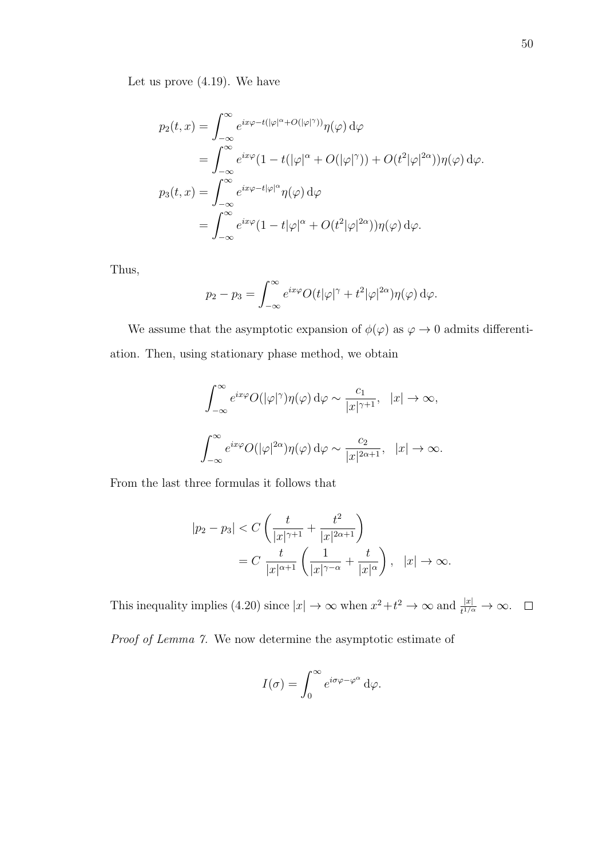Let us prove (4.19). We have

$$
p_2(t, x) = \int_{-\infty}^{\infty} e^{ix\varphi - t(|\varphi|^{\alpha} + O(|\varphi|^{\gamma}))} \eta(\varphi) d\varphi
$$
  
\n
$$
= \int_{-\infty}^{\infty} e^{ix\varphi} (1 - t(|\varphi|^{\alpha} + O(|\varphi|^{\gamma})) + O(t^2|\varphi|^{2\alpha})) \eta(\varphi) d\varphi.
$$
  
\n
$$
p_3(t, x) = \int_{-\infty}^{\infty} e^{ix\varphi - t|\varphi|^{\alpha}} \eta(\varphi) d\varphi
$$
  
\n
$$
= \int_{-\infty}^{\infty} e^{ix\varphi} (1 - t|\varphi|^{\alpha} + O(t^2|\varphi|^{2\alpha})) \eta(\varphi) d\varphi.
$$

Thus,

$$
p_2 - p_3 = \int_{-\infty}^{\infty} e^{ix\varphi} O(t|\varphi|^{\gamma} + t^2 |\varphi|^{2\alpha}) \eta(\varphi) d\varphi.
$$

We assume that the asymptotic expansion of  $\phi(\varphi)$  as  $\varphi \to 0$  admits differentiation. Then, using stationary phase method, we obtain

$$
\int_{-\infty}^{\infty} e^{ix\varphi} O(|\varphi|^{\gamma}) \eta(\varphi) d\varphi \sim \frac{c_1}{|x|^{\gamma+1}}, \quad |x| \to \infty,
$$
  

$$
\int_{-\infty}^{\infty} e^{ix\varphi} O(|\varphi|^{2\alpha}) \eta(\varphi) d\varphi \sim \frac{c_2}{|x|^{2\alpha+1}}, \quad |x| \to \infty.
$$

From the last three formulas it follows that

$$
|p_2 - p_3| < C\left(\frac{t}{|x|^{\gamma+1}} + \frac{t^2}{|x|^{2\alpha+1}}\right) \\
= C\left(\frac{t}{|x|^{\alpha+1}}\left(\frac{1}{|x|^{\gamma-\alpha}} + \frac{t}{|x|^\alpha}\right), \ |x| \to \infty.\right)
$$

This inequality implies (4.20) since  $|x| \to \infty$  when  $x^2 + t^2 \to \infty$  and  $\frac{|x|}{t^{1/\alpha}} \to \infty$ .

Proof of Lemma 7. We now determine the asymptotic estimate of

$$
I(\sigma) = \int_0^\infty e^{i\sigma\varphi - \varphi^\alpha} \, d\varphi.
$$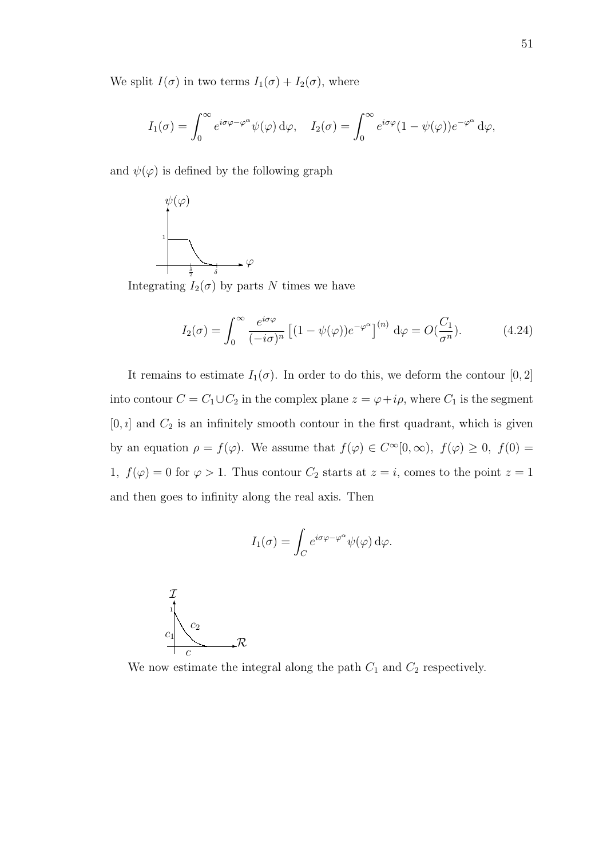We split  $I(\sigma)$  in two terms  $I_1(\sigma) + I_2(\sigma)$ , where

$$
I_1(\sigma) = \int_0^\infty e^{i\sigma\varphi - \varphi^\alpha} \psi(\varphi) \,d\varphi, \quad I_2(\sigma) = \int_0^\infty e^{i\sigma\varphi} (1 - \psi(\varphi)) e^{-\varphi^\alpha} \,d\varphi,
$$

and  $\psi(\varphi)$  is defined by the following graph



Integrating  $I_2(\sigma)$  by parts N times we have

$$
I_2(\sigma) = \int_0^\infty \frac{e^{i\sigma\varphi}}{(-i\sigma)^n} \left[ (1 - \psi(\varphi))e^{-\varphi^{\alpha}} \right]^{(n)} d\varphi = O(\frac{C_1}{\sigma^n}). \tag{4.24}
$$

It remains to estimate  $I_1(\sigma)$ . In order to do this, we deform the contour [0, 2] into contour  $C = C_1 \cup C_2$  in the complex plane  $z = \varphi + i\rho$ , where  $C_1$  is the segment  $[0, i]$  and  $C_2$  is an infinitely smooth contour in the first quadrant, which is given by an equation  $\rho = f(\varphi)$ . We assume that  $f(\varphi) \in C^{\infty}[0,\infty)$ ,  $f(\varphi) \geq 0$ ,  $f(0) =$ 1,  $f(\varphi) = 0$  for  $\varphi > 1$ . Thus contour  $C_2$  starts at  $z = i$ , comes to the point  $z = 1$ and then goes to infinity along the real axis. Then

$$
I_1(\sigma) = \int_C e^{i\sigma\varphi - \varphi^{\alpha}} \psi(\varphi) d\varphi.
$$



We now estimate the integral along the path  $C_1$  and  $C_2$  respectively.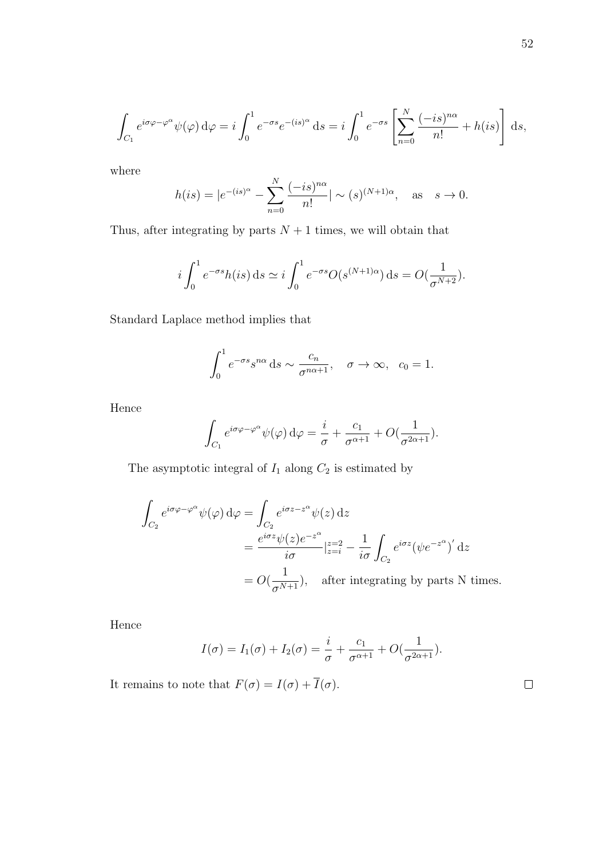$$
\int_{C_1} e^{i\sigma\varphi - \varphi^{\alpha}} \psi(\varphi) d\varphi = i \int_0^1 e^{-\sigma s} e^{-(is)^{\alpha}} ds = i \int_0^1 e^{-\sigma s} \left[ \sum_{n=0}^N \frac{(-is)^{n\alpha}}{n!} + h(is) \right] ds,
$$

where

$$
h(is) = |e^{-(is)^\alpha} - \sum_{n=0}^N \frac{(-is)^{n\alpha}}{n!} | \sim (s)^{(N+1)\alpha}, \text{ as } s \to 0.
$$

Thus, after integrating by parts  $N + 1$  times, we will obtain that

$$
i\int_0^1 e^{-\sigma s} h(is) \,ds \simeq i\int_0^1 e^{-\sigma s} O(s^{(N+1)\alpha}) \,ds = O(\frac{1}{\sigma^{N+2}}).
$$

Standard Laplace method implies that

$$
\int_0^1 e^{-\sigma s} s^{n\alpha} ds \sim \frac{c_n}{\sigma^{n\alpha+1}}, \quad \sigma \to \infty, \quad c_0 = 1.
$$

Hence

$$
\int_{C_1} e^{i\sigma\varphi - \varphi^{\alpha}} \psi(\varphi) d\varphi = \frac{i}{\sigma} + \frac{c_1}{\sigma^{\alpha+1}} + O(\frac{1}{\sigma^{2\alpha+1}}).
$$

The asymptotic integral of  $I_1$  along  $C_2$  is estimated by

$$
\int_{C_2} e^{i\sigma\varphi - \varphi^{\alpha}} \psi(\varphi) d\varphi = \int_{C_2} e^{i\sigma z - z^{\alpha}} \psi(z) dz
$$
\n
$$
= \frac{e^{i\sigma z} \psi(z) e^{-z^{\alpha}}}{i\sigma} |_{z=i}^{z=2} - \frac{1}{i\sigma} \int_{C_2} e^{i\sigma z} (\psi e^{-z^{\alpha}})' dz
$$
\n
$$
= O(\frac{1}{\sigma^{N+1}}), \quad \text{after integrating by parts N times.}
$$

Hence

$$
I(\sigma) = I_1(\sigma) + I_2(\sigma) = \frac{i}{\sigma} + \frac{c_1}{\sigma^{\alpha+1}} + O(\frac{1}{\sigma^{2\alpha+1}}).
$$

It remains to note that  $F(\sigma) = I(\sigma) + \overline{I}(\sigma)$ .

52

 $\Box$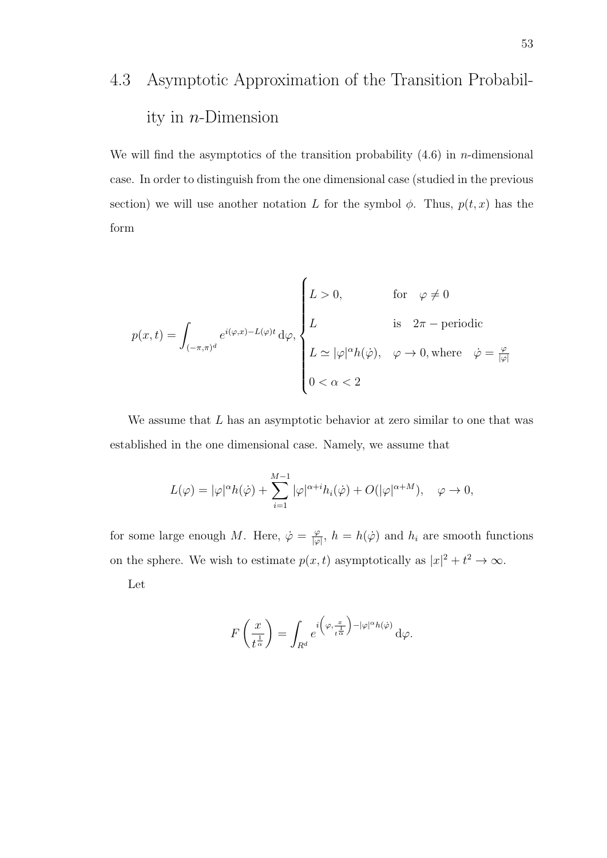## 4.3 Asymptotic Approximation of the Transition Probability in  $n$ -Dimension

We will find the asymptotics of the transition probability  $(4.6)$  in *n*-dimensional case. In order to distinguish from the one dimensional case (studied in the previous section) we will use another notation L for the symbol  $\phi$ . Thus,  $p(t, x)$  has the form

$$
p(x,t) = \int_{(-\pi,\pi)^d} e^{i(\varphi,x) - L(\varphi)t} d\varphi,
$$
\n
$$
L \quad \text{is} \quad 2\pi - \text{periodic}
$$
\n
$$
L \simeq |\varphi|^{\alpha} h(\dot{\varphi}), \quad \varphi \to 0, \text{ where } \quad \dot{\varphi} = \frac{\varphi}{|\varphi|}
$$
\n
$$
0 < \alpha < 2
$$

We assume that  $L$  has an asymptotic behavior at zero similar to one that was established in the one dimensional case. Namely, we assume that

$$
L(\varphi) = |\varphi|^{\alpha} h(\dot{\varphi}) + \sum_{i=1}^{M-1} |\varphi|^{\alpha+i} h_i(\dot{\varphi}) + O(|\varphi|^{\alpha+M}), \quad \varphi \to 0,
$$

for some large enough M. Here,  $\dot{\varphi} = \frac{\varphi}{\log 2}$  $\frac{\varphi}{|\varphi|}, h = h(\dot{\varphi})$  and  $h_i$  are smooth functions on the sphere. We wish to estimate  $p(x,t)$  asymptotically as  $|x|^2 + t^2 \to \infty$ .

Let

$$
F\left(\frac{x}{t^{\frac{1}{\alpha}}}\right) = \int_{R^d} e^{i\left(\varphi, \frac{x}{t^{\frac{1}{\alpha}}}\right) - |\varphi|^{\alpha} h(\varphi)} d\varphi.
$$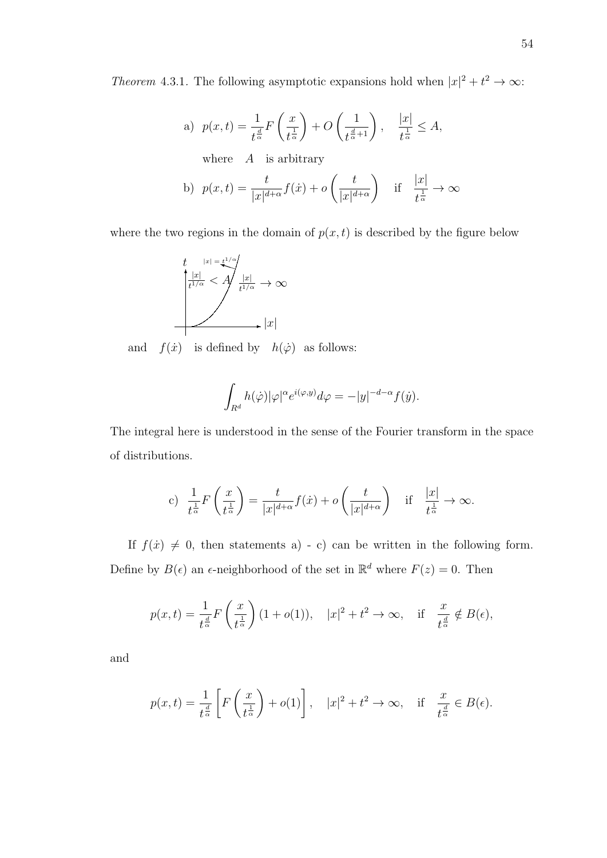*Theorem* 4.3.1. The following asymptotic expansions hold when  $|x|^2 + t^2 \to \infty$ :

a) 
$$
p(x,t) = \frac{1}{t^{\frac{d}{\alpha}}} F\left(\frac{x}{t^{\frac{1}{\alpha}}}\right) + O\left(\frac{1}{t^{\frac{d}{\alpha}+1}}\right), \quad \frac{|x|}{t^{\frac{1}{\alpha}}} \leq A,
$$

where  $A$  is arbitrary

b) 
$$
p(x,t) = \frac{t}{|x|^{d+\alpha}} f(x) + o\left(\frac{t}{|x|^{d+\alpha}}\right)
$$
 if  $\frac{|x|}{t^{\frac{1}{\alpha}}} \to \infty$ 

where the two regions in the domain of  $p(x, t)$  is described by the figure below



and  $f(\dot{x})$  is defined by  $h(\dot{\varphi})$  as follows:

$$
\int_{R^d} h(\dot{\varphi}) |\varphi|^\alpha e^{i(\varphi, y)} d\varphi = -|y|^{-d-\alpha} f(\dot{y}).
$$

The integral here is understood in the sense of the Fourier transform in the space of distributions.

c) 
$$
\frac{1}{t^{\frac{1}{\alpha}}}F\left(\frac{x}{t^{\frac{1}{\alpha}}}\right) = \frac{t}{|x|^{d+\alpha}}f(x) + o\left(\frac{t}{|x|^{d+\alpha}}\right)
$$
 if  $\frac{|x|}{t^{\frac{1}{\alpha}}} \to \infty$ .

If  $f(x) \neq 0$ , then statements a) - c) can be written in the following form. Define by  $B(\epsilon)$  an  $\epsilon$ -neighborhood of the set in  $\mathbb{R}^d$  where  $F(z) = 0$ . Then

$$
p(x,t) = \frac{1}{t^{\frac{d}{\alpha}}} F\left(\frac{x}{t^{\frac{1}{\alpha}}}\right) (1+o(1)), \quad |x|^2 + t^2 \to \infty, \quad \text{if} \quad \frac{x}{t^{\frac{d}{\alpha}}} \notin B(\epsilon),
$$

and

$$
p(x,t) = \frac{1}{t^{\frac{d}{\alpha}}} \left[ F\left(\frac{x}{t^{\frac{1}{\alpha}}}\right) + o(1) \right], \quad |x|^2 + t^2 \to \infty, \quad \text{if} \quad \frac{x}{t^{\frac{d}{\alpha}}} \in B(\epsilon).
$$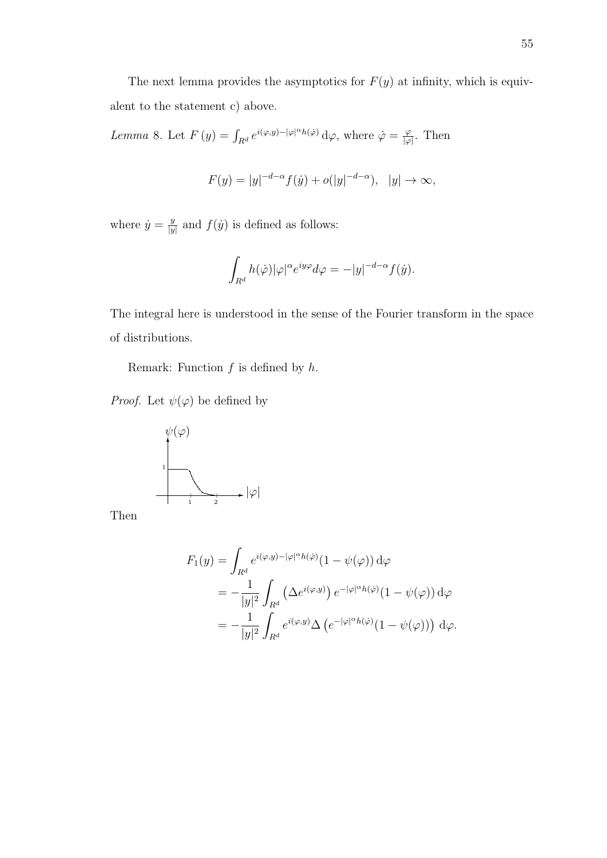The next lemma provides the asymptotics for  $F(y)$  at infinity, which is equivalent to the statement c) above.

Lemma 8. Let  $F(y) = \int_{R^d} e^{i(\varphi, y) - |\varphi|^{\alpha} h(\varphi)} d\varphi$ , where  $\dot{\varphi} = \frac{\varphi}{|\varphi|}$  $\frac{\varphi}{|\varphi|}$ . Then

$$
F(y) = |y|^{-d-\alpha} f(y) + o(|y|^{-d-\alpha}), \quad |y| \to \infty,
$$

where  $\dot{y} = \frac{y}{y}$  $\frac{y}{|y|}$  and  $f(\dot{y})$  is defined as follows:

$$
\int_{R^d} h(\dot{\varphi}) |\varphi|^\alpha e^{iy\varphi} d\varphi = -|y|^{-d-\alpha} f(\dot{y}).
$$

The integral here is understood in the sense of the Fourier transform in the space of distributions.

Remark: Function  $f$  is defined by  $h$ .

*Proof.* Let  $\psi(\varphi)$  be defined by



Then

$$
F_1(y) = \int_{R^d} e^{i(\varphi, y) - |\varphi|^{\alpha} h(\varphi)} (1 - \psi(\varphi)) d\varphi
$$
  
= 
$$
-\frac{1}{|y|^2} \int_{R^d} (\Delta e^{i(\varphi, y)}) e^{-|\varphi|^{\alpha} h(\varphi)} (1 - \psi(\varphi)) d\varphi
$$
  
= 
$$
-\frac{1}{|y|^2} \int_{R^d} e^{i(\varphi, y)} \Delta \left( e^{-|\varphi|^{\alpha} h(\varphi)} (1 - \psi(\varphi)) \right) d\varphi.
$$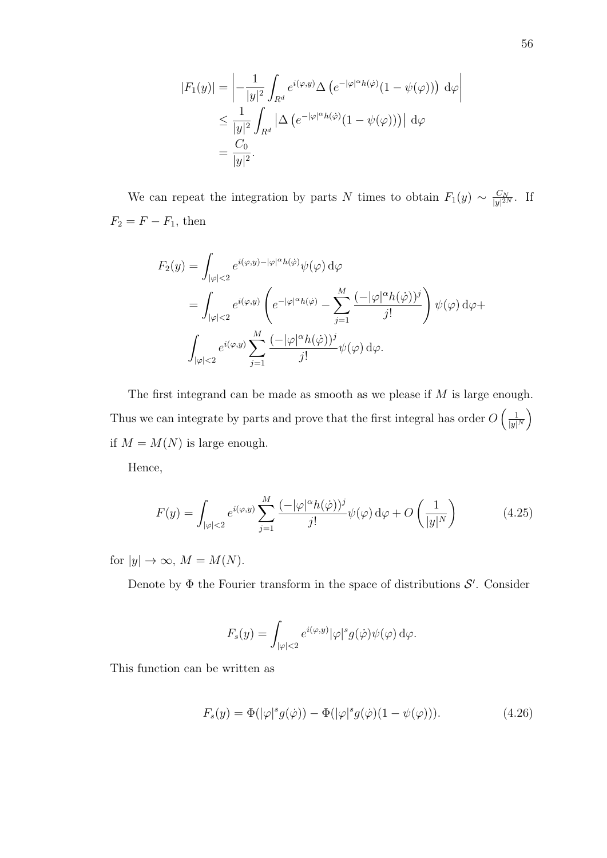$$
|F_1(y)| = \left| -\frac{1}{|y|^2} \int_{R^d} e^{i(\varphi, y)} \Delta \left( e^{-|\varphi|^\alpha h(\varphi)} (1 - \psi(\varphi)) \right) d\varphi \right|
$$
  

$$
\leq \frac{1}{|y|^2} \int_{R^d} |\Delta \left( e^{-|\varphi|^\alpha h(\varphi)} (1 - \psi(\varphi)) \right) d\varphi
$$
  

$$
= \frac{C_0}{|y|^2}.
$$

We can repeat the integration by parts N times to obtain  $F_1(y) \sim \frac{C_N}{|y|^{2s}}$  $rac{C_N}{|y|^{2N}}$ . If  $F_2 = F - F_1$ , then

$$
F_2(y) = \int_{|\varphi| < 2} e^{i(\varphi, y) - |\varphi|^\alpha h(\varphi)} \psi(\varphi) \, d\varphi
$$
\n
$$
= \int_{|\varphi| < 2} e^{i(\varphi, y)} \left( e^{-|\varphi|^\alpha h(\varphi)} - \sum_{j=1}^M \frac{(-|\varphi|^\alpha h(\varphi))^j}{j!} \right) \psi(\varphi) \, d\varphi + \int_{|\varphi| < 2} e^{i(\varphi, y)} \sum_{j=1}^M \frac{(-|\varphi|^\alpha h(\varphi))^j}{j!} \psi(\varphi) \, d\varphi.
$$

The first integrand can be made as smooth as we please if  $M$  is large enough. Thus we can integrate by parts and prove that the first integral has order  $O\left(\frac{1}{|u|}\right)$  $\frac{1}{|y|^N}$ if  $M = M(N)$  is large enough.

Hence,

$$
F(y) = \int_{|\varphi| < 2} e^{i(\varphi, y)} \sum_{j=1}^{M} \frac{(-|\varphi|^\alpha h(\dot{\varphi}))^j}{j!} \psi(\varphi) \, d\varphi + O\left(\frac{1}{|y|^N}\right) \tag{4.25}
$$

for  $|y| \to \infty$ ,  $M = M(N)$ .

Denote by  $\Phi$  the Fourier transform in the space of distributions  $\mathcal{S}'$ . Consider

$$
F_s(y) = \int_{|\varphi|<2} e^{i(\varphi,y)} |\varphi|^s g(\dot{\varphi}) \psi(\varphi) d\varphi.
$$

This function can be written as

$$
F_s(y) = \Phi(|\varphi|^s g(\dot{\varphi})) - \Phi(|\varphi|^s g(\dot{\varphi})(1 - \psi(\varphi))). \qquad (4.26)
$$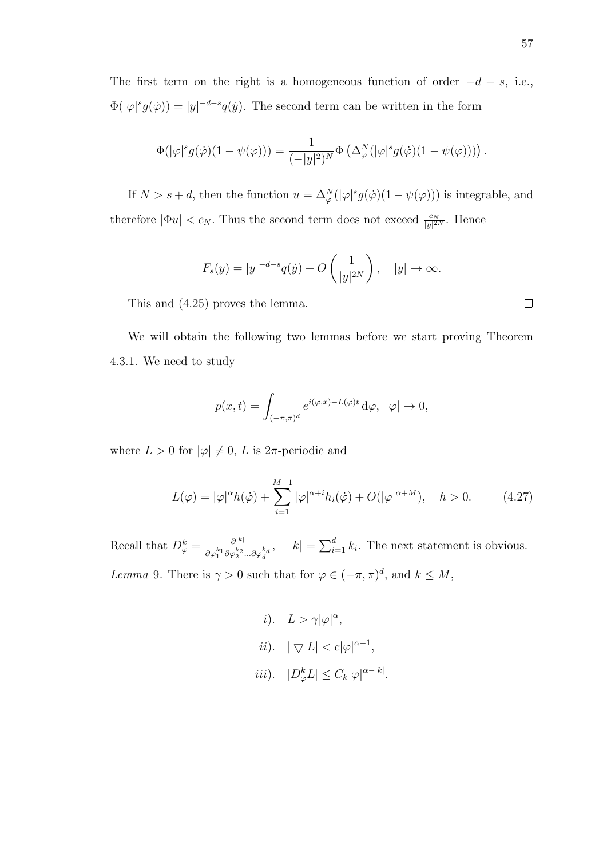The first term on the right is a homogeneous function of order  $-d - s$ , i.e.,  $\Phi(|\varphi|^s g(\dot{\varphi})) = |y|^{-d-s} q(\dot{y}).$  The second term can be written in the form

$$
\Phi(|\varphi|^s g(\dot{\varphi})(1-\psi(\varphi))) = \frac{1}{(-|y|^2)^N} \Phi\left(\Delta^N_{\varphi}(|\varphi|^s g(\dot{\varphi})(1-\psi(\varphi)))\right).
$$

If  $N > s + d$ , then the function  $u = \Delta_{\varphi}^{N}(|\varphi|^{s} g(\dot{\varphi})(1 - \psi(\varphi)))$  is integrable, and therefore  $|\Phi u| < c_N$ . Thus the second term does not exceed  $\frac{c_N}{|y|^{2N}}$ . Hence

$$
F_s(y) = |y|^{-d-s} q(y) + O\left(\frac{1}{|y|^{2N}}\right), \quad |y| \to \infty.
$$

This and (4.25) proves the lemma.

We will obtain the following two lemmas before we start proving Theorem 4.3.1. We need to study

$$
p(x,t) = \int_{(-\pi,\pi)^d} e^{i(\varphi,x) - L(\varphi)t} d\varphi, \ |\varphi| \to 0,
$$

where  $L > 0$  for  $|\varphi| \neq 0$ , L is  $2\pi$ -periodic and

$$
L(\varphi) = |\varphi|^{\alpha} h(\dot{\varphi}) + \sum_{i=1}^{M-1} |\varphi|^{\alpha+i} h_i(\dot{\varphi}) + O(|\varphi|^{\alpha+M}), \quad h > 0.
$$
 (4.27)

Recall that  $D_{\varphi}^k = \frac{\partial^{|k|}}{\partial \varphi^k}$  $\overline{\partial\varphi_1^{k_1}\partial\varphi_2^{k_2}...\partial\varphi_d^{k_d}}$  $|k| = \sum_{i=1}^{d} k_i$ . The next statement is obvious. Lemma 9. There is  $\gamma > 0$  such that for  $\varphi \in (-\pi, \pi)^d$ , and  $k \leq M$ ,

> *i*).  $L > \gamma |\varphi|^\alpha$ , ii).  $|\nabla L| < c |\varphi|^{\alpha-1},$ iii).  $|D_{\varphi}^k L| \leq C_k |\varphi|^{\alpha - |k|}$ .

 $\Box$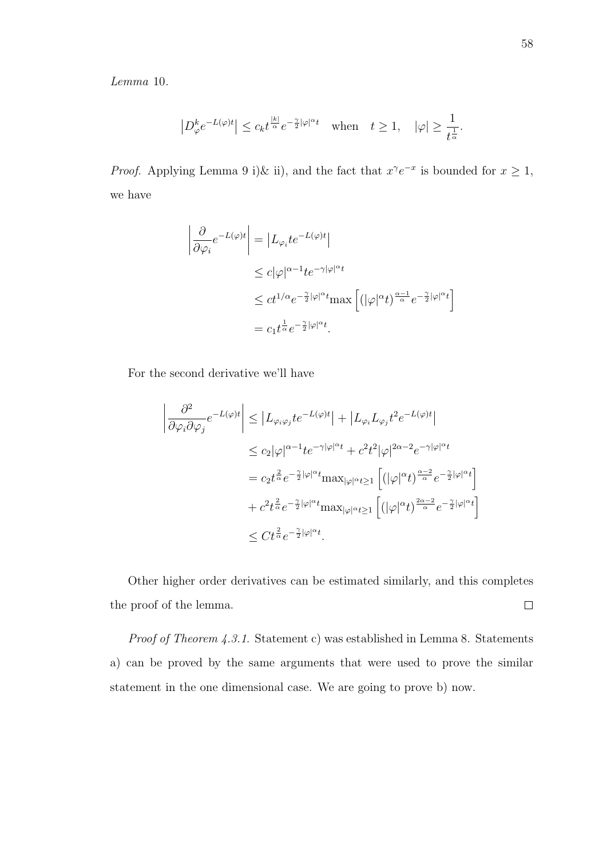Lemma 10.

$$
\left|D^k_\varphi e^{-L(\varphi)t}\right| \leq c_k t^{\frac{|k|}{\alpha}}e^{-\frac{\gamma}{2}|\varphi|^\alpha t} \quad \text{when} \quad t \geq 1, \quad |\varphi| \geq \frac{1}{t^{\frac{1}{\alpha}}}.
$$

*Proof.* Applying Lemma 9 i)& ii), and the fact that  $x^{\gamma}e^{-x}$  is bounded for  $x \ge 1$ , we have

$$
\left| \frac{\partial}{\partial \varphi_i} e^{-L(\varphi)t} \right| = \left| L_{\varphi_i} t e^{-L(\varphi)t} \right|
$$
  
\n
$$
\leq c |\varphi|^{\alpha - 1} t e^{-\gamma |\varphi|^{\alpha} t}
$$
  
\n
$$
\leq c t^{1/\alpha} e^{-\frac{\gamma}{2} |\varphi|^{\alpha} t} \max \left[ (|\varphi|^{\alpha} t)^{\frac{\alpha - 1}{\alpha}} e^{-\frac{\gamma}{2} |\varphi|^{\alpha} t} \right]
$$
  
\n
$$
= c_1 t^{\frac{1}{\alpha}} e^{-\frac{\gamma}{2} |\varphi|^{\alpha} t}.
$$

For the second derivative we'll have

$$
\left| \frac{\partial^2}{\partial \varphi_i \partial \varphi_j} e^{-L(\varphi)t} \right| \leq \left| L_{\varphi_i \varphi_j} t e^{-L(\varphi)t} \right| + \left| L_{\varphi_i} L_{\varphi_j} t^2 e^{-L(\varphi)t} \right|
$$
  
\n
$$
\leq c_2 |\varphi|^{\alpha - 1} t e^{-\gamma |\varphi|^{\alpha} t} + c^2 t^2 |\varphi|^{2\alpha - 2} e^{-\gamma |\varphi|^{\alpha} t}
$$
  
\n
$$
= c_2 t^{\frac{2}{\alpha}} e^{-\frac{\gamma}{2} |\varphi|^{\alpha} t} \max_{|\varphi|^{\alpha} t \geq 1} \left[ (|\varphi|^{\alpha} t)^{\frac{\alpha - 2}{\alpha}} e^{-\frac{\gamma}{2} |\varphi|^{\alpha} t} \right]
$$
  
\n
$$
+ c^2 t^{\frac{2}{\alpha}} e^{-\frac{\gamma}{2} |\varphi|^{\alpha} t} \max_{|\varphi|^{\alpha} t \geq 1} \left[ (|\varphi|^{\alpha} t)^{\frac{2\alpha - 2}{\alpha}} e^{-\frac{\gamma}{2} |\varphi|^{\alpha} t} \right]
$$
  
\n
$$
\leq C t^{\frac{2}{\alpha}} e^{-\frac{\gamma}{2} |\varphi|^{\alpha} t}.
$$

Other higher order derivatives can be estimated similarly, and this completes the proof of the lemma.  $\Box$ 

Proof of Theorem 4.3.1. Statement c) was established in Lemma 8. Statements a) can be proved by the same arguments that were used to prove the similar statement in the one dimensional case. We are going to prove b) now.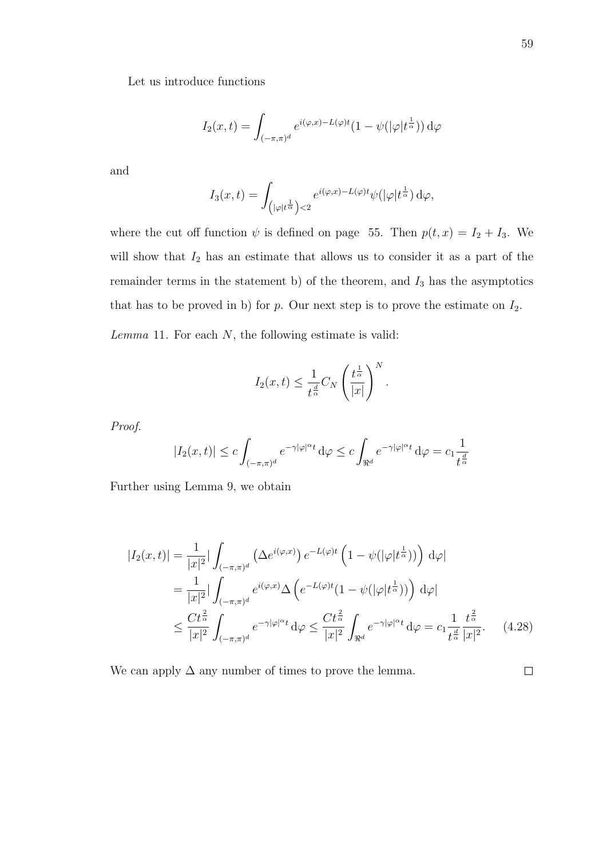Let us introduce functions

$$
I_2(x,t) = \int_{(-\pi,\pi)^d} e^{i(\varphi,x) - L(\varphi)t} (1 - \psi(|\varphi|t^{\frac{1}{\alpha}})) d\varphi
$$

and

$$
I_3(x,t) = \int_{\left(|\varphi|t^{\frac{1}{\alpha}}\right) < 2} e^{i(\varphi,x) - L(\varphi)t} \psi(|\varphi|t^{\frac{1}{\alpha}}) d\varphi,
$$

where the cut off function  $\psi$  is defined on page 55. Then  $p(t, x) = I_2 + I_3$ . We will show that  $I_2$  has an estimate that allows us to consider it as a part of the remainder terms in the statement b) of the theorem, and  $I_3$  has the asymptotics that has to be proved in b) for p. Our next step is to prove the estimate on  $I_2$ .

 $Lemma 11.$  For each  $N$ , the following estimate is valid:

$$
I_2(x,t) \leq \frac{1}{t^{\frac{d}{\alpha}}} C_N \left(\frac{t^{\frac{1}{\alpha}}}{|x|}\right)^N.
$$

Proof.

$$
|I_2(x,t)|\leq c\int_{(-\pi,\pi)^d}e^{-\gamma|\varphi|^\alpha t}\,\mathrm{d}\varphi\leq c\int_{\Re^d}e^{-\gamma|\varphi|^\alpha t}\,\mathrm{d}\varphi=c_1\frac{1}{t^{\frac{d}{\alpha}}}
$$

Further using Lemma 9, we obtain

$$
|I_2(x,t)| = \frac{1}{|x|^2} |\int_{(-\pi,\pi)^d} (\Delta e^{i(\varphi,x)}) e^{-L(\varphi)t} \left(1 - \psi(|\varphi|t^{\frac{1}{\alpha}}))\right) d\varphi|
$$
  
\n
$$
= \frac{1}{|x|^2} |\int_{(-\pi,\pi)^d} e^{i(\varphi,x)} \Delta \left(e^{-L(\varphi)t} (1 - \psi(|\varphi|t^{\frac{1}{\alpha}}))\right) d\varphi|
$$
  
\n
$$
\leq \frac{Ct^{\frac{2}{\alpha}}}{|x|^2} \int_{(-\pi,\pi)^d} e^{-\gamma|\varphi|^{\alpha}t} d\varphi \leq \frac{Ct^{\frac{2}{\alpha}}}{|x|^2} \int_{\Re^d} e^{-\gamma|\varphi|^{\alpha}t} d\varphi = c_1 \frac{1}{t^{\frac{d}{\alpha}}} \frac{t^{\frac{2}{\alpha}}}{|x|^2}.
$$
 (4.28)

We can apply  $\Delta$  any number of times to prove the lemma.

 $\Box$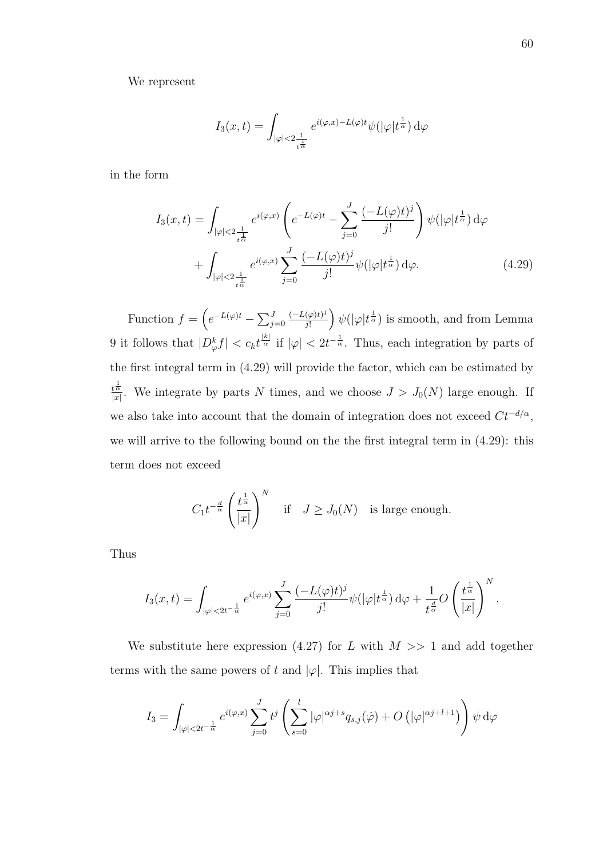We represent

$$
I_3(x,t) = \int_{|\varphi| < 2\frac{1}{t^{\frac{1}{\alpha}}}} e^{i(\varphi,x) - L(\varphi)t} \psi(|\varphi|t^{\frac{1}{\alpha}}) d\varphi
$$

in the form

$$
I_3(x,t) = \int_{|\varphi| < 2\frac{1}{t^{\frac{1}{\alpha}}}} e^{i(\varphi,x)} \left( e^{-L(\varphi)t} - \sum_{j=0}^J \frac{(-L(\varphi)t)^j}{j!} \right) \psi(|\varphi|t^{\frac{1}{\alpha}}) d\varphi
$$

$$
+ \int_{|\varphi| < 2\frac{1}{t^{\frac{1}{\alpha}}}} e^{i(\varphi,x)} \sum_{j=0}^J \frac{(-L(\varphi)t)^j}{j!} \psi(|\varphi|t^{\frac{1}{\alpha}}) d\varphi. \tag{4.29}
$$

Function  $f = \left(e^{-L(\varphi)t} - \sum_{j=0}^{J}\right)$  $(-L(\varphi)t)^j$  $\frac{(\varphi)t)^j}{j!}$   $\psi(|\varphi|t^{\frac{1}{\alpha}})$  is smooth, and from Lemma 9 it follows that  $|D_{\varphi}^k f| < c_k t^{\frac{|k|}{\alpha}}$  if  $|\varphi| < 2t^{-\frac{1}{\alpha}}$ . Thus, each integration by parts of the first integral term in (4.29) will provide the factor, which can be estimated by  $t^{\frac{1}{\alpha}}$  $\frac{d\bar{\alpha}}{|x|}$ . We integrate by parts N times, and we choose  $J > J_0(N)$  large enough. If we also take into account that the domain of integration does not exceed  $C t^{-d/\alpha}$ , we will arrive to the following bound on the the first integral term in (4.29): this term does not exceed

$$
C_1 t^{-\frac{d}{\alpha}} \left(\frac{t^{\frac{1}{\alpha}}}{|x|}\right)^N \quad \text{if} \quad J \geq J_0(N) \quad \text{is large enough.}
$$

Thus

$$
I_3(x,t)=\int_{|\varphi|<2t^{-\frac{1}{\alpha}}}e^{i(\varphi,x)}\sum_{j=0}^J\frac{(-L(\varphi)t)^j}{j!}\psi(|\varphi|t^{\frac{1}{\alpha}})\,d\varphi+\frac{1}{t^{\frac{d}{\alpha}}}O\left(\frac{t^{\frac{1}{\alpha}}}{|x|}\right)^N.
$$

We substitute here expression (4.27) for L with  $M \gg 1$  and add together terms with the same powers of t and  $|\varphi|$ . This implies that

$$
I_3=\int_{|\varphi|<2t^{-\frac{1}{\alpha}}}e^{i(\varphi,x)}\sum_{j=0}^Jt^j\left(\sum_{s=0}^l|\varphi|^{\alpha j+s}q_{s,j}(\dot{\varphi})+O\left(|\varphi|^{\alpha j+l+1}\right)\right)\psi\,\mathrm{d}\varphi
$$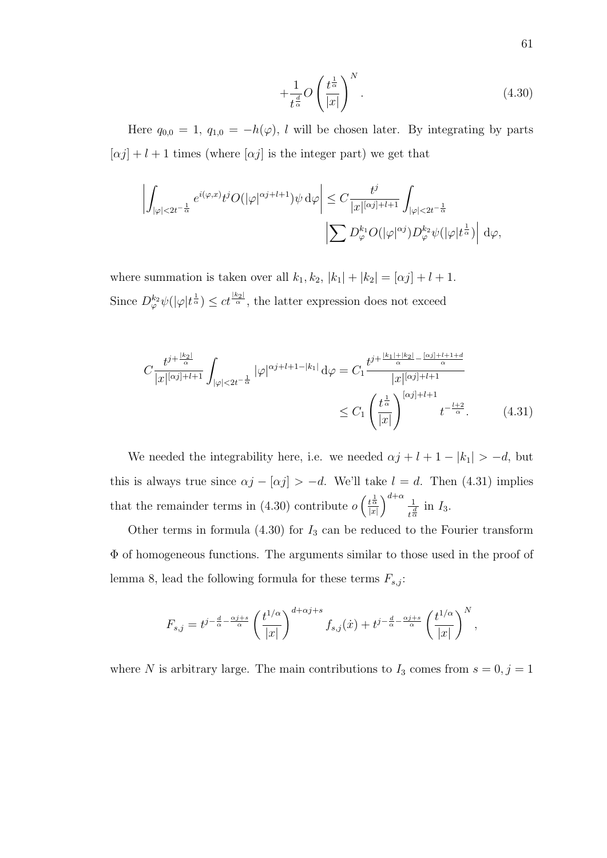$$
+\frac{1}{t^{\frac{d}{\alpha}}}O\left(\frac{t^{\frac{1}{\alpha}}}{|x|}\right)^N.\tag{4.30}
$$

Here  $q_{0,0} = 1$ ,  $q_{1,0} = -h(\varphi)$ , l will be chosen later. By integrating by parts  $[\alpha j] + l + 1$  times (where  $[\alpha j]$  is the integer part) we get that

$$
\left| \int_{|\varphi| < 2t^{-\frac{1}{\alpha}}} e^{i(\varphi, x)} t^j O(|\varphi|^{\alpha j + l + 1}) \psi \, d\varphi \right| \leq C \frac{t^j}{|x|^{[\alpha j] + l + 1}} \int_{|\varphi| < 2t^{-\frac{1}{\alpha}}} \left| \sum D_{\varphi}^{k_1} O(|\varphi|^{\alpha j}) D_{\varphi}^{k_2} \psi(|\varphi| t^{\frac{1}{\alpha}}) \right| \, d\varphi,
$$

where summation is taken over all  $k_1, k_2, |k_1| + |k_2| = [\alpha j] + l + 1$ . Since  $D_{\varphi}^{k_2}\psi(|\varphi|t^{\frac{1}{\alpha}}) \leq ct^{\frac{|k_2|}{\alpha}}$ , the latter expression does not exceed

$$
C \frac{t^{j+\frac{|k_2|}{\alpha}}}{|x|^{[\alpha j]+l+1}} \int_{|\varphi| < 2t^{-\frac{1}{\alpha}}} |\varphi|^{\alpha j+l+1-|k_1|} \, d\varphi = C_1 \frac{t^{j+\frac{|k_1|+|k_2|}{\alpha} - \frac{[\alpha j]+l+1+d}{\alpha}}}{|x|^{[\alpha j]+l+1}} \le C_1 \left(\frac{t^{\frac{1}{\alpha}}}{|x|}\right)^{[\alpha j]+l+1} t^{-\frac{l+2}{\alpha}}.
$$
\n(4.31)

We needed the integrability here, i.e. we needed  $\alpha j + l + 1 - |k_1| > -d$ , but this is always true since  $\alpha j - [\alpha j] > -d$ . We'll take  $l = d$ . Then (4.31) implies that the remainder terms in (4.30) contribute  $o\left(\frac{t^{\frac{1}{\alpha}}}{r}\right)$  $\frac{t^{\frac{1}{\alpha}}}{|x|}\bigg)^{d+\alpha} \frac{1}{t^{\frac{d}{\alpha}}}$  $rac{1}{t^{\frac{d}{\alpha}}}$  in  $I_3$ .

Other terms in formula  $(4.30)$  for  $I_3$  can be reduced to the Fourier transform Φ of homogeneous functions. The arguments similar to those used in the proof of lemma 8, lead the following formula for these terms  $F_{s,j}$ :

$$
F_{s,j} = t^{j - \frac{d}{\alpha} - \frac{\alpha j + s}{\alpha}} \left(\frac{t^{1/\alpha}}{|x|}\right)^{d + \alpha j + s} f_{s,j}(x) + t^{j - \frac{d}{\alpha} - \frac{\alpha j + s}{\alpha}} \left(\frac{t^{1/\alpha}}{|x|}\right)^N,
$$

where N is arbitrary large. The main contributions to  $I_3$  comes from  $s = 0, j = 1$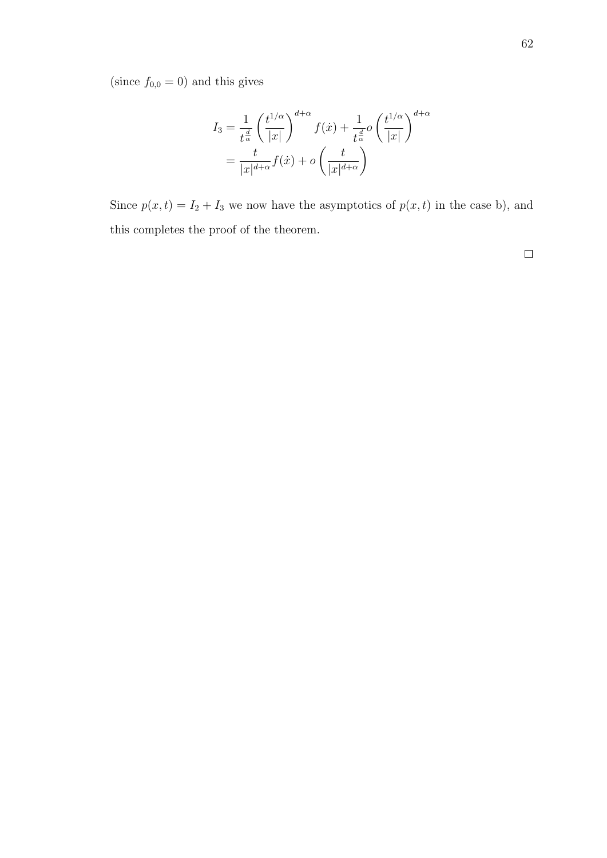(since  $f_{0,0} = 0$ ) and this gives

$$
I_3 = \frac{1}{t^{\frac{d}{\alpha}}} \left(\frac{t^{1/\alpha}}{|x|}\right)^{d+\alpha} f(\dot{x}) + \frac{1}{t^{\frac{d}{\alpha}}} o\left(\frac{t^{1/\alpha}}{|x|}\right)^{d+\alpha}
$$

$$
= \frac{t}{|x|^{d+\alpha}} f(\dot{x}) + o\left(\frac{t}{|x|^{d+\alpha}}\right)
$$

Since  $p(x, t) = I_2 + I_3$  we now have the asymptotics of  $p(x, t)$  in the case b), and this completes the proof of the theorem.

 $\Box$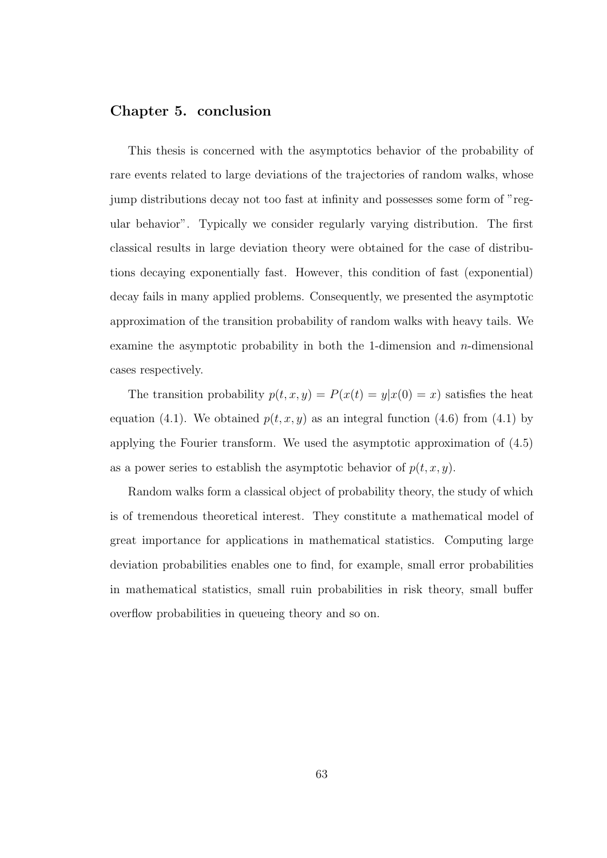#### Chapter 5. conclusion

This thesis is concerned with the asymptotics behavior of the probability of rare events related to large deviations of the trajectories of random walks, whose jump distributions decay not too fast at infinity and possesses some form of "regular behavior". Typically we consider regularly varying distribution. The first classical results in large deviation theory were obtained for the case of distributions decaying exponentially fast. However, this condition of fast (exponential) decay fails in many applied problems. Consequently, we presented the asymptotic approximation of the transition probability of random walks with heavy tails. We examine the asymptotic probability in both the 1-dimension and  $n$ -dimensional cases respectively.

The transition probability  $p(t, x, y) = P(x(t) = y|x(0) = x)$  satisfies the heat equation (4.1). We obtained  $p(t, x, y)$  as an integral function (4.6) from (4.1) by applying the Fourier transform. We used the asymptotic approximation of (4.5) as a power series to establish the asymptotic behavior of  $p(t, x, y)$ .

Random walks form a classical object of probability theory, the study of which is of tremendous theoretical interest. They constitute a mathematical model of great importance for applications in mathematical statistics. Computing large deviation probabilities enables one to find, for example, small error probabilities in mathematical statistics, small ruin probabilities in risk theory, small buffer overflow probabilities in queueing theory and so on.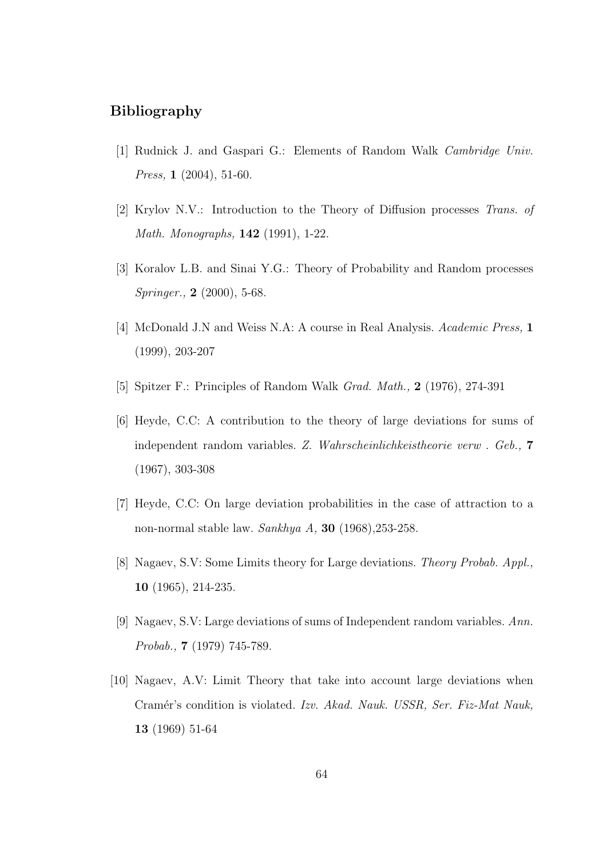#### Bibliography

- [1] Rudnick J. and Gaspari G.: Elements of Random Walk Cambridge Univ. Press, **1** (2004), 51-60.
- [2] Krylov N.V.: Introduction to the Theory of Diffusion processes Trans. of Math. Monographs, 142 (1991), 1-22.
- [3] Koralov L.B. and Sinai Y.G.: Theory of Probability and Random processes Springer., **2** (2000), 5-68.
- [4] McDonald J.N and Weiss N.A: A course in Real Analysis. Academic Press, 1 (1999), 203-207
- [5] Spitzer F.: Principles of Random Walk Grad. Math., 2 (1976), 274-391
- [6] Heyde, C.C: A contribution to the theory of large deviations for sums of independent random variables. Z. Wahrscheinlichkeistheorie verw . Geb., 7 (1967), 303-308
- [7] Heyde, C.C: On large deviation probabilities in the case of attraction to a non-normal stable law. Sankhya A, 30 (1968), 253-258.
- [8] Nagaev, S.V: Some Limits theory for Large deviations. Theory Probab. Appl., 10 (1965), 214-235.
- [9] Nagaev, S.V: Large deviations of sums of Independent random variables. Ann. Probab., 7 (1979) 745-789.
- [10] Nagaev, A.V: Limit Theory that take into account large deviations when Cramér's condition is violated. Izv. Akad. Nauk. USSR, Ser. Fiz-Mat Nauk, 13 (1969) 51-64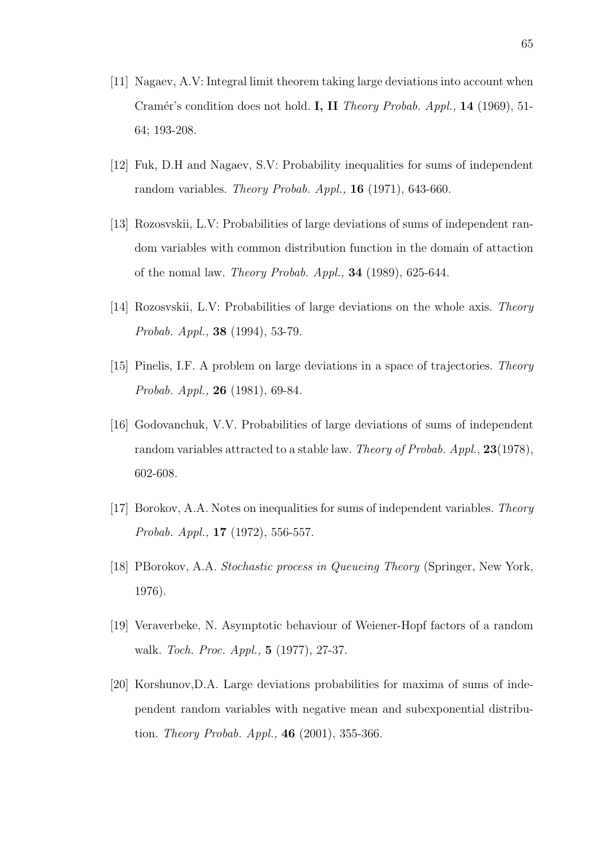- [11] Nagaev, A.V: Integral limit theorem taking large deviations into account when Cramér's condition does not hold. I, II Theory Probab. Appl., 14 (1969), 51-64; 193-208.
- [12] Fuk, D.H and Nagaev, S.V: Probability inequalities for sums of independent random variables. Theory Probab. Appl., 16 (1971), 643-660.
- [13] Rozosvskii, L.V: Probabilities of large deviations of sums of independent random variables with common distribution function in the domain of attaction of the nomal law. Theory Probab. Appl., 34 (1989), 625-644.
- [14] Rozosvskii, L.V: Probabilities of large deviations on the whole axis. Theory Probab. Appl., 38 (1994), 53-79.
- [15] Pinelis, I.F. A problem on large deviations in a space of trajectories. Theory Probab. Appl., 26 (1981), 69-84.
- [16] Godovanchuk, V.V. Probabilities of large deviations of sums of independent random variables attracted to a stable law. Theory of Probab. Appl., 23(1978), 602-608.
- [17] Borokov, A.A. Notes on inequalities for sums of independent variables. Theory Probab. Appl., 17 (1972), 556-557.
- [18] PBorokov, A.A. Stochastic process in Queueing Theory (Springer, New York, 1976).
- [19] Veraverbeke, N. Asymptotic behaviour of Weiener-Hopf factors of a random walk. Toch. Proc. Appl., 5 (1977), 27-37.
- [20] Korshunov,D.A. Large deviations probabilities for maxima of sums of independent random variables with negative mean and subexponential distribution. Theory Probab. Appl., 46 (2001), 355-366.